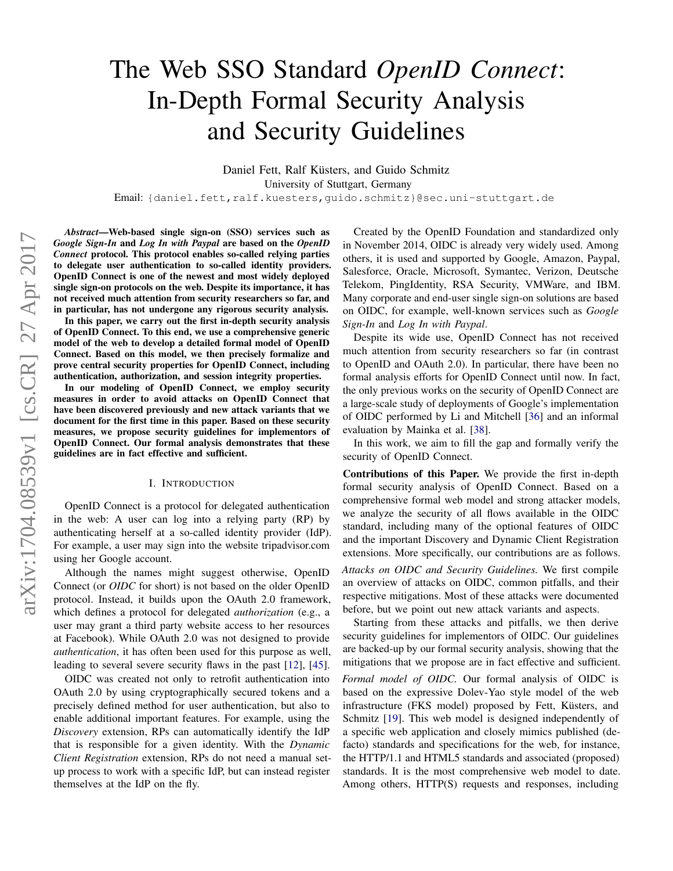# <span id="page-0-0"></span>The Web SSO Standard *OpenID Connect*: In-Depth Formal Security Analysis and Security Guidelines

Daniel Fett, Ralf Küsters, and Guido Schmitz University of Stuttgart, Germany Email: {daniel.fett,ralf.kuesters,guido.schmitz}@sec.uni-stuttgart.de

*Abstract*—Web-based single sign-on (SSO) services such as *Google Sign-In* and *Log In with Paypal* are based on the *OpenID Connect* protocol. This protocol enables so-called relying parties to delegate user authentication to so-called identity providers. OpenID Connect is one of the newest and most widely deployed single sign-on protocols on the web. Despite its importance, it has not received much attention from security researchers so far, and in particular, has not undergone any rigorous security analysis.

In this paper, we carry out the first in-depth security analysis of OpenID Connect. To this end, we use a comprehensive generic model of the web to develop a detailed formal model of OpenID Connect. Based on this model, we then precisely formalize and prove central security properties for OpenID Connect, including authentication, authorization, and session integrity properties.

In our modeling of OpenID Connect, we employ security measures in order to avoid attacks on OpenID Connect that have been discovered previously and new attack variants that we document for the first time in this paper. Based on these security measures, we propose security guidelines for implementors of OpenID Connect. Our formal analysis demonstrates that these guidelines are in fact effective and sufficient.

#### I. INTRODUCTION

OpenID Connect is a protocol for delegated authentication in the web: A user can log into a relying party (RP) by authenticating herself at a so-called identity provider (IdP). For example, a user may sign into the website tripadvisor.com using her Google account.

Although the names might suggest otherwise, OpenID Connect (or *OIDC* for short) is not based on the older OpenID protocol. Instead, it builds upon the OAuth 2.0 framework, which defines a protocol for delegated *authorization* (e.g., a user may grant a third party website access to her resources at Facebook). While OAuth 2.0 was not designed to provide *authentication*, it has often been used for this purpose as well, leading to several severe security flaws in the past [\[12\]](#page-12-0), [\[45\]](#page-13-0).

OIDC was created not only to retrofit authentication into OAuth 2.0 by using cryptographically secured tokens and a precisely defined method for user authentication, but also to enable additional important features. For example, using the *Discovery* extension, RPs can automatically identify the IdP that is responsible for a given identity. With the *Dynamic Client Registration* extension, RPs do not need a manual setup process to work with a specific IdP, but can instead register themselves at the IdP on the fly.

Created by the OpenID Foundation and standardized only in November 2014, OIDC is already very widely used. Among others, it is used and supported by Google, Amazon, Paypal, Salesforce, Oracle, Microsoft, Symantec, Verizon, Deutsche Telekom, PingIdentity, RSA Security, VMWare, and IBM. Many corporate and end-user single sign-on solutions are based on OIDC, for example, well-known services such as *Google Sign-In* and *Log In with Paypal*.

Despite its wide use, OpenID Connect has not received much attention from security researchers so far (in contrast to OpenID and OAuth 2.0). In particular, there have been no formal analysis efforts for OpenID Connect until now. In fact, the only previous works on the security of OpenID Connect are a large-scale study of deployments of Google's implementation of OIDC performed by Li and Mitchell [\[36\]](#page-13-1) and an informal evaluation by Mainka et al. [\[38\]](#page-13-2).

In this work, we aim to fill the gap and formally verify the security of OpenID Connect.

Contributions of this Paper. We provide the first in-depth formal security analysis of OpenID Connect. Based on a comprehensive formal web model and strong attacker models, we analyze the security of all flows available in the OIDC standard, including many of the optional features of OIDC and the important Discovery and Dynamic Client Registration extensions. More specifically, our contributions are as follows.

*Attacks on OIDC and Security Guidelines.* We first compile an overview of attacks on OIDC, common pitfalls, and their respective mitigations. Most of these attacks were documented before, but we point out new attack variants and aspects.

Starting from these attacks and pitfalls, we then derive security guidelines for implementors of OIDC. Our guidelines are backed-up by our formal security analysis, showing that the mitigations that we propose are in fact effective and sufficient.

*Formal model of OIDC.* Our formal analysis of OIDC is based on the expressive Dolev-Yao style model of the web infrastructure (FKS model) proposed by Fett, Küsters, and Schmitz [\[19\]](#page-12-1). This web model is designed independently of a specific web application and closely mimics published (defacto) standards and specifications for the web, for instance, the HTTP/1.1 and HTML5 standards and associated (proposed) standards. It is the most comprehensive web model to date. Among others, HTTP(S) requests and responses, including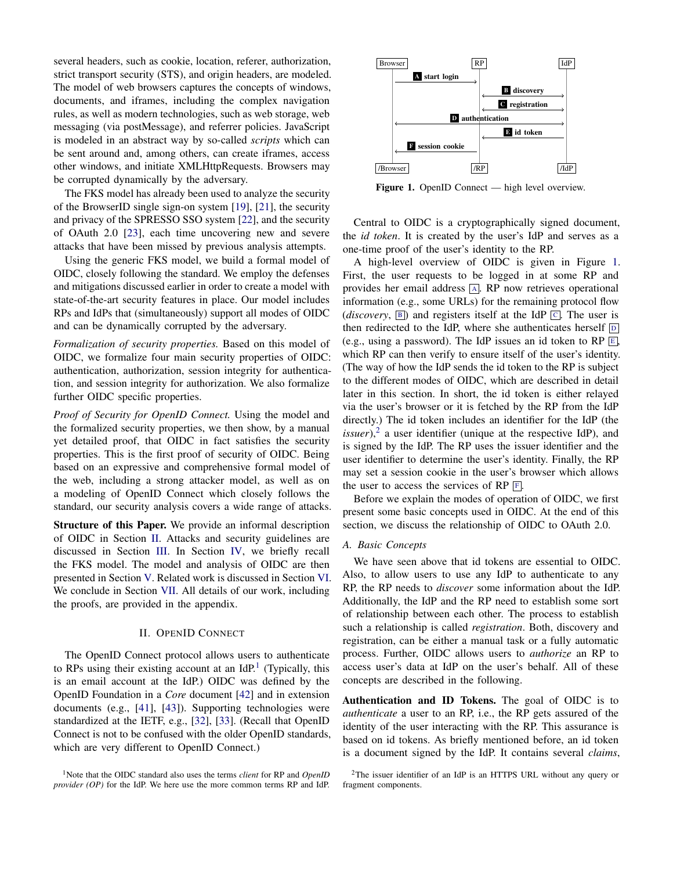several headers, such as cookie, location, referer, authorization, strict transport security (STS), and origin headers, are modeled. The model of web browsers captures the concepts of windows, documents, and iframes, including the complex navigation rules, as well as modern technologies, such as web storage, web messaging (via postMessage), and referrer policies. JavaScript is modeled in an abstract way by so-called *scripts* which can be sent around and, among others, can create iframes, access other windows, and initiate XMLHttpRequests. Browsers may be corrupted dynamically by the adversary.

The FKS model has already been used to analyze the security of the BrowserID single sign-on system [\[19\]](#page-12-1), [\[21\]](#page-12-2), the security and privacy of the SPRESSO SSO system [\[22\]](#page-12-3), and the security of OAuth 2.0 [\[23\]](#page-12-4), each time uncovering new and severe attacks that have been missed by previous analysis attempts.

Using the generic FKS model, we build a formal model of OIDC, closely following the standard. We employ the defenses and mitigations discussed earlier in order to create a model with state-of-the-art security features in place. Our model includes RPs and IdPs that (simultaneously) support all modes of OIDC and can be dynamically corrupted by the adversary.

*Formalization of security properties.* Based on this model of OIDC, we formalize four main security properties of OIDC: authentication, authorization, session integrity for authentication, and session integrity for authorization. We also formalize further OIDC specific properties.

*Proof of Security for OpenID Connect.* Using the model and the formalized security properties, we then show, by a manual yet detailed proof, that OIDC in fact satisfies the security properties. This is the first proof of security of OIDC. Being based on an expressive and comprehensive formal model of the web, including a strong attacker model, as well as on a modeling of OpenID Connect which closely follows the standard, our security analysis covers a wide range of attacks.

Structure of this Paper. We provide an informal description of OIDC in Section [II.](#page-1-0) Attacks and security guidelines are discussed in Section [III.](#page-4-0) In Section [IV,](#page-6-0) we briefly recall the FKS model. The model and analysis of OIDC are then presented in Section [V.](#page-7-0) Related work is discussed in Section [VI.](#page-11-0) We conclude in Section [VII.](#page-12-5) All details of our work, including the proofs, are provided in the appendix.

## II. OPENID CONNECT

<span id="page-1-0"></span>The OpenID Connect protocol allows users to authenticate to RPs using their existing account at an IdP. $<sup>1</sup>$  $<sup>1</sup>$  $<sup>1</sup>$  (Typically, this</sup> is an email account at the IdP.) OIDC was defined by the OpenID Foundation in a *Core* document [\[42\]](#page-13-3) and in extension documents (e.g., [\[41\]](#page-13-4), [\[43\]](#page-13-5)). Supporting technologies were standardized at the IETF, e.g., [\[32\]](#page-13-6), [\[33\]](#page-13-7). (Recall that OpenID Connect is not to be confused with the older OpenID standards, which are very different to OpenID Connect.)

<span id="page-1-1"></span><sup>1</sup>Note that the OIDC standard also uses the terms *client* for RP and *OpenID provider (OP)* for the IdP. We here use the more common terms RP and IdP.

<span id="page-1-6"></span><span id="page-1-5"></span><span id="page-1-4"></span><span id="page-1-3"></span><span id="page-1-2"></span>

<span id="page-1-9"></span><span id="page-1-7"></span>Figure 1. OpenID Connect — high level overview.

Central to OIDC is a cryptographically signed document, the *id token*. It is created by the user's IdP and serves as a one-time proof of the user's identity to the RP.

A high-level overview of OIDC is given in Figure [1.](#page-1-2) First, the user requests to be logged in at some RP and provides her email address [A](#page-1-3). RP now retrieves operational information (e.g., some URLs) for the remaining protocol flow (*discovery*,  $\boxed{B}$  $\boxed{B}$  $\boxed{B}$ ) and registers itself at the IdP  $\boxed{C}$  $\boxed{C}$  $\boxed{C}$ . The user is then redirected to the IdP, where she authenticates herself  $\boxed{D}$  $\boxed{D}$  $\boxed{D}$ (e.g., using a password). The IdP issues an id token to RP  $\overline{E}$  $\overline{E}$  $\overline{E}$ , which RP can then verify to ensure itself of the user's identity. (The way of how the IdP sends the id token to the RP is subject to the different modes of OIDC, which are described in detail later in this section. In short, the id token is either relayed via the user's browser or it is fetched by the RP from the IdP directly.) The id token includes an identifier for the IdP (the  $is sure$ ),<sup>[2](#page-1-8)</sup> a user identifier (unique at the respective IdP), and is signed by the IdP. The RP uses the issuer identifier and the user identifier to determine the user's identity. Finally, the RP may set a session cookie in the user's browser which allows the user to access the services of RP  $\overline{F}$  $\overline{F}$  $\overline{F}$ .

Before we explain the modes of operation of OIDC, we first present some basic concepts used in OIDC. At the end of this section, we discuss the relationship of OIDC to OAuth 2.0.

#### <span id="page-1-10"></span>*A. Basic Concepts*

We have seen above that id tokens are essential to OIDC. Also, to allow users to use any IdP to authenticate to any RP, the RP needs to *discover* some information about the IdP. Additionally, the IdP and the RP need to establish some sort of relationship between each other. The process to establish such a relationship is called *registration*. Both, discovery and registration, can be either a manual task or a fully automatic process. Further, OIDC allows users to *authorize* an RP to access user's data at IdP on the user's behalf. All of these concepts are described in the following.

Authentication and ID Tokens. The goal of OIDC is to *authenticate* a user to an RP, i.e., the RP gets assured of the identity of the user interacting with the RP. This assurance is based on id tokens. As briefly mentioned before, an id token is a document signed by the IdP. It contains several *claims*,

<span id="page-1-8"></span> $2$ The issuer identifier of an IdP is an HTTPS URL without any query or fragment components.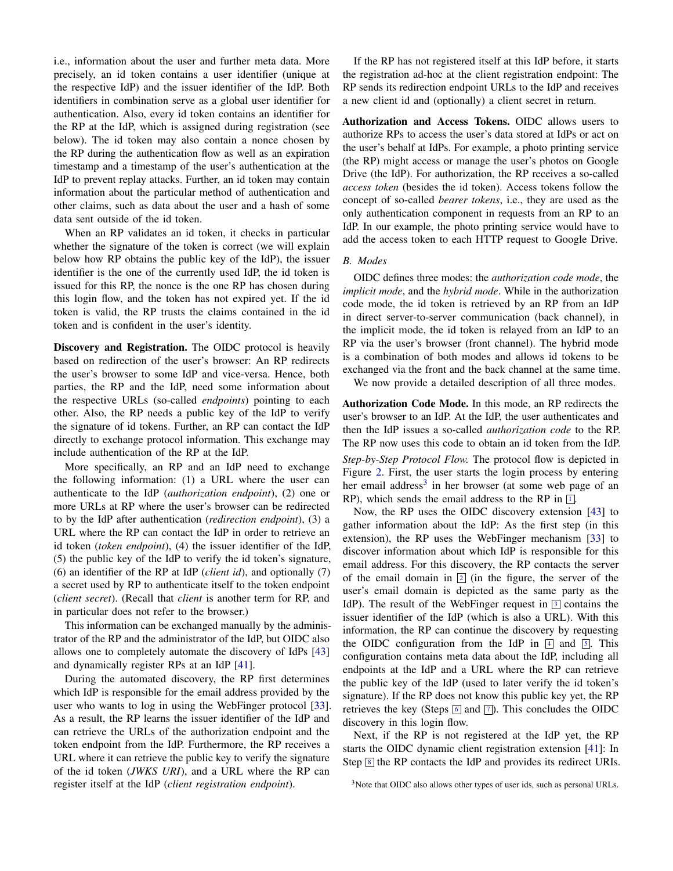i.e., information about the user and further meta data. More precisely, an id token contains a user identifier (unique at the respective IdP) and the issuer identifier of the IdP. Both identifiers in combination serve as a global user identifier for authentication. Also, every id token contains an identifier for the RP at the IdP, which is assigned during registration (see below). The id token may also contain a nonce chosen by the RP during the authentication flow as well as an expiration timestamp and a timestamp of the user's authentication at the IdP to prevent replay attacks. Further, an id token may contain information about the particular method of authentication and other claims, such as data about the user and a hash of some data sent outside of the id token.

When an RP validates an id token, it checks in particular whether the signature of the token is correct (we will explain below how RP obtains the public key of the IdP), the issuer identifier is the one of the currently used IdP, the id token is issued for this RP, the nonce is the one RP has chosen during this login flow, and the token has not expired yet. If the id token is valid, the RP trusts the claims contained in the id token and is confident in the user's identity.

Discovery and Registration. The OIDC protocol is heavily based on redirection of the user's browser: An RP redirects the user's browser to some IdP and vice-versa. Hence, both parties, the RP and the IdP, need some information about the respective URLs (so-called *endpoints*) pointing to each other. Also, the RP needs a public key of the IdP to verify the signature of id tokens. Further, an RP can contact the IdP directly to exchange protocol information. This exchange may include authentication of the RP at the IdP.

More specifically, an RP and an IdP need to exchange the following information: (1) a URL where the user can authenticate to the IdP (*authorization endpoint*), (2) one or more URLs at RP where the user's browser can be redirected to by the IdP after authentication (*redirection endpoint*), (3) a URL where the RP can contact the IdP in order to retrieve an id token (*token endpoint*), (4) the issuer identifier of the IdP, (5) the public key of the IdP to verify the id token's signature, (6) an identifier of the RP at IdP (*client id*), and optionally (7) a secret used by RP to authenticate itself to the token endpoint (*client secret*). (Recall that *client* is another term for RP, and in particular does not refer to the browser.)

This information can be exchanged manually by the administrator of the RP and the administrator of the IdP, but OIDC also allows one to completely automate the discovery of IdPs [\[43\]](#page-13-5) and dynamically register RPs at an IdP [\[41\]](#page-13-4).

During the automated discovery, the RP first determines which IdP is responsible for the email address provided by the user who wants to log in using the WebFinger protocol [\[33\]](#page-13-7). As a result, the RP learns the issuer identifier of the IdP and can retrieve the URLs of the authorization endpoint and the token endpoint from the IdP. Furthermore, the RP receives a URL where it can retrieve the public key to verify the signature of the id token (*JWKS URI*), and a URL where the RP can register itself at the IdP (*client registration endpoint*).

If the RP has not registered itself at this IdP before, it starts the registration ad-hoc at the client registration endpoint: The RP sends its redirection endpoint URLs to the IdP and receives a new client id and (optionally) a client secret in return.

Authorization and Access Tokens. OIDC allows users to authorize RPs to access the user's data stored at IdPs or act on the user's behalf at IdPs. For example, a photo printing service (the RP) might access or manage the user's photos on Google Drive (the IdP). For authorization, the RP receives a so-called *access token* (besides the id token). Access tokens follow the concept of so-called *bearer tokens*, i.e., they are used as the only authentication component in requests from an RP to an IdP. In our example, the photo printing service would have to add the access token to each HTTP request to Google Drive.

## <span id="page-2-1"></span>*B. Modes*

OIDC defines three modes: the *authorization code mode*, the *implicit mode*, and the *hybrid mode*. While in the authorization code mode, the id token is retrieved by an RP from an IdP in direct server-to-server communication (back channel), in the implicit mode, the id token is relayed from an IdP to an RP via the user's browser (front channel). The hybrid mode is a combination of both modes and allows id tokens to be exchanged via the front and the back channel at the same time.

We now provide a detailed description of all three modes.

Authorization Code Mode. In this mode, an RP redirects the user's browser to an IdP. At the IdP, the user authenticates and then the IdP issues a so-called *authorization code* to the RP. The RP now uses this code to obtain an id token from the IdP. *Step-by-Step Protocol Flow.* The protocol flow is depicted in Figure [2.](#page-3-0) First, the user starts the login process by entering her email address<sup>[3](#page-2-0)</sup> in her browser (at some web page of an RP), which sends the email address to the RP in  $\boxed{1}$  $\boxed{1}$  $\boxed{1}$ .

Now, the RP uses the OIDC discovery extension [\[43\]](#page-13-5) to gather information about the IdP: As the first step (in this extension), the RP uses the WebFinger mechanism [\[33\]](#page-13-7) to discover information about which IdP is responsible for this email address. For this discovery, the RP contacts the server of the email domain in  $\boxed{2}$  $\boxed{2}$  $\boxed{2}$  (in the figure, the server of the user's email domain is depicted as the same party as the IdP). The result of the WebFinger request in  $\boxed{3}$  $\boxed{3}$  $\boxed{3}$  contains the issuer identifier of the IdP (which is also a URL). With this information, the RP can continue the discovery by requesting the OIDC configuration from the IdP in  $[4]$  $[4]$  $[4]$  and  $[5]$  $[5]$  $[5]$ . This configuration contains meta data about the IdP, including all endpoints at the IdP and a URL where the RP can retrieve the public key of the IdP (used to later verify the id token's signature). If the RP does not know this public key yet, the RP retrieves the key (Steps  $\boxed{6}$  $\boxed{6}$  $\boxed{6}$  and  $\boxed{7}$  $\boxed{7}$  $\boxed{7}$ ). This concludes the OIDC discovery in this login flow.

Next, if the RP is not registered at the IdP yet, the RP starts the OIDC dynamic client registration extension [\[41\]](#page-13-4): In Step  $\boxed{8}$  $\boxed{8}$  $\boxed{8}$  the RP contacts the IdP and provides its redirect URIs.

<span id="page-2-0"></span><sup>&</sup>lt;sup>3</sup>Note that OIDC also allows other types of user ids, such as personal URLs.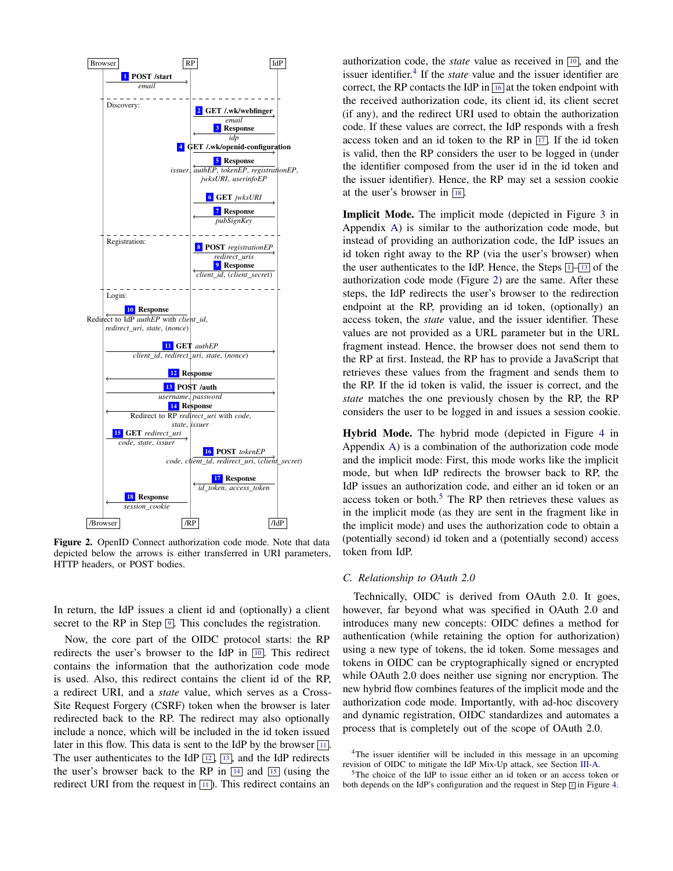<span id="page-3-14"></span><span id="page-3-4"></span><span id="page-3-2"></span><span id="page-3-1"></span><span id="page-3-0"></span>

<span id="page-3-19"></span><span id="page-3-15"></span>Figure 2. OpenID Connect authorization code mode. Note that data depicted below the arrows is either transferred in URI parameters, HTTP headers, or POST bodies.

In return, the IdP issues a client id and (optionally) a client secret to the RP in Step  $\boxed{9}$  $\boxed{9}$  $\boxed{9}$ . This concludes the registration.

Now, the core part of the OIDC protocol starts: the RP redirects the user's browser to the IdP in  $\boxed{10}$  $\boxed{10}$  $\boxed{10}$ . This redirect contains the information that the authorization code mode is used. Also, this redirect contains the client id of the RP, a redirect URI, and a *state* value, which serves as a Cross-Site Request Forgery (CSRF) token when the browser is later redirected back to the RP. The redirect may also optionally include a nonce, which will be included in the id token issued later in this flow. This data is sent to the IdP by the browser  $\boxed{11}$  $\boxed{11}$  $\boxed{11}$ . The user authenticates to the IdP  $\boxed{12}$  $\boxed{12}$  $\boxed{12}$ ,  $\boxed{13}$  $\boxed{13}$  $\boxed{13}$ , and the IdP redirects the user's browser back to the RP in  $\boxed{14}$  $\boxed{14}$  $\boxed{14}$  and  $\boxed{15}$  $\boxed{15}$  $\boxed{15}$  (using the redirect URI from the request in  $\boxed{11}$  $\boxed{11}$  $\boxed{11}$ . This redirect contains an

<span id="page-3-3"></span>authorization code, the *state* value as received in  $\boxed{10}$  $\boxed{10}$  $\boxed{10}$ , and the issuer identifier.<sup>[4](#page-3-16)</sup> If the *state* value and the issuer identifier are correct, the RP contacts the IdP in  $\overline{16}$  $\overline{16}$  $\overline{16}$  at the token endpoint with the received authorization code, its client id, its client secret (if any), and the redirect URI used to obtain the authorization code. If these values are correct, the IdP responds with a fresh access token and an id token to the RP in  $\overline{17}$  $\overline{17}$  $\overline{17}$ . If the id token is valid, then the RP considers the user to be logged in (under the identifier composed from the user id in the id token and the issuer identifier). Hence, the RP may set a session cookie at the user's browser in  $\boxed{18}$  $\boxed{18}$  $\boxed{18}$ .

<span id="page-3-10"></span><span id="page-3-9"></span><span id="page-3-8"></span><span id="page-3-7"></span><span id="page-3-6"></span><span id="page-3-5"></span>Implicit Mode. The implicit mode (depicted in Figure [3](#page-14-0) in Appendix [A\)](#page-14-1) is similar to the authorization code mode, but instead of providing an authorization code, the IdP issues an id token right away to the RP (via the user's browser) when the user authenticates to the IdP. Hence, the Steps  $\boxed{1-\boxed{13}}$  $\boxed{1-\boxed{13}}$  $\boxed{1-\boxed{13}}$  $\boxed{1-\boxed{13}}$  $\boxed{1-\boxed{13}}$  of the authorization code mode (Figure [2\)](#page-3-0) are the same. After these steps, the IdP redirects the user's browser to the redirection endpoint at the RP, providing an id token, (optionally) an access token, the *state* value, and the issuer identifier. These values are not provided as a URL parameter but in the URL fragment instead. Hence, the browser does not send them to the RP at first. Instead, the RP has to provide a JavaScript that retrieves these values from the fragment and sends them to the RP. If the id token is valid, the issuer is correct, and the *state* matches the one previously chosen by the RP, the RP considers the user to be logged in and issues a session cookie.

<span id="page-3-18"></span><span id="page-3-17"></span><span id="page-3-13"></span><span id="page-3-12"></span><span id="page-3-11"></span>Hybrid Mode. The hybrid mode (depicted in Figure [4](#page-15-0) in Appendix [A\)](#page-14-1) is a combination of the authorization code mode and the implicit mode: First, this mode works like the implicit mode, but when IdP redirects the browser back to RP, the IdP issues an authorization code, and either an id token or an access token or both. $5$  The RP then retrieves these values as in the implicit mode (as they are sent in the fragment like in the implicit mode) and uses the authorization code to obtain a (potentially second) id token and a (potentially second) access token from IdP.

#### <span id="page-3-21"></span>*C. Relationship to OAuth 2.0*

Technically, OIDC is derived from OAuth 2.0. It goes, however, far beyond what was specified in OAuth 2.0 and introduces many new concepts: OIDC defines a method for authentication (while retaining the option for authorization) using a new type of tokens, the id token. Some messages and tokens in OIDC can be cryptographically signed or encrypted while OAuth 2.0 does neither use signing nor encryption. The new hybrid flow combines features of the implicit mode and the authorization code mode. Importantly, with ad-hoc discovery and dynamic registration, OIDC standardizes and automates a process that is completely out of the scope of OAuth 2.0.

<span id="page-3-16"></span><sup>4</sup>The issuer identifier will be included in this message in an upcoming revision of OIDC to mitigate the IdP Mix-Up attack, see Section [III-A.](#page-4-1)

<span id="page-3-20"></span><sup>5</sup>The choice of the IdP to issue either an id token or an access token or both depends on the IdP's configuration and the request in Step  $\boxed{3}$  $\boxed{3}$  $\boxed{3}$  in Figure [4.](#page-15-0)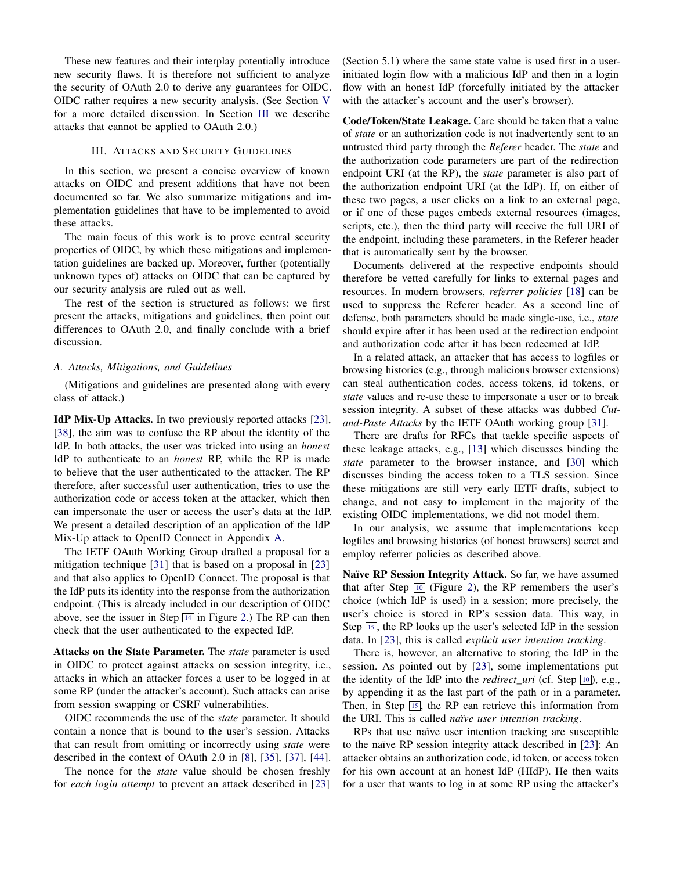These new features and their interplay potentially introduce new security flaws. It is therefore not sufficient to analyze the security of OAuth 2.0 to derive any guarantees for OIDC. OIDC rather requires a new security analysis. (See Section [V](#page-7-0) for a more detailed discussion. In Section [III](#page-4-0) we describe attacks that cannot be applied to OAuth 2.0.)

## III. ATTACKS AND SECURITY GUIDELINES

<span id="page-4-0"></span>In this section, we present a concise overview of known attacks on OIDC and present additions that have not been documented so far. We also summarize mitigations and implementation guidelines that have to be implemented to avoid these attacks.

The main focus of this work is to prove central security properties of OIDC, by which these mitigations and implementation guidelines are backed up. Moreover, further (potentially unknown types of) attacks on OIDC that can be captured by our security analysis are ruled out as well.

The rest of the section is structured as follows: we first present the attacks, mitigations and guidelines, then point out differences to OAuth 2.0, and finally conclude with a brief discussion.

#### <span id="page-4-1"></span>*A. Attacks, Mitigations, and Guidelines*

(Mitigations and guidelines are presented along with every class of attack.)

IdP Mix-Up Attacks. In two previously reported attacks [\[23\]](#page-12-4), [\[38\]](#page-13-2), the aim was to confuse the RP about the identity of the IdP. In both attacks, the user was tricked into using an *honest* IdP to authenticate to an *honest* RP, while the RP is made to believe that the user authenticated to the attacker. The RP therefore, after successful user authentication, tries to use the authorization code or access token at the attacker, which then can impersonate the user or access the user's data at the IdP. We present a detailed description of an application of the IdP Mix-Up attack to OpenID Connect in Appendix [A.](#page-14-1)

The IETF OAuth Working Group drafted a proposal for a mitigation technique [\[31\]](#page-13-8) that is based on a proposal in [\[23\]](#page-12-4) and that also applies to OpenID Connect. The proposal is that the IdP puts its identity into the response from the authorization endpoint. (This is already included in our description of OIDC above, see the issuer in Step  $\boxed{14}$  $\boxed{14}$  $\boxed{14}$  in Figure [2.](#page-3-0)) The RP can then check that the user authenticated to the expected IdP.

Attacks on the State Parameter. The *state* parameter is used in OIDC to protect against attacks on session integrity, i.e., attacks in which an attacker forces a user to be logged in at some RP (under the attacker's account). Such attacks can arise from session swapping or CSRF vulnerabilities.

OIDC recommends the use of the *state* parameter. It should contain a nonce that is bound to the user's session. Attacks that can result from omitting or incorrectly using *state* were described in the context of OAuth 2.0 in [\[8\]](#page-12-6), [\[35\]](#page-13-9), [\[37\]](#page-13-10), [\[44\]](#page-13-11).

The nonce for the *state* value should be chosen freshly for *each login attempt* to prevent an attack described in [\[23\]](#page-12-4) (Section 5.1) where the same state value is used first in a userinitiated login flow with a malicious IdP and then in a login flow with an honest IdP (forcefully initiated by the attacker with the attacker's account and the user's browser).

Code/Token/State Leakage. Care should be taken that a value of *state* or an authorization code is not inadvertently sent to an untrusted third party through the *Referer* header. The *state* and the authorization code parameters are part of the redirection endpoint URI (at the RP), the *state* parameter is also part of the authorization endpoint URI (at the IdP). If, on either of these two pages, a user clicks on a link to an external page, or if one of these pages embeds external resources (images, scripts, etc.), then the third party will receive the full URI of the endpoint, including these parameters, in the Referer header that is automatically sent by the browser.

Documents delivered at the respective endpoints should therefore be vetted carefully for links to external pages and resources. In modern browsers, *referrer policies* [\[18\]](#page-12-7) can be used to suppress the Referer header. As a second line of defense, both parameters should be made single-use, i.e., *state* should expire after it has been used at the redirection endpoint and authorization code after it has been redeemed at IdP.

In a related attack, an attacker that has access to logfiles or browsing histories (e.g., through malicious browser extensions) can steal authentication codes, access tokens, id tokens, or *state* values and re-use these to impersonate a user or to break session integrity. A subset of these attacks was dubbed *Cutand-Paste Attacks* by the IETF OAuth working group [\[31\]](#page-13-8).

There are drafts for RFCs that tackle specific aspects of these leakage attacks, e.g., [\[13\]](#page-12-8) which discusses binding the *state* parameter to the browser instance, and [\[30\]](#page-13-12) which discusses binding the access token to a TLS session. Since these mitigations are still very early IETF drafts, subject to change, and not easy to implement in the majority of the existing OIDC implementations, we did not model them.

In our analysis, we assume that implementations keep logfiles and browsing histories (of honest browsers) secret and employ referrer policies as described above.

Naïve RP Session Integrity Attack. So far, we have assumed that after Step  $\boxed{10}$  $\boxed{10}$  $\boxed{10}$  (Figure [2\)](#page-3-0), the RP remembers the user's choice (which IdP is used) in a session; more precisely, the user's choice is stored in RP's session data. This way, in Step  $\overline{15}$  $\overline{15}$  $\overline{15}$ , the RP looks up the user's selected IdP in the session data. In [\[23\]](#page-12-4), this is called *explicit user intention tracking*.

There is, however, an alternative to storing the IdP in the session. As pointed out by [\[23\]](#page-12-4), some implementations put the identity of the IdP into the *redirect uri* (cf. Step  $\boxed{10}$  $\boxed{10}$  $\boxed{10}$ ), e.g., by appending it as the last part of the path or in a parameter. Then, in Step  $\boxed{15}$  $\boxed{15}$  $\boxed{15}$ , the RP can retrieve this information from the URI. This is called *naïve user intention tracking*.

RPs that use naïve user intention tracking are susceptible to the naïve RP session integrity attack described in [\[23\]](#page-12-4): An attacker obtains an authorization code, id token, or access token for his own account at an honest IdP (HIdP). He then waits for a user that wants to log in at some RP using the attacker's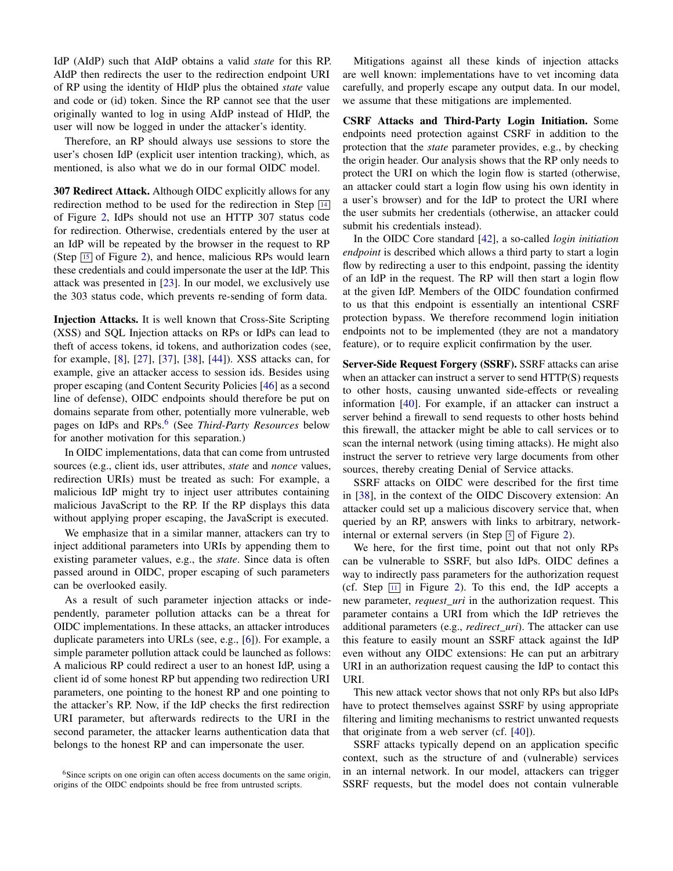IdP (AIdP) such that AIdP obtains a valid *state* for this RP. AIdP then redirects the user to the redirection endpoint URI of RP using the identity of HIdP plus the obtained *state* value and code or (id) token. Since the RP cannot see that the user originally wanted to log in using AIdP instead of HIdP, the user will now be logged in under the attacker's identity.

Therefore, an RP should always use sessions to store the user's chosen IdP (explicit user intention tracking), which, as mentioned, is also what we do in our formal OIDC model.

307 Redirect Attack. Although OIDC explicitly allows for any redirection method to be used for the redirection in Step [14](#page-3-14) of Figure [2,](#page-3-0) IdPs should not use an HTTP 307 status code for redirection. Otherwise, credentials entered by the user at an IdP will be repeated by the browser in the request to RP (Step  $\overline{15}$  $\overline{15}$  $\overline{15}$  of Figure [2\)](#page-3-0), and hence, malicious RPs would learn these credentials and could impersonate the user at the IdP. This attack was presented in [\[23\]](#page-12-4). In our model, we exclusively use the 303 status code, which prevents re-sending of form data.

Injection Attacks. It is well known that Cross-Site Scripting (XSS) and SQL Injection attacks on RPs or IdPs can lead to theft of access tokens, id tokens, and authorization codes (see, for example, [\[8\]](#page-12-6), [\[27\]](#page-12-9), [\[37\]](#page-13-10), [\[38\]](#page-13-2), [\[44\]](#page-13-11)). XSS attacks can, for example, give an attacker access to session ids. Besides using proper escaping (and Content Security Policies [\[46\]](#page-13-13) as a second line of defense), OIDC endpoints should therefore be put on domains separate from other, potentially more vulnerable, web pages on IdPs and RPs.[6](#page-5-0) (See *Third-Party Resources* below for another motivation for this separation.)

In OIDC implementations, data that can come from untrusted sources (e.g., client ids, user attributes, *state* and *nonce* values, redirection URIs) must be treated as such: For example, a malicious IdP might try to inject user attributes containing malicious JavaScript to the RP. If the RP displays this data without applying proper escaping, the JavaScript is executed.

We emphasize that in a similar manner, attackers can try to inject additional parameters into URIs by appending them to existing parameter values, e.g., the *state*. Since data is often passed around in OIDC, proper escaping of such parameters can be overlooked easily.

As a result of such parameter injection attacks or independently, parameter pollution attacks can be a threat for OIDC implementations. In these attacks, an attacker introduces duplicate parameters into URLs (see, e.g., [\[6\]](#page-12-10)). For example, a simple parameter pollution attack could be launched as follows: A malicious RP could redirect a user to an honest IdP, using a client id of some honest RP but appending two redirection URI parameters, one pointing to the honest RP and one pointing to the attacker's RP. Now, if the IdP checks the first redirection URI parameter, but afterwards redirects to the URI in the second parameter, the attacker learns authentication data that belongs to the honest RP and can impersonate the user.

Mitigations against all these kinds of injection attacks are well known: implementations have to vet incoming data carefully, and properly escape any output data. In our model, we assume that these mitigations are implemented.

CSRF Attacks and Third-Party Login Initiation. Some endpoints need protection against CSRF in addition to the protection that the *state* parameter provides, e.g., by checking the origin header. Our analysis shows that the RP only needs to protect the URI on which the login flow is started (otherwise, an attacker could start a login flow using his own identity in a user's browser) and for the IdP to protect the URI where the user submits her credentials (otherwise, an attacker could submit his credentials instead).

In the OIDC Core standard [\[42\]](#page-13-3), a so-called *login initiation endpoint* is described which allows a third party to start a login flow by redirecting a user to this endpoint, passing the identity of an IdP in the request. The RP will then start a login flow at the given IdP. Members of the OIDC foundation confirmed to us that this endpoint is essentially an intentional CSRF protection bypass. We therefore recommend login initiation endpoints not to be implemented (they are not a mandatory feature), or to require explicit confirmation by the user.

Server-Side Request Forgery (SSRF). SSRF attacks can arise when an attacker can instruct a server to send HTTP(S) requests to other hosts, causing unwanted side-effects or revealing information [\[40\]](#page-13-14). For example, if an attacker can instruct a server behind a firewall to send requests to other hosts behind this firewall, the attacker might be able to call services or to scan the internal network (using timing attacks). He might also instruct the server to retrieve very large documents from other sources, thereby creating Denial of Service attacks.

SSRF attacks on OIDC were described for the first time in [\[38\]](#page-13-2), in the context of the OIDC Discovery extension: An attacker could set up a malicious discovery service that, when queried by an RP, answers with links to arbitrary, networkinternal or external servers (in Step  $\overline{5}$  $\overline{5}$  $\overline{5}$  of Figure [2\)](#page-3-0).

We here, for the first time, point out that not only RPs can be vulnerable to SSRF, but also IdPs. OIDC defines a way to indirectly pass parameters for the authorization request (cf. Step  $\boxed{11}$  $\boxed{11}$  $\boxed{11}$  in Figure [2\)](#page-3-0). To this end, the IdP accepts a new parameter, *request*\_*uri* in the authorization request. This parameter contains a URI from which the IdP retrieves the additional parameters (e.g., *redirect*\_*uri*). The attacker can use this feature to easily mount an SSRF attack against the IdP even without any OIDC extensions: He can put an arbitrary URI in an authorization request causing the IdP to contact this URI.

This new attack vector shows that not only RPs but also IdPs have to protect themselves against SSRF by using appropriate filtering and limiting mechanisms to restrict unwanted requests that originate from a web server (cf. [\[40\]](#page-13-14)).

SSRF attacks typically depend on an application specific context, such as the structure of and (vulnerable) services in an internal network. In our model, attackers can trigger SSRF requests, but the model does not contain vulnerable

<span id="page-5-0"></span><sup>&</sup>lt;sup>6</sup>Since scripts on one origin can often access documents on the same origin, origins of the OIDC endpoints should be free from untrusted scripts.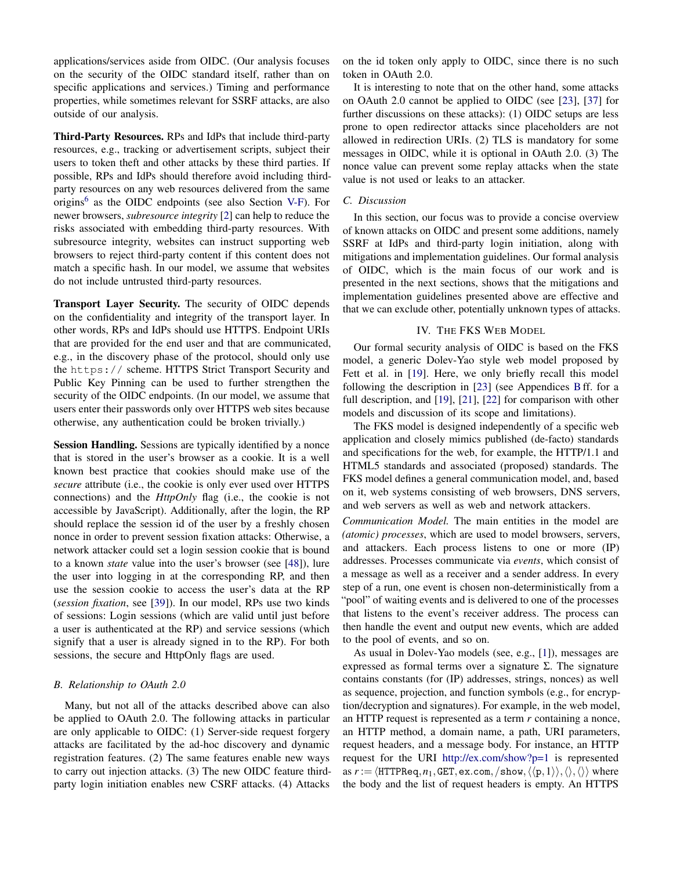applications/services aside from OIDC. (Our analysis focuses on the security of the OIDC standard itself, rather than on specific applications and services.) Timing and performance properties, while sometimes relevant for SSRF attacks, are also outside of our analysis.

Third-Party Resources. RPs and IdPs that include third-party resources, e.g., tracking or advertisement scripts, subject their users to token theft and other attacks by these third parties. If possible, RPs and IdPs should therefore avoid including thirdparty resources on any web resources delivered from the same origins<sup>[6](#page-5-0)</sup> as the OIDC endpoints (see also Section [V-F\)](#page-11-1). For newer browsers, *subresource integrity* [\[2\]](#page-12-11) can help to reduce the risks associated with embedding third-party resources. With subresource integrity, websites can instruct supporting web browsers to reject third-party content if this content does not match a specific hash. In our model, we assume that websites do not include untrusted third-party resources.

Transport Layer Security. The security of OIDC depends on the confidentiality and integrity of the transport layer. In other words, RPs and IdPs should use HTTPS. Endpoint URIs that are provided for the end user and that are communicated, e.g., in the discovery phase of the protocol, should only use the https:// scheme. HTTPS Strict Transport Security and Public Key Pinning can be used to further strengthen the security of the OIDC endpoints. (In our model, we assume that users enter their passwords only over HTTPS web sites because otherwise, any authentication could be broken trivially.)

**Session Handling.** Sessions are typically identified by a nonce that is stored in the user's browser as a cookie. It is a well known best practice that cookies should make use of the *secure* attribute (i.e., the cookie is only ever used over HTTPS connections) and the *HttpOnly* flag (i.e., the cookie is not accessible by JavaScript). Additionally, after the login, the RP should replace the session id of the user by a freshly chosen nonce in order to prevent session fixation attacks: Otherwise, a network attacker could set a login session cookie that is bound to a known *state* value into the user's browser (see [\[48\]](#page-13-15)), lure the user into logging in at the corresponding RP, and then use the session cookie to access the user's data at the RP (*session fixation*, see [\[39\]](#page-13-16)). In our model, RPs use two kinds of sessions: Login sessions (which are valid until just before a user is authenticated at the RP) and service sessions (which signify that a user is already signed in to the RP). For both sessions, the secure and HttpOnly flags are used.

## *B. Relationship to OAuth 2.0*

Many, but not all of the attacks described above can also be applied to OAuth 2.0. The following attacks in particular are only applicable to OIDC: (1) Server-side request forgery attacks are facilitated by the ad-hoc discovery and dynamic registration features. (2) The same features enable new ways to carry out injection attacks. (3) The new OIDC feature thirdparty login initiation enables new CSRF attacks. (4) Attacks

on the id token only apply to OIDC, since there is no such token in OAuth 2.0.

It is interesting to note that on the other hand, some attacks on OAuth 2.0 cannot be applied to OIDC (see [\[23\]](#page-12-4), [\[37\]](#page-13-10) for further discussions on these attacks): (1) OIDC setups are less prone to open redirector attacks since placeholders are not allowed in redirection URIs. (2) TLS is mandatory for some messages in OIDC, while it is optional in OAuth 2.0. (3) The nonce value can prevent some replay attacks when the state value is not used or leaks to an attacker.

## *C. Discussion*

In this section, our focus was to provide a concise overview of known attacks on OIDC and present some additions, namely SSRF at IdPs and third-party login initiation, along with mitigations and implementation guidelines. Our formal analysis of OIDC, which is the main focus of our work and is presented in the next sections, shows that the mitigations and implementation guidelines presented above are effective and that we can exclude other, potentially unknown types of attacks.

#### IV. THE FKS WEB MODEL

<span id="page-6-0"></span>Our formal security analysis of OIDC is based on the FKS model, a generic Dolev-Yao style web model proposed by Fett et al. in [\[19\]](#page-12-1). Here, we only briefly recall this model following the description in [\[23\]](#page-12-4) (see Appendices [B](#page-18-0)ff. for a full description, and [\[19\]](#page-12-1), [\[21\]](#page-12-2), [\[22\]](#page-12-3) for comparison with other models and discussion of its scope and limitations).

The FKS model is designed independently of a specific web application and closely mimics published (de-facto) standards and specifications for the web, for example, the HTTP/1.1 and HTML5 standards and associated (proposed) standards. The FKS model defines a general communication model, and, based on it, web systems consisting of web browsers, DNS servers, and web servers as well as web and network attackers.

*Communication Model.* The main entities in the model are *(atomic) processes*, which are used to model browsers, servers, and attackers. Each process listens to one or more (IP) addresses. Processes communicate via *events*, which consist of a message as well as a receiver and a sender address. In every step of a run, one event is chosen non-deterministically from a "pool" of waiting events and is delivered to one of the processes that listens to the event's receiver address. The process can then handle the event and output new events, which are added to the pool of events, and so on.

As usual in Dolev-Yao models (see, e.g., [\[1\]](#page-12-12)), messages are expressed as formal terms over a signature Σ. The signature contains constants (for (IP) addresses, strings, nonces) as well as sequence, projection, and function symbols (e.g., for encryption/decryption and signatures). For example, in the web model, an HTTP request is represented as a term *r* containing a nonce, an HTTP method, a domain name, a path, URI parameters, request headers, and a message body. For instance, an HTTP request for the URI <http://ex.com/show?p=1> is represented as  $r := \langle \text{HTTPReq}, n_1, \text{GET}, \text{ex.com}, \langle \text{show}, \langle \langle p, 1 \rangle \rangle, \langle \rangle, \langle \rangle \rangle$  where the body and the list of request headers is empty. An HTTPS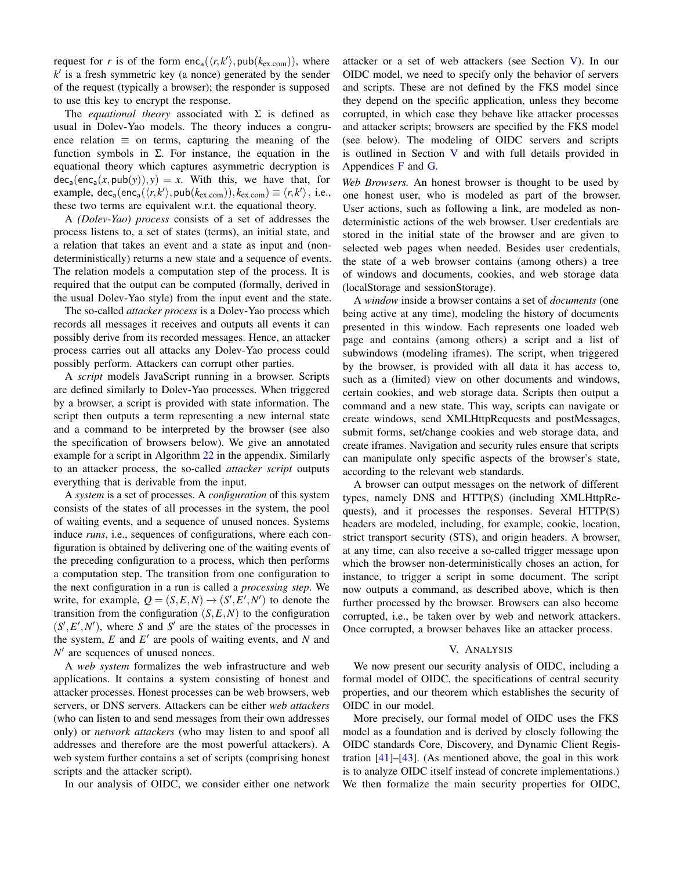request for *r* is of the form  $enc_a(\langle r, k' \rangle, \text{pub}(k_{ex.com}))$ , where  $k'$  is a fresh symmetric key (a nonce) generated by the sender of the request (typically a browser); the responder is supposed to use this key to encrypt the response.

The *equational theory* associated with  $\Sigma$  is defined as usual in Dolev-Yao models. The theory induces a congruence relation  $\equiv$  on terms, capturing the meaning of the function symbols in Σ. For instance, the equation in the equational theory which captures asymmetric decryption is  $dec_a(enc_a(x, pub(y)), y) = x$ . With this, we have that, for  $\text{example, } \text{dec}_{a}(\text{enc}_{a}(\langle r, k' \rangle, \text{pub}(k_{\text{ex.com}})), k_{\text{ex.com}}) \equiv \langle r, k' \rangle, \text{ i.e.,}$ these two terms are equivalent w.r.t. the equational theory.

A *(Dolev-Yao) process* consists of a set of addresses the process listens to, a set of states (terms), an initial state, and a relation that takes an event and a state as input and (nondeterministically) returns a new state and a sequence of events. The relation models a computation step of the process. It is required that the output can be computed (formally, derived in the usual Dolev-Yao style) from the input event and the state.

The so-called *attacker process* is a Dolev-Yao process which records all messages it receives and outputs all events it can possibly derive from its recorded messages. Hence, an attacker process carries out all attacks any Dolev-Yao process could possibly perform. Attackers can corrupt other parties.

A *script* models JavaScript running in a browser. Scripts are defined similarly to Dolev-Yao processes. When triggered by a browser, a script is provided with state information. The script then outputs a term representing a new internal state and a command to be interpreted by the browser (see also the specification of browsers below). We give an annotated example for a script in Algorithm [22](#page-42-0) in the appendix. Similarly to an attacker process, the so-called *attacker script* outputs everything that is derivable from the input.

A *system* is a set of processes. A *configuration* of this system consists of the states of all processes in the system, the pool of waiting events, and a sequence of unused nonces. Systems induce *runs*, i.e., sequences of configurations, where each configuration is obtained by delivering one of the waiting events of the preceding configuration to a process, which then performs a computation step. The transition from one configuration to the next configuration in a run is called a *processing step*. We write, for example,  $Q = (S, E, N) \rightarrow (S', E', N')$  to denote the transition from the configuration  $(S, E, N)$  to the configuration  $(S', E', N')$ , where *S* and *S'* are the states of the processes in the system,  $E$  and  $E'$  are pools of waiting events, and  $N$  and  $N'$  are sequences of unused nonces.

A *web system* formalizes the web infrastructure and web applications. It contains a system consisting of honest and attacker processes. Honest processes can be web browsers, web servers, or DNS servers. Attackers can be either *web attackers* (who can listen to and send messages from their own addresses only) or *network attackers* (who may listen to and spoof all addresses and therefore are the most powerful attackers). A web system further contains a set of scripts (comprising honest scripts and the attacker script).

In our analysis of OIDC, we consider either one network

attacker or a set of web attackers (see Section [V\)](#page-7-0). In our OIDC model, we need to specify only the behavior of servers and scripts. These are not defined by the FKS model since they depend on the specific application, unless they become corrupted, in which case they behave like attacker processes and attacker scripts; browsers are specified by the FKS model (see below). The modeling of OIDC servers and scripts is outlined in Section [V](#page-7-0) and with full details provided in Appendices [F](#page-36-0) and [G.](#page-46-0)

*Web Browsers.* An honest browser is thought to be used by one honest user, who is modeled as part of the browser. User actions, such as following a link, are modeled as nondeterministic actions of the web browser. User credentials are stored in the initial state of the browser and are given to selected web pages when needed. Besides user credentials, the state of a web browser contains (among others) a tree of windows and documents, cookies, and web storage data (localStorage and sessionStorage).

A *window* inside a browser contains a set of *documents* (one being active at any time), modeling the history of documents presented in this window. Each represents one loaded web page and contains (among others) a script and a list of subwindows (modeling iframes). The script, when triggered by the browser, is provided with all data it has access to, such as a (limited) view on other documents and windows, certain cookies, and web storage data. Scripts then output a command and a new state. This way, scripts can navigate or create windows, send XMLHttpRequests and postMessages, submit forms, set/change cookies and web storage data, and create iframes. Navigation and security rules ensure that scripts can manipulate only specific aspects of the browser's state, according to the relevant web standards.

A browser can output messages on the network of different types, namely DNS and HTTP(S) (including XMLHttpRequests), and it processes the responses. Several HTTP(S) headers are modeled, including, for example, cookie, location, strict transport security (STS), and origin headers. A browser, at any time, can also receive a so-called trigger message upon which the browser non-deterministically choses an action, for instance, to trigger a script in some document. The script now outputs a command, as described above, which is then further processed by the browser. Browsers can also become corrupted, i.e., be taken over by web and network attackers. Once corrupted, a browser behaves like an attacker process.

#### V. ANALYSIS

<span id="page-7-0"></span>We now present our security analysis of OIDC, including a formal model of OIDC, the specifications of central security properties, and our theorem which establishes the security of OIDC in our model.

More precisely, our formal model of OIDC uses the FKS model as a foundation and is derived by closely following the OIDC standards Core, Discovery, and Dynamic Client Registration [\[41\]](#page-13-4)–[\[43\]](#page-13-5). (As mentioned above, the goal in this work is to analyze OIDC itself instead of concrete implementations.) We then formalize the main security properties for OIDC,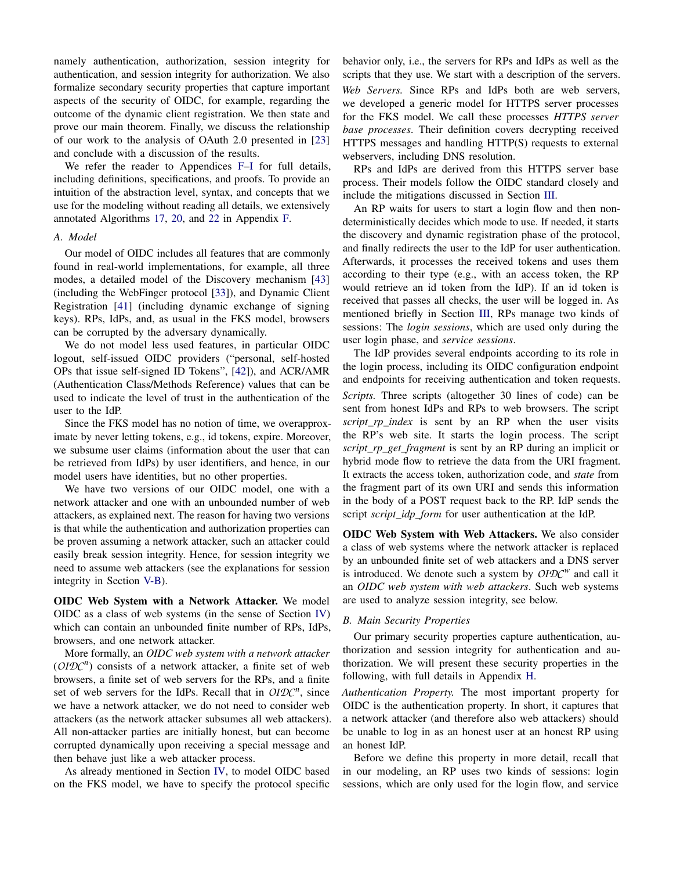namely authentication, authorization, session integrity for authentication, and session integrity for authorization. We also formalize secondary security properties that capture important aspects of the security of OIDC, for example, regarding the outcome of the dynamic client registration. We then state and prove our main theorem. Finally, we discuss the relationship of our work to the analysis of OAuth 2.0 presented in [\[23\]](#page-12-4) and conclude with a discussion of the results.

We refer the reader to Appendices [F](#page-36-0)-I for full details, including definitions, specifications, and proofs. To provide an intuition of the abstraction level, syntax, and concepts that we use for the modeling without reading all details, we extensively annotated Algorithms [17,](#page-39-0) [20,](#page-40-0) and [22](#page-42-0) in Appendix [F.](#page-36-0)

#### *A. Model*

Our model of OIDC includes all features that are commonly found in real-world implementations, for example, all three modes, a detailed model of the Discovery mechanism [\[43\]](#page-13-5) (including the WebFinger protocol [\[33\]](#page-13-7)), and Dynamic Client Registration [\[41\]](#page-13-4) (including dynamic exchange of signing keys). RPs, IdPs, and, as usual in the FKS model, browsers can be corrupted by the adversary dynamically.

We do not model less used features, in particular OIDC logout, self-issued OIDC providers ("personal, self-hosted OPs that issue self-signed ID Tokens", [\[42\]](#page-13-3)), and ACR/AMR (Authentication Class/Methods Reference) values that can be used to indicate the level of trust in the authentication of the user to the IdP.

Since the FKS model has no notion of time, we overapproximate by never letting tokens, e.g., id tokens, expire. Moreover, we subsume user claims (information about the user that can be retrieved from IdPs) by user identifiers, and hence, in our model users have identities, but no other properties.

We have two versions of our OIDC model, one with a network attacker and one with an unbounded number of web attackers, as explained next. The reason for having two versions is that while the authentication and authorization properties can be proven assuming a network attacker, such an attacker could easily break session integrity. Hence, for session integrity we need to assume web attackers (see the explanations for session integrity in Section [V-B\)](#page-8-0).

OIDC Web System with a Network Attacker. We model OIDC as a class of web systems (in the sense of Section [IV\)](#page-6-0) which can contain an unbounded finite number of RPs, IdPs, browsers, and one network attacker.

More formally, an *OIDC web system with a network attacker*  $(OIDC<sup>n</sup>)$  consists of a network attacker, a finite set of web browsers, a finite set of web servers for the RPs, and a finite set of web servers for the IdPs. Recall that in  $OIDC<sup>n</sup>$ , since we have a network attacker, we do not need to consider web attackers (as the network attacker subsumes all web attackers). All non-attacker parties are initially honest, but can become corrupted dynamically upon receiving a special message and then behave just like a web attacker process.

As already mentioned in Section [IV,](#page-6-0) to model OIDC based on the FKS model, we have to specify the protocol specific behavior only, i.e., the servers for RPs and IdPs as well as the scripts that they use. We start with a description of the servers. *Web Servers.* Since RPs and IdPs both are web servers, we developed a generic model for HTTPS server processes for the FKS model. We call these processes *HTTPS server base processes*. Their definition covers decrypting received HTTPS messages and handling HTTP(S) requests to external webservers, including DNS resolution.

RPs and IdPs are derived from this HTTPS server base process. Their models follow the OIDC standard closely and include the mitigations discussed in Section [III.](#page-4-0)

An RP waits for users to start a login flow and then nondeterministically decides which mode to use. If needed, it starts the discovery and dynamic registration phase of the protocol, and finally redirects the user to the IdP for user authentication. Afterwards, it processes the received tokens and uses them according to their type (e.g., with an access token, the RP would retrieve an id token from the IdP). If an id token is received that passes all checks, the user will be logged in. As mentioned briefly in Section [III,](#page-4-0) RPs manage two kinds of sessions: The *login sessions*, which are used only during the user login phase, and *service sessions*.

The IdP provides several endpoints according to its role in the login process, including its OIDC configuration endpoint and endpoints for receiving authentication and token requests.

*Scripts.* Three scripts (altogether 30 lines of code) can be sent from honest IdPs and RPs to web browsers. The script *script\_rp\_index* is sent by an RP when the user visits the RP's web site. It starts the login process. The script *script\_rp\_get\_fragment* is sent by an RP during an implicit or hybrid mode flow to retrieve the data from the URI fragment. It extracts the access token, authorization code, and *state* from the fragment part of its own URI and sends this information in the body of a POST request back to the RP. IdP sends the script *script\_idp\_form* for user authentication at the IdP.

OIDC Web System with Web Attackers. We also consider a class of web systems where the network attacker is replaced by an unbounded finite set of web attackers and a DNS server is introduced. We denote such a system by *OIDC<sup>w</sup>* and call it an *OIDC web system with web attackers*. Such web systems are used to analyze session integrity, see below.

#### <span id="page-8-0"></span>*B. Main Security Properties*

Our primary security properties capture authentication, authorization and session integrity for authentication and authorization. We will present these security properties in the following, with full details in Appendix [H.](#page-47-0)

*Authentication Property.* The most important property for OIDC is the authentication property. In short, it captures that a network attacker (and therefore also web attackers) should be unable to log in as an honest user at an honest RP using an honest IdP.

Before we define this property in more detail, recall that in our modeling, an RP uses two kinds of sessions: login sessions, which are only used for the login flow, and service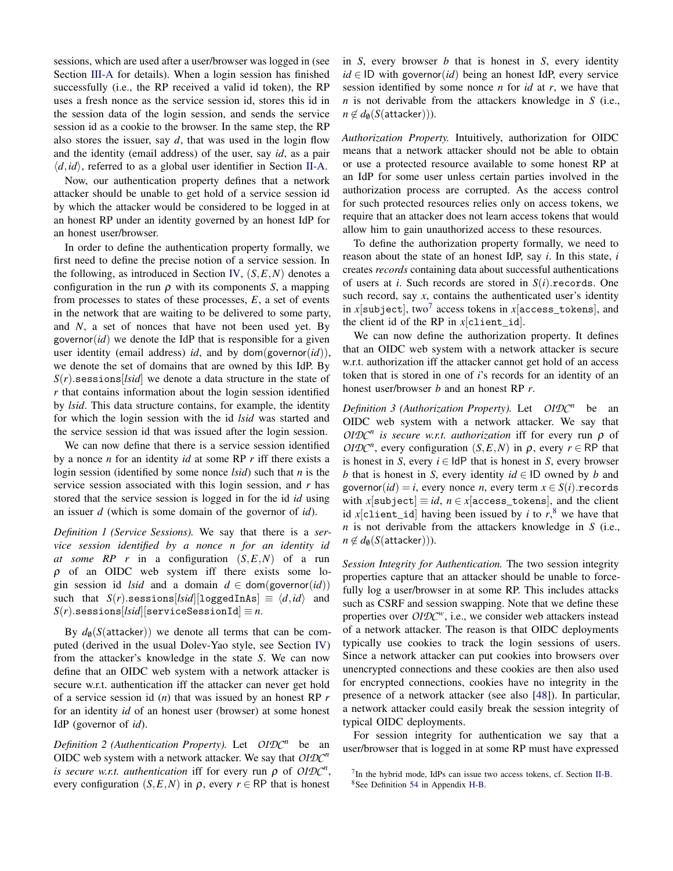sessions, which are used after a user/browser was logged in (see Section [III-A](#page-4-1) for details). When a login session has finished successfully (i.e., the RP received a valid id token), the RP uses a fresh nonce as the service session id, stores this id in the session data of the login session, and sends the service session id as a cookie to the browser. In the same step, the RP also stores the issuer, say *d*, that was used in the login flow and the identity (email address) of the user, say *id*, as a pair  $\langle d, id \rangle$ , referred to as a global user identifier in Section [II-A.](#page-1-10)

Now, our authentication property defines that a network attacker should be unable to get hold of a service session id by which the attacker would be considered to be logged in at an honest RP under an identity governed by an honest IdP for an honest user/browser.

In order to define the authentication property formally, we first need to define the precise notion of a service session. In the following, as introduced in Section [IV,](#page-6-0) (*S*,*E*,*N*) denotes a configuration in the run  $\rho$  with its components *S*, a mapping from processes to states of these processes, *E*, a set of events in the network that are waiting to be delivered to some party, and *N*, a set of nonces that have not been used yet. By governor $(id)$  we denote the IdP that is responsible for a given user identity (email address) *id*, and by dom(governor(*id*)), we denote the set of domains that are owned by this IdP. By  $S(r)$ .sessions[*lsid*] we denote a data structure in the state of *r* that contains information about the login session identified by *lsid*. This data structure contains, for example, the identity for which the login session with the id *lsid* was started and the service session id that was issued after the login session.

We can now define that there is a service session identified by a nonce *n* for an identity *id* at some RP *r* iff there exists a login session (identified by some nonce *lsid*) such that *n* is the service session associated with this login session, and *r* has stored that the service session is logged in for the id *id* using an issuer *d* (which is some domain of the governor of *id*).

*Definition 1 (Service Sessions).* We say that there is a *service session identified by a nonce n for an identity id at some RP r* in a configuration (*S*,*E*,*N*) of a run  $\rho$  of an OIDC web system iff there exists some login session id *lsid* and a domain  $d \in \text{dom}(\text{governor}(id))$ such that  $S(r)$ .sessions[*lsid*][loggedInAs]  $\equiv \langle d, id \rangle$  and  $S(r)$ .sessions[*lsid*][serviceSessionId]  $\equiv n$ .

By  $d_{\theta}(S(\text{attacker}))$  we denote all terms that can be computed (derived in the usual Dolev-Yao style, see Section [IV\)](#page-6-0) from the attacker's knowledge in the state *S*. We can now define that an OIDC web system with a network attacker is secure w.r.t. authentication iff the attacker can never get hold of a service session id (*n*) that was issued by an honest RP *r* for an identity *id* of an honest user (browser) at some honest IdP (governor of *id*).

*Definition 2 (Authentication Property).* Let *OIDC<sup>n</sup>* be an OIDC web system with a network attacker. We say that *OIDC<sup>n</sup> is secure w.r.t. authentication* iff for every run  $\rho$  of *OIDC<sup>n</sup>*, every configuration  $(S, E, N)$  in  $\rho$ , every  $r \in \mathbb{RP}$  that is honest

in *S*, every browser *b* that is honest in *S*, every identity *id* ∈ ID with governor(*id*) being an honest IdP, every service session identified by some nonce *n* for *id* at *r*, we have that *n* is not derivable from the attackers knowledge in *S* (i.e.,  $n \notin d_{\emptyset}(S(\text{attacker}))).$ 

*Authorization Property.* Intuitively, authorization for OIDC means that a network attacker should not be able to obtain or use a protected resource available to some honest RP at an IdP for some user unless certain parties involved in the authorization process are corrupted. As the access control for such protected resources relies only on access tokens, we require that an attacker does not learn access tokens that would allow him to gain unauthorized access to these resources.

To define the authorization property formally, we need to reason about the state of an honest IdP, say *i*. In this state, *i* creates *records* containing data about successful authentications of users at *i*. Such records are stored in *S*(*i*).records. One such record, say *x*, contains the authenticated user's identity in  $x[$ subject], two $^7$  $^7$  access tokens in  $x[$ access\_tokens], and the client id of the RP in *x*[client\_id].

We can now define the authorization property. It defines that an OIDC web system with a network attacker is secure w.r.t. authorization iff the attacker cannot get hold of an access token that is stored in one of *i*'s records for an identity of an honest user/browser *b* and an honest RP *r*.

*Definition 3 (Authorization Property).* Let *OIDC<sup>n</sup>* be an OIDC web system with a network attacker. We say that *OIDC<sup>n</sup> is secure w.r.t. authorization* iff for every run ρ of *OIDC<sup>n</sup>*, every configuration (*S,E,N*) in  $\rho$ , every  $r \in \mathsf{RP}$  that is honest in *S*, every  $i \in \text{IdP}$  that is honest in *S*, every browser *b* that is honest in *S*, every identity *id* ∈ ID owned by *b* and governor( $id$ ) = *i*, every nonce *n*, every term  $x \in S(i)$ . records with *x*[subject]  $\equiv id$ ,  $n \in x$ [access\_tokens], and the client id *x*[client\_id] having been issued by *i* to  $r$ ,<sup>[8](#page-9-1)</sup> we have that *n* is not derivable from the attackers knowledge in *S* (i.e.,  $n \notin d_{\mathbf{0}}(S(\text{attacker}))).$ 

*Session Integrity for Authentication.* The two session integrity properties capture that an attacker should be unable to forcefully log a user/browser in at some RP. This includes attacks such as CSRF and session swapping. Note that we define these properties over  $OIDC<sup>w</sup>$ , i.e., we consider web attackers instead of a network attacker. The reason is that OIDC deployments typically use cookies to track the login sessions of users. Since a network attacker can put cookies into browsers over unencrypted connections and these cookies are then also used for encrypted connections, cookies have no integrity in the presence of a network attacker (see also [\[48\]](#page-13-15)). In particular, a network attacker could easily break the session integrity of typical OIDC deployments.

For session integrity for authentication we say that a user/browser that is logged in at some RP must have expressed

<span id="page-9-0"></span><sup>7</sup> In the hybrid mode, IdPs can issue two access tokens, cf. Section [II-B.](#page-3-0)

<span id="page-9-1"></span><sup>8</sup>See Definition [54](#page-47-1) in Appendix [H-B.](#page-47-2)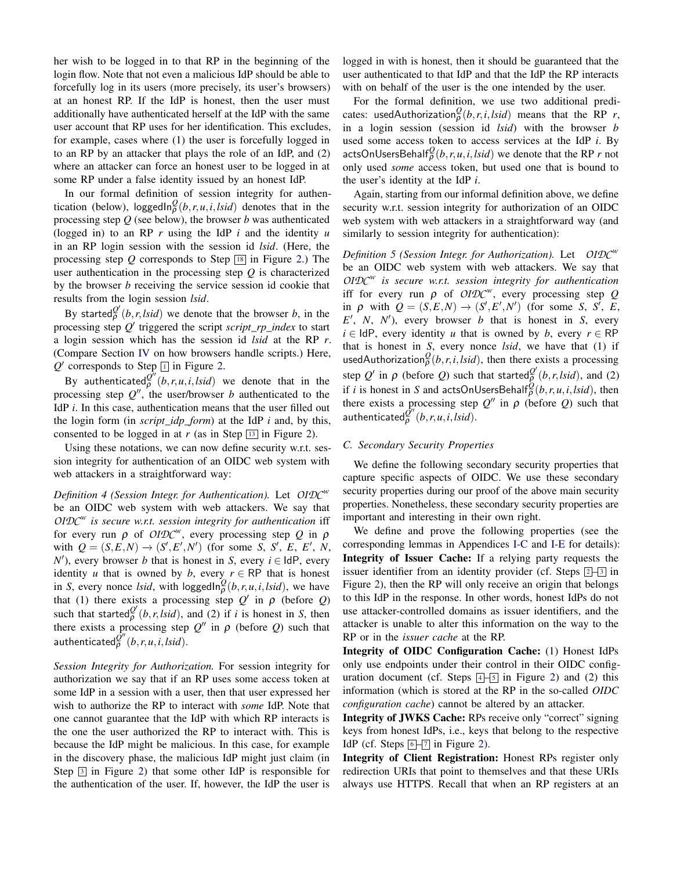her wish to be logged in to that RP in the beginning of the login flow. Note that not even a malicious IdP should be able to forcefully log in its users (more precisely, its user's browsers) at an honest RP. If the IdP is honest, then the user must additionally have authenticated herself at the IdP with the same user account that RP uses for her identification. This excludes, for example, cases where (1) the user is forcefully logged in to an RP by an attacker that plays the role of an IdP, and (2) where an attacker can force an honest user to be logged in at some RP under a false identity issued by an honest IdP.

In our formal definition of session integrity for authentication (below), loggedIn $_{\rho}^{Q}(b, r, u, i, Isid)$  denotes that in the processing step *Q* (see below), the browser *b* was authenticated (logged in) to an RP *r* using the IdP *i* and the identity *u* in an RP login session with the session id *lsid*. (Here, the processing step  $Q$  corresponds to Step  $\boxed{18}$  $\boxed{18}$  $\boxed{18}$  in Figure [2.](#page-3-0)) The user authentication in the processing step *Q* is characterized by the browser *b* receiving the service session id cookie that results from the login session *lsid*.

By started $\frac{Q'}{P}(b, r, \text{lsid})$  we denote that the browser *b*, in the processing step Q' triggered the script *script\_rp\_index* to start a login session which has the session id *lsid* at the RP *r*. (Compare Section [IV](#page-6-0) on how browsers handle scripts.) Here,  $Q'$  corresponds to Step  $\boxed{1}$  $\boxed{1}$  $\boxed{1}$  in Figure [2.](#page-3-0)

By authenticated $\overline{Q}^{\dot{\theta}'}(\overline{b}, r, u, i, k$ *sid*) we denote that in the processing step  $Q''$ , the user/browser *b* authenticated to the IdP *i*. In this case, authentication means that the user filled out the login form (in *script*\_*idp*\_*form*) at the IdP *i* and, by this, consented to be logged in at  $r$  (as in Step  $\boxed{13}$  $\boxed{13}$  $\boxed{13}$  in Figure [2\)](#page-3-0).

Using these notations, we can now define security w.r.t. session integrity for authentication of an OIDC web system with web attackers in a straightforward way:

*Definition 4 (Session Integr. for Authentication).* Let *OIDC<sup>w</sup>* be an OIDC web system with web attackers. We say that *OIDC<sup>w</sup> is secure w.r.t. session integrity for authentication* iff for every run ρ of *OIDC<sup>w</sup>* , every processing step *Q* in ρ with  $Q = (S, E, N) \rightarrow (S', E', N')$  (for some *S*, *S'*, *E*, *E'*, *N*,  $N'$ ), every browser *b* that is honest in *S*, every  $i \in$  IdP, every identity *u* that is owned by *b*, every  $r \in \mathsf{RP}$  that is honest in *S*, every nonce *lsid*, with loggedIn $_{\rho}^{Q}(b, r, u, i, Isid)$ , we have that (1) there exists a processing step  $Q'$  in  $\rho$  (before  $Q$ ) such that started $\frac{\partial^{\prime}}{\partial}(b, r, \text{lsid})$ , and (2) if *i* is honest in *S*, then there exists a processing step  $Q''$  in  $\rho$  (before *Q*) such that authenticated $\tilde{\varrho}''(b,r,u,i,lsid)$ .

*Session Integrity for Authorization.* For session integrity for authorization we say that if an RP uses some access token at some IdP in a session with a user, then that user expressed her wish to authorize the RP to interact with *some* IdP. Note that one cannot guarantee that the IdP with which RP interacts is the one the user authorized the RP to interact with. This is because the IdP might be malicious. In this case, for example in the discovery phase, the malicious IdP might just claim (in Step  $\boxed{3}$  $\boxed{3}$  $\boxed{3}$  in Figure [2\)](#page-3-0) that some other IdP is responsible for the authentication of the user. If, however, the IdP the user is

logged in with is honest, then it should be guaranteed that the user authenticated to that IdP and that the IdP the RP interacts with on behalf of the user is the one intended by the user.

For the formal definition, we use two additional predicates: usedAuthorization $^Q_\rho(b,r,i,lsid)$  means that the RP *r*, in a login session (session id *lsid*) with the browser *b* used some access token to access services at the IdP *i*. By actsOnUsersBehalf $^Q_p(b, r, u, i, Isid)$  we denote that the RP *r* not only used *some* access token, but used one that is bound to the user's identity at the IdP *i*.

Again, starting from our informal definition above, we define security w.r.t. session integrity for authorization of an OIDC web system with web attackers in a straightforward way (and similarly to session integrity for authentication):

*Definition 5 (Session Integr. for Authorization).* Let *OIDC<sup>w</sup>* be an OIDC web system with web attackers. We say that *OIDC<sup>w</sup> is secure w.r.t. session integrity for authentication* iff for every run  $\rho$  of *OIDC<sup>w</sup>*, every processing step *Q* in  $\rho$  with  $Q = (S, E, N) \rightarrow (S', E', N')$  (for some *S*, *S'*, *E*,  $E'$ , *N*, *N'*), every browser *b* that is honest in *S*, every  $i \in \text{IdP}$ , every identity *u* that is owned by *b*, every  $r \in \text{RP}$ that is honest in *S*, every nonce *lsid*, we have that (1) if usedAuthorization $\frac{\partial}{\partial}(b, r, i, Isid)$ , then there exists a processing step  $Q'$  in  $\rho$  (before  $Q$ ) such that started $\frac{Q'}{P}(b, r, l \sinh d)$ , and (2) if *i* is honest in *S* and actsOnUsersBehalf $^{\mathcal{Q}}_\rho(b,r,u,i,lsid)$ , then there exists a processing step  $Q''$  in  $\rho$  (before *Q*) such that authenticated $\varrho''(b,r,u,i,lsid)$ .

#### <span id="page-10-0"></span>*C. Secondary Security Properties*

We define the following secondary security properties that capture specific aspects of OIDC. We use these secondary security properties during our proof of the above main security properties. Nonetheless, these secondary security properties are important and interesting in their own right.

We define and prove the following properties (see the corresponding lemmas in Appendices [I-C](#page-49-1) and [I-E](#page-54-0) for details): Integrity of Issuer Cache: If a relying party requests the issuer identifier from an identity provider (cf. Steps  $\boxed{2}$  $\boxed{2}$  $\boxed{2}$  –  $\boxed{3}$  $\boxed{3}$  $\boxed{3}$  in Figure [2\)](#page-3-0), then the RP will only receive an origin that belongs to this IdP in the response. In other words, honest IdPs do not use attacker-controlled domains as issuer identifiers, and the attacker is unable to alter this information on the way to the RP or in the *issuer cache* at the RP.

Integrity of OIDC Configuration Cache: (1) Honest IdPs only use endpoints under their control in their OIDC configuration document (cf. Steps  $[4]-5$  $[4]-5$  $[4]-5$  $[4]-5$  in Figure [2\)](#page-3-0) and (2) this information (which is stored at the RP in the so-called *OIDC configuration cache*) cannot be altered by an attacker.

Integrity of JWKS Cache: RPs receive only "correct" signing keys from honest IdPs, i.e., keys that belong to the respective IdP (cf. Steps  $6\overline{-7}$  $6\overline{-7}$  $6\overline{-7}$  $6\overline{-7}$  in Figure [2\)](#page-3-0).

Integrity of Client Registration: Honest RPs register only redirection URIs that point to themselves and that these URIs always use HTTPS. Recall that when an RP registers at an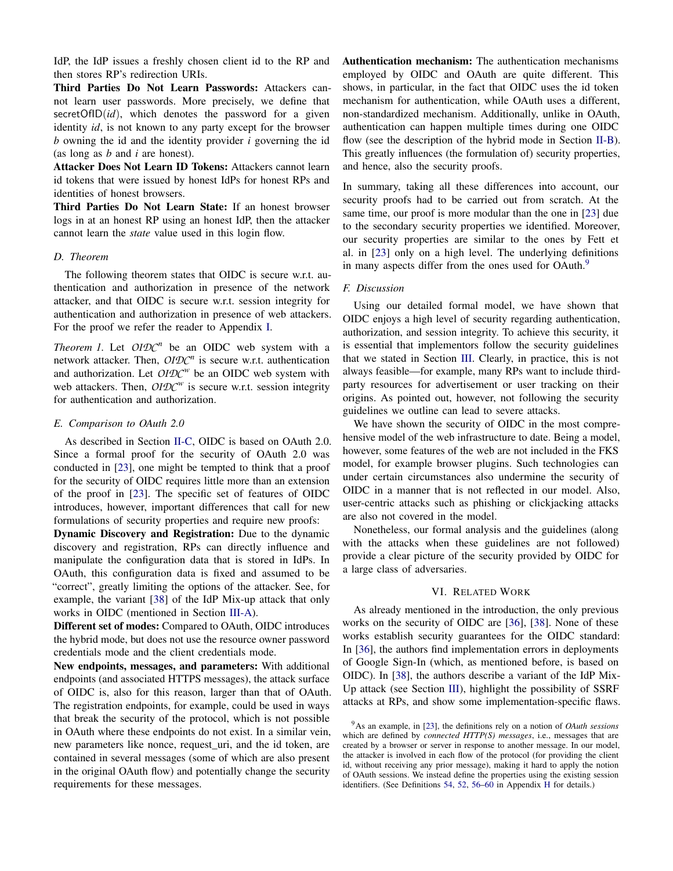IdP, the IdP issues a freshly chosen client id to the RP and then stores RP's redirection URIs.

Third Parties Do Not Learn Passwords: Attackers cannot learn user passwords. More precisely, we define that secretOfID(*id*), which denotes the password for a given identity *id*, is not known to any party except for the browser *b* owning the id and the identity provider *i* governing the id (as long as *b* and *i* are honest).

Attacker Does Not Learn ID Tokens: Attackers cannot learn id tokens that were issued by honest IdPs for honest RPs and identities of honest browsers.

Third Parties Do Not Learn State: If an honest browser logs in at an honest RP using an honest IdP, then the attacker cannot learn the *state* value used in this login flow.

#### *D. Theorem*

The following theorem states that OIDC is secure w.r.t. authentication and authorization in presence of the network attacker, and that OIDC is secure w.r.t. session integrity for authentication and authorization in presence of web attackers. For the proof we refer the reader to Appendix [I.](#page-49-0)

<span id="page-11-3"></span>*Theorem 1.* Let  $OIDC^n$  be an OIDC web system with a network attacker. Then, *OIDC<sup>n</sup>* is secure w.r.t. authentication and authorization. Let *OIDC<sup>w</sup>* be an OIDC web system with web attackers. Then, *OIDC<sup>w</sup>* is secure w.r.t. session integrity for authentication and authorization.

## *E. Comparison to OAuth 2.0*

As described in Section [II-C,](#page-3-21) OIDC is based on OAuth 2.0. Since a formal proof for the security of OAuth 2.0 was conducted in [\[23\]](#page-12-4), one might be tempted to think that a proof for the security of OIDC requires little more than an extension of the proof in [\[23\]](#page-12-4). The specific set of features of OIDC introduces, however, important differences that call for new formulations of security properties and require new proofs:

Dynamic Discovery and Registration: Due to the dynamic discovery and registration, RPs can directly influence and manipulate the configuration data that is stored in IdPs. In OAuth, this configuration data is fixed and assumed to be "correct", greatly limiting the options of the attacker. See, for example, the variant [\[38\]](#page-13-2) of the IdP Mix-up attack that only works in OIDC (mentioned in Section [III-A\)](#page-4-1).

Different set of modes: Compared to OAuth, OIDC introduces the hybrid mode, but does not use the resource owner password credentials mode and the client credentials mode.

New endpoints, messages, and parameters: With additional endpoints (and associated HTTPS messages), the attack surface of OIDC is, also for this reason, larger than that of OAuth. The registration endpoints, for example, could be used in ways that break the security of the protocol, which is not possible in OAuth where these endpoints do not exist. In a similar vein, new parameters like nonce, request\_uri, and the id token, are contained in several messages (some of which are also present in the original OAuth flow) and potentially change the security requirements for these messages.

Authentication mechanism: The authentication mechanisms employed by OIDC and OAuth are quite different. This shows, in particular, in the fact that OIDC uses the id token mechanism for authentication, while OAuth uses a different, non-standardized mechanism. Additionally, unlike in OAuth, authentication can happen multiple times during one OIDC flow (see the description of the hybrid mode in Section [II-B\)](#page-2-1). This greatly influences (the formulation of) security properties, and hence, also the security proofs.

In summary, taking all these differences into account, our security proofs had to be carried out from scratch. At the same time, our proof is more modular than the one in [\[23\]](#page-12-4) due to the secondary security properties we identified. Moreover, our security properties are similar to the ones by Fett et al. in [\[23\]](#page-12-4) only on a high level. The underlying definitions in many aspects differ from the ones used for OAuth.<sup>[9](#page-11-2)</sup>

## <span id="page-11-1"></span>*F. Discussion*

Using our detailed formal model, we have shown that OIDC enjoys a high level of security regarding authentication, authorization, and session integrity. To achieve this security, it is essential that implementors follow the security guidelines that we stated in Section [III.](#page-4-0) Clearly, in practice, this is not always feasible—for example, many RPs want to include thirdparty resources for advertisement or user tracking on their origins. As pointed out, however, not following the security guidelines we outline can lead to severe attacks.

We have shown the security of OIDC in the most comprehensive model of the web infrastructure to date. Being a model, however, some features of the web are not included in the FKS model, for example browser plugins. Such technologies can under certain circumstances also undermine the security of OIDC in a manner that is not reflected in our model. Also, user-centric attacks such as phishing or clickjacking attacks are also not covered in the model.

Nonetheless, our formal analysis and the guidelines (along with the attacks when these guidelines are not followed) provide a clear picture of the security provided by OIDC for a large class of adversaries.

#### VI. RELATED WORK

<span id="page-11-0"></span>As already mentioned in the introduction, the only previous works on the security of OIDC are [\[36\]](#page-13-1), [\[38\]](#page-13-2). None of these works establish security guarantees for the OIDC standard: In [\[36\]](#page-13-1), the authors find implementation errors in deployments of Google Sign-In (which, as mentioned before, is based on OIDC). In [\[38\]](#page-13-2), the authors describe a variant of the IdP Mix-Up attack (see Section [III\)](#page-4-0), highlight the possibility of SSRF attacks at RPs, and show some implementation-specific flaws.

<span id="page-11-2"></span><sup>9</sup>As an example, in [\[23\]](#page-12-4), the definitions rely on a notion of *OAuth sessions* which are defined by *connected HTTP(S) messages*, i.e., messages that are created by a browser or server in response to another message. In our model, the attacker is involved in each flow of the protocol (for providing the client id, without receiving any prior message), making it hard to apply the notion of OAuth sessions. We instead define the properties using the existing session identifiers. (See Definitions [54,](#page-47-1) [52,](#page-47-3) [56](#page-47-4)[–60](#page-48-0) in Appendix [H](#page-47-0) for details.)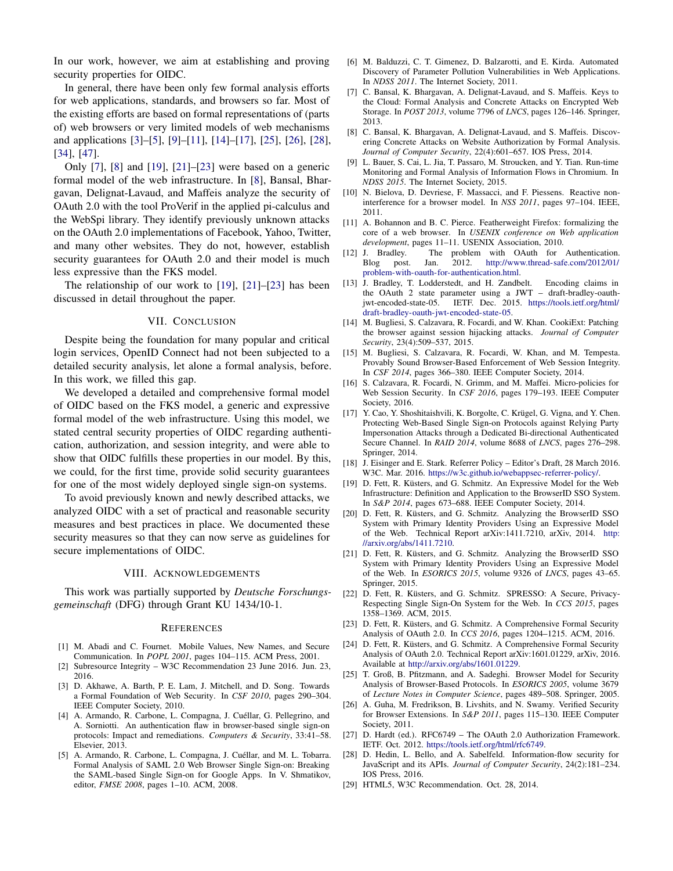In our work, however, we aim at establishing and proving security properties for OIDC.

In general, there have been only few formal analysis efforts for web applications, standards, and browsers so far. Most of the existing efforts are based on formal representations of (parts of) web browsers or very limited models of web mechanisms and applications [\[3\]](#page-12-13)–[\[5\]](#page-12-14), [\[9\]](#page-12-15)–[\[11\]](#page-12-16), [\[14\]](#page-12-17)–[\[17\]](#page-12-18), [\[25\]](#page-12-19), [\[26\]](#page-12-20), [\[28\]](#page-12-21), [\[34\]](#page-13-17), [\[47\]](#page-13-18).

Only [\[7\]](#page-12-22), [\[8\]](#page-12-6) and [\[19\]](#page-12-1), [\[21\]](#page-12-2)–[\[23\]](#page-12-4) were based on a generic formal model of the web infrastructure. In [\[8\]](#page-12-6), Bansal, Bhargavan, Delignat-Lavaud, and Maffeis analyze the security of OAuth 2.0 with the tool ProVerif in the applied pi-calculus and the WebSpi library. They identify previously unknown attacks on the OAuth 2.0 implementations of Facebook, Yahoo, Twitter, and many other websites. They do not, however, establish security guarantees for OAuth 2.0 and their model is much less expressive than the FKS model.

The relationship of our work to [\[19\]](#page-12-1), [\[21\]](#page-12-2)–[\[23\]](#page-12-4) has been discussed in detail throughout the paper.

#### VII. CONCLUSION

<span id="page-12-5"></span>Despite being the foundation for many popular and critical login services, OpenID Connect had not been subjected to a detailed security analysis, let alone a formal analysis, before. In this work, we filled this gap.

We developed a detailed and comprehensive formal model of OIDC based on the FKS model, a generic and expressive formal model of the web infrastructure. Using this model, we stated central security properties of OIDC regarding authentication, authorization, and session integrity, and were able to show that OIDC fulfills these properties in our model. By this, we could, for the first time, provide solid security guarantees for one of the most widely deployed single sign-on systems.

To avoid previously known and newly described attacks, we analyzed OIDC with a set of practical and reasonable security measures and best practices in place. We documented these security measures so that they can now serve as guidelines for secure implementations of OIDC.

#### VIII. ACKNOWLEDGEMENTS

This work was partially supported by *Deutsche Forschungsgemeinschaft* (DFG) through Grant KU 1434/10-1.

#### **REFERENCES**

- <span id="page-12-12"></span>[1] M. Abadi and C. Fournet. Mobile Values, New Names, and Secure Communication. In *POPL 2001*, pages 104–115. ACM Press, 2001.
- <span id="page-12-11"></span>[2] Subresource Integrity – W3C Recommendation 23 June 2016. Jun. 23, 2016.
- <span id="page-12-13"></span>[3] D. Akhawe, A. Barth, P. E. Lam, J. Mitchell, and D. Song. Towards a Formal Foundation of Web Security. In *CSF 2010*, pages 290–304. IEEE Computer Society, 2010.
- [4] A. Armando, R. Carbone, L. Compagna, J. Cuéllar, G. Pellegrino, and A. Sorniotti. An authentication flaw in browser-based single sign-on protocols: Impact and remediations. *Computers & Security*, 33:41–58. Elsevier, 2013.
- <span id="page-12-14"></span>[5] A. Armando, R. Carbone, L. Compagna, J. Cuéllar, and M. L. Tobarra. Formal Analysis of SAML 2.0 Web Browser Single Sign-on: Breaking the SAML-based Single Sign-on for Google Apps. In V. Shmatikov, editor, *FMSE 2008*, pages 1–10. ACM, 2008.
- <span id="page-12-10"></span>[6] M. Balduzzi, C. T. Gimenez, D. Balzarotti, and E. Kirda. Automated Discovery of Parameter Pollution Vulnerabilities in Web Applications. In *NDSS 2011*. The Internet Society, 2011.
- <span id="page-12-22"></span>[7] C. Bansal, K. Bhargavan, A. Delignat-Lavaud, and S. Maffeis. Keys to the Cloud: Formal Analysis and Concrete Attacks on Encrypted Web Storage. In *POST 2013*, volume 7796 of *LNCS*, pages 126–146. Springer, 2013.
- <span id="page-12-6"></span>[8] C. Bansal, K. Bhargavan, A. Delignat-Lavaud, and S. Maffeis. Discovering Concrete Attacks on Website Authorization by Formal Analysis. *Journal of Computer Security*, 22(4):601–657. IOS Press, 2014.
- <span id="page-12-15"></span>[9] L. Bauer, S. Cai, L. Jia, T. Passaro, M. Stroucken, and Y. Tian. Run-time Monitoring and Formal Analysis of Information Flows in Chromium. In *NDSS 2015*. The Internet Society, 2015.
- [10] N. Bielova, D. Devriese, F. Massacci, and F. Piessens. Reactive noninterference for a browser model. In *NSS 2011*, pages 97–104. IEEE, 2011.
- <span id="page-12-16"></span>[11] A. Bohannon and B. C. Pierce. Featherweight Firefox: formalizing the core of a web browser. In *USENIX conference on Web application development*, pages 11–11. USENIX Association, 2010.
- <span id="page-12-0"></span>[12] J. Bradley. The problem with OAuth for Authentication. Blog post. Jan. 2012. [http://www.thread-safe.com/2012/01/](http://www.thread-safe.com/2012/01/problem-with-oauth-for-authentication.html) [problem-with-oauth-for-authentication.html.](http://www.thread-safe.com/2012/01/problem-with-oauth-for-authentication.html)
- <span id="page-12-8"></span>[13] J. Bradley, T. Lodderstedt, and H. Zandbelt. Encoding claims in the OAuth 2 state parameter using a JWT – draft-bradley-oauthjwt-encoded-state-05. IETF. Dec. 2015. [https://tools.ietf.org/html/](https://tools.ietf.org/html/draft-bradley-oauth-jwt-encoded-state-05) [draft-bradley-oauth-jwt-encoded-state-05.](https://tools.ietf.org/html/draft-bradley-oauth-jwt-encoded-state-05)
- <span id="page-12-17"></span>[14] M. Bugliesi, S. Calzavara, R. Focardi, and W. Khan. CookiExt: Patching the browser against session hijacking attacks. *Journal of Computer Security*, 23(4):509–537, 2015.
- [15] M. Bugliesi, S. Calzavara, R. Focardi, W. Khan, and M. Tempesta. Provably Sound Browser-Based Enforcement of Web Session Integrity. In *CSF 2014*, pages 366–380. IEEE Computer Society, 2014.
- [16] S. Calzavara, R. Focardi, N. Grimm, and M. Maffei. Micro-policies for Web Session Security. In *CSF 2016*, pages 179–193. IEEE Computer Society, 2016.
- <span id="page-12-18"></span>[17] Y. Cao, Y. Shoshitaishvili, K. Borgolte, C. Krügel, G. Vigna, and Y. Chen. Protecting Web-Based Single Sign-on Protocols against Relying Party Impersonation Attacks through a Dedicated Bi-directional Authenticated Secure Channel. In *RAID 2014*, volume 8688 of *LNCS*, pages 276–298. Springer, 2014.
- <span id="page-12-7"></span>[18] J. Eisinger and E. Stark. Referrer Policy – Editor's Draft, 28 March 2016. W3C. Mar. 2016. [https://w3c.github.io/webappsec-referrer-policy/.](https://w3c.github.io/webappsec-referrer-policy/)
- <span id="page-12-1"></span>[19] D. Fett, R. Küsters, and G. Schmitz. An Expressive Model for the Web Infrastructure: Definition and Application to the BrowserID SSO System. In *S&P 2014*, pages 673–688. IEEE Computer Society, 2014.
- <span id="page-12-23"></span>[20] D. Fett, R. Küsters, and G. Schmitz. Analyzing the BrowserID SSO System with Primary Identity Providers Using an Expressive Model of the Web. Technical Report arXiv:1411.7210, arXiv, 2014. [http:](http://arxiv.org/abs/1411.7210) [//arxiv.org/abs/1411.7210.](http://arxiv.org/abs/1411.7210)
- <span id="page-12-2"></span>[21] D. Fett, R. Küsters, and G. Schmitz. Analyzing the BrowserID SSO System with Primary Identity Providers Using an Expressive Model of the Web. In *ESORICS 2015*, volume 9326 of *LNCS*, pages 43–65. Springer, 2015.
- <span id="page-12-3"></span>[22] D. Fett, R. Küsters, and G. Schmitz. SPRESSO: A Secure, Privacy-Respecting Single Sign-On System for the Web. In *CCS 2015*, pages 1358–1369. ACM, 2015.
- <span id="page-12-4"></span>[23] D. Fett, R. Küsters, and G. Schmitz. A Comprehensive Formal Security Analysis of OAuth 2.0. In *CCS 2016*, pages 1204–1215. ACM, 2016.
- <span id="page-12-24"></span>[24] D. Fett, R. Küsters, and G. Schmitz. A Comprehensive Formal Security Analysis of OAuth 2.0. Technical Report arXiv:1601.01229, arXiv, 2016. Available at [http://arxiv.org/abs/1601.01229.](http://arxiv.org/abs/1601.01229)
- <span id="page-12-19"></span>[25] T. Groß, B. Pfitzmann, and A. Sadeghi. Browser Model for Security Analysis of Browser-Based Protocols. In *ESORICS 2005*, volume 3679 of *Lecture Notes in Computer Science*, pages 489–508. Springer, 2005.
- <span id="page-12-20"></span>[26] A. Guha, M. Fredrikson, B. Livshits, and N. Swamy. Verified Security for Browser Extensions. In *S&P 2011*, pages 115–130. IEEE Computer Society, 2011.
- <span id="page-12-9"></span>[27] D. Hardt (ed.). RFC6749 - The OAuth 2.0 Authorization Framework. IETF. Oct. 2012. [https://tools.ietf.org/html/rfc6749.](https://tools.ietf.org/html/rfc6749)
- <span id="page-12-21"></span>[28] D. Hedin, L. Bello, and A. Sabelfeld. Information-flow security for JavaScript and its APIs. *Journal of Computer Security*, 24(2):181–234. IOS Press, 2016.
- <span id="page-12-25"></span>[29] HTML5, W3C Recommendation. Oct. 28, 2014.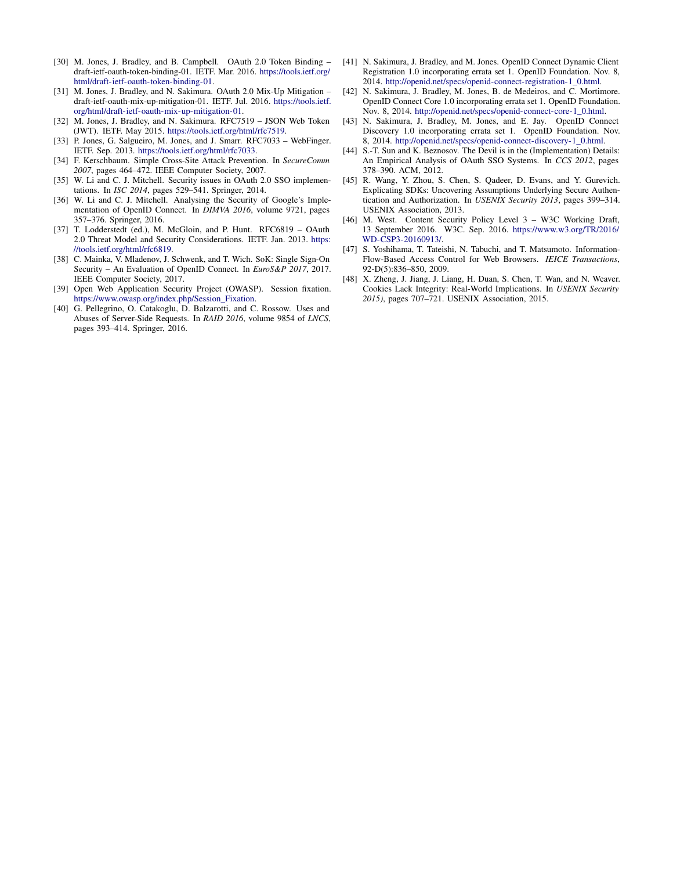- <span id="page-13-12"></span>[30] M. Jones, J. Bradley, and B. Campbell. OAuth 2.0 Token Binding – draft-ietf-oauth-token-binding-01. IETF. Mar. 2016. [https://tools.ietf.org/](https://tools.ietf.org/html/draft-ietf-oauth-token-binding-01) [html/draft-ietf-oauth-token-binding-01.](https://tools.ietf.org/html/draft-ietf-oauth-token-binding-01)
- <span id="page-13-8"></span>[31] M. Jones, J. Bradley, and N. Sakimura. OAuth 2.0 Mix-Up Mitigation – draft-ietf-oauth-mix-up-mitigation-01. IETF. Jul. 2016. [https://tools.ietf.](https://tools.ietf.org/html/draft-ietf-oauth-mix-up-mitigation-01) [org/html/draft-ietf-oauth-mix-up-mitigation-01.](https://tools.ietf.org/html/draft-ietf-oauth-mix-up-mitigation-01)
- <span id="page-13-6"></span>[32] M. Jones, J. Bradley, and N. Sakimura. RFC7519 – JSON Web Token (JWT). IETF. May 2015. [https://tools.ietf.org/html/rfc7519.](https://tools.ietf.org/html/rfc7519)
- <span id="page-13-7"></span>[33] P. Jones, G. Salgueiro, M. Jones, and J. Smarr. RFC7033 - WebFinger. IETF. Sep. 2013. [https://tools.ietf.org/html/rfc7033.](https://tools.ietf.org/html/rfc7033)
- <span id="page-13-17"></span>[34] F. Kerschbaum. Simple Cross-Site Attack Prevention. In *SecureComm 2007*, pages 464–472. IEEE Computer Society, 2007.
- <span id="page-13-9"></span>[35] W. Li and C. J. Mitchell. Security issues in OAuth 2.0 SSO implementations. In *ISC 2014*, pages 529–541. Springer, 2014.
- <span id="page-13-1"></span>[36] W. Li and C. J. Mitchell. Analysing the Security of Google's Implementation of OpenID Connect. In *DIMVA 2016*, volume 9721, pages 357–376. Springer, 2016.
- <span id="page-13-10"></span>[37] T. Lodderstedt (ed.), M. McGloin, and P. Hunt. RFC6819 - OAuth 2.0 Threat Model and Security Considerations. IETF. Jan. 2013. [https:](https://tools.ietf.org/html/rfc6819) [//tools.ietf.org/html/rfc6819.](https://tools.ietf.org/html/rfc6819)
- <span id="page-13-2"></span>[38] C. Mainka, V. Mladenov, J. Schwenk, and T. Wich. SoK: Single Sign-On Security – An Evaluation of OpenID Connect. In *EuroS&P 2017*, 2017. IEEE Computer Society, 2017.
- <span id="page-13-16"></span>[39] Open Web Application Security Project (OWASP). Session fixation. [https://www.owasp.org/index.php/Session\\_Fixation.](https://www.owasp.org/index.php/Session_Fixation)
- <span id="page-13-14"></span>[40] G. Pellegrino, O. Catakoglu, D. Balzarotti, and C. Rossow. Uses and Abuses of Server-Side Requests. In *RAID 2016*, volume 9854 of *LNCS*, pages 393–414. Springer, 2016.
- <span id="page-13-4"></span>[41] N. Sakimura, J. Bradley, and M. Jones. OpenID Connect Dynamic Client Registration 1.0 incorporating errata set 1. OpenID Foundation. Nov. 8, 2014. [http://openid.net/specs/openid-connect-registration-1\\_0.html.](http://openid.net/specs/openid-connect-registration-1_0.html)
- <span id="page-13-3"></span>[42] N. Sakimura, J. Bradley, M. Jones, B. de Medeiros, and C. Mortimore. OpenID Connect Core 1.0 incorporating errata set 1. OpenID Foundation. Nov. 8, 2014. [http://openid.net/specs/openid-connect-core-1\\_0.html.](http://openid.net/specs/openid-connect-core-1_0.html)
- <span id="page-13-5"></span>[43] N. Sakimura, J. Bradley, M. Jones, and E. Jay. OpenID Connect Discovery 1.0 incorporating errata set 1. OpenID Foundation. Nov. 8, 2014. [http://openid.net/specs/openid-connect-discovery-1\\_0.html.](http://openid.net/specs/openid-connect-discovery-1_0.html)
- <span id="page-13-11"></span>[44] S.-T. Sun and K. Beznosov. The Devil is in the (Implementation) Details: An Empirical Analysis of OAuth SSO Systems. In *CCS 2012*, pages 378–390. ACM, 2012.
- <span id="page-13-0"></span>[45] R. Wang, Y. Zhou, S. Chen, S. Qadeer, D. Evans, and Y. Gurevich. Explicating SDKs: Uncovering Assumptions Underlying Secure Authentication and Authorization. In *USENIX Security 2013*, pages 399–314. USENIX Association, 2013.
- <span id="page-13-13"></span>[46] M. West. Content Security Policy Level 3 - W3C Working Draft, 13 September 2016. W3C. Sep. 2016. [https://www.w3.org/TR/2016/](https://www.w3.org/TR/2016/WD-CSP3-20160913/) [WD-CSP3-20160913/.](https://www.w3.org/TR/2016/WD-CSP3-20160913/)
- <span id="page-13-18"></span>[47] S. Yoshihama, T. Tateishi, N. Tabuchi, and T. Matsumoto. Information-Flow-Based Access Control for Web Browsers. *IEICE Transactions*, 92-D(5):836–850, 2009.
- <span id="page-13-15"></span>[48] X. Zheng, J. Jiang, J. Liang, H. Duan, S. Chen, T. Wan, and N. Weaver. Cookies Lack Integrity: Real-World Implications. In *USENIX Security 2015)*, pages 707–721. USENIX Association, 2015.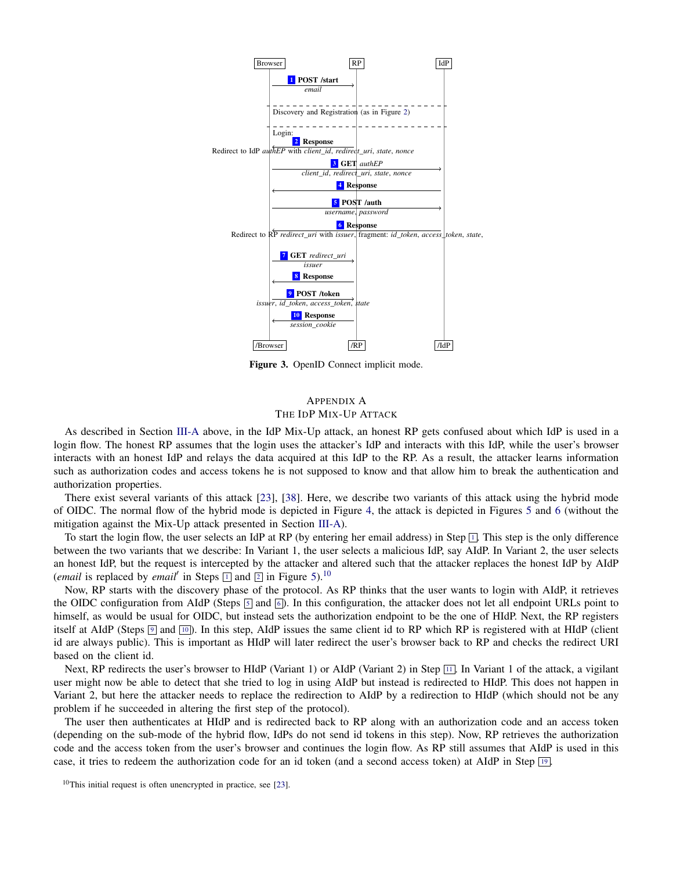<span id="page-14-0"></span>

Figure 3. OpenID Connect implicit mode.

## <span id="page-14-1"></span>APPENDIX A THE IDP MIX-UP ATTACK

As described in Section [III-A](#page-4-1) above, in the IdP Mix-Up attack, an honest RP gets confused about which IdP is used in a login flow. The honest RP assumes that the login uses the attacker's IdP and interacts with this IdP, while the user's browser interacts with an honest IdP and relays the data acquired at this IdP to the RP. As a result, the attacker learns information such as authorization codes and access tokens he is not supposed to know and that allow him to break the authentication and authorization properties.

There exist several variants of this attack [\[23\]](#page-12-4), [\[38\]](#page-13-2). Here, we describe two variants of this attack using the hybrid mode of OIDC. The normal flow of the hybrid mode is depicted in Figure [4,](#page-15-0) the attack is depicted in Figures [5](#page-16-0) and [6](#page-17-0) (without the mitigation against the Mix-Up attack presented in Section [III-A\)](#page-4-1).

To start the login flow, the user selects an IdP at RP (by entering her email address) in Step  $\Box$ . This step is the only difference between the two variants that we describe: In Variant 1, the user selects a malicious IdP, say AIdP. In Variant 2, the user selects an honest IdP, but the request is intercepted by the attacker and altered such that the attacker replaces the honest IdP by AIdP (*email* is replaced by *email*<sup> $\prime$ </sup> in Steps  $\boxed{1}$  $\boxed{1}$  $\boxed{1}$  and  $\boxed{2}$  $\boxed{2}$  $\boxed{2}$  in Figure [5\)](#page-16-0).<sup>[10](#page-14-2)</sup>

Now, RP starts with the discovery phase of the protocol. As RP thinks that the user wants to login with AIdP, it retrieves the OIDC configuration from AIdP (Steps  $\boxed{5}$  $\boxed{5}$  $\boxed{5}$  and  $\boxed{6}$  $\boxed{6}$  $\boxed{6}$ ). In this configuration, the attacker does not let all endpoint URLs point to himself, as would be usual for OIDC, but instead sets the authorization endpoint to be the one of HIdP. Next, the RP registers itself at AIdP (Steps  $\boxed{9}$  $\boxed{9}$  $\boxed{9}$  and  $\boxed{10}$  $\boxed{10}$  $\boxed{10}$ ). In this step, AIdP issues the same client id to RP which RP is registered with at HIdP (client id are always public). This is important as HIdP will later redirect the user's browser back to RP and checks the redirect URI based on the client id.

Next, RP redirects the user's browser to HIdP (Variant 1) or AIdP (Variant 2) in Step  $\boxed{11}$  $\boxed{11}$  $\boxed{11}$ . In Variant 1 of the attack, a vigilant user might now be able to detect that she tried to log in using AIdP but instead is redirected to HIdP. This does not happen in Variant 2, but here the attacker needs to replace the redirection to AIdP by a redirection to HIdP (which should not be any problem if he succeeded in altering the first step of the protocol).

The user then authenticates at HIdP and is redirected back to RP along with an authorization code and an access token (depending on the sub-mode of the hybrid flow, IdPs do not send id tokens in this step). Now, RP retrieves the authorization code and the access token from the user's browser and continues the login flow. As RP still assumes that AIdP is used in this case, it tries to redeem the authorization code for an id token (and a second access token) at AIdP in Step [19](#page-16-8) .

<span id="page-14-2"></span> $10$ This initial request is often unencrypted in practice, see [\[23\]](#page-12-4).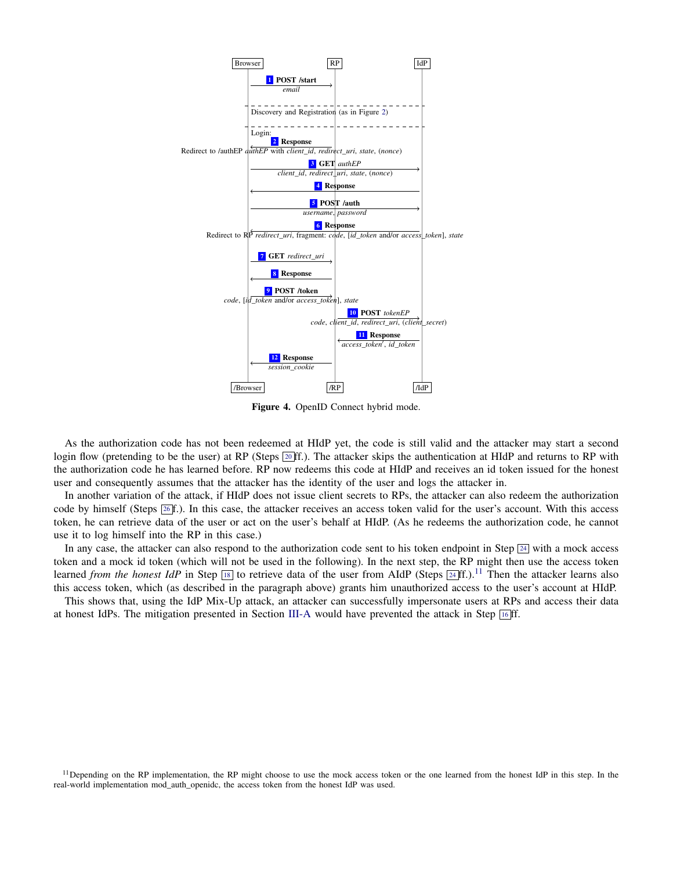<span id="page-15-1"></span><span id="page-15-0"></span>

Figure 4. OpenID Connect hybrid mode.

As the authorization code has not been redeemed at HIdP yet, the code is still valid and the attacker may start a second login flow (pretending to be the user) at RP (Steps  $[20ff]$  $[20ff]$  $[20ff]$ .). The attacker skips the authentication at HIdP and returns to RP with the authorization code he has learned before. RP now redeems this code at HIdP and receives an id token issued for the honest user and consequently assumes that the attacker has the identity of the user and logs the attacker in.

In another variation of the attack, if HIdP does not issue client secrets to RPs, the attacker can also redeem the authorization code by himself (Steps  $\boxed{26}f$  $\boxed{26}f$  $\boxed{26}f$ .). In this case, the attacker receives an access token valid for the user's account. With this access token, he can retrieve data of the user or act on the user's behalf at HIdP. (As he redeems the authorization code, he cannot use it to log himself into the RP in this case.)

In any case, the attacker can also respond to the authorization code sent to his token endpoint in Step  $\boxed{24}$  $\boxed{24}$  $\boxed{24}$  with a mock access token and a mock id token (which will not be used in the following). In the next step, the RP might then use the access token learned *from the honest IdP* in Step  $\boxed{18}$  $\boxed{18}$  $\boxed{18}$  to retrieve data of the user from AIdP (Steps  $\boxed{24}$  $\boxed{24}$  $\boxed{24}$ ff.).<sup>[11](#page-15-2)</sup> Then the attacker learns also this access token, which (as described in the paragraph above) grants him unauthorized access to the user's account at HIdP.

This shows that, using the IdP Mix-Up attack, an attacker can successfully impersonate users at RPs and access their data at honest IdPs. The mitigation presented in Section [III-A](#page-4-1) would have prevented the attack in Step [16](#page-16-10) ff.

<span id="page-15-2"></span> $11$  Depending on the RP implementation, the RP might choose to use the mock access token or the one learned from the honest IdP in this step. In the real-world implementation mod\_auth\_openidc, the access token from the honest IdP was used.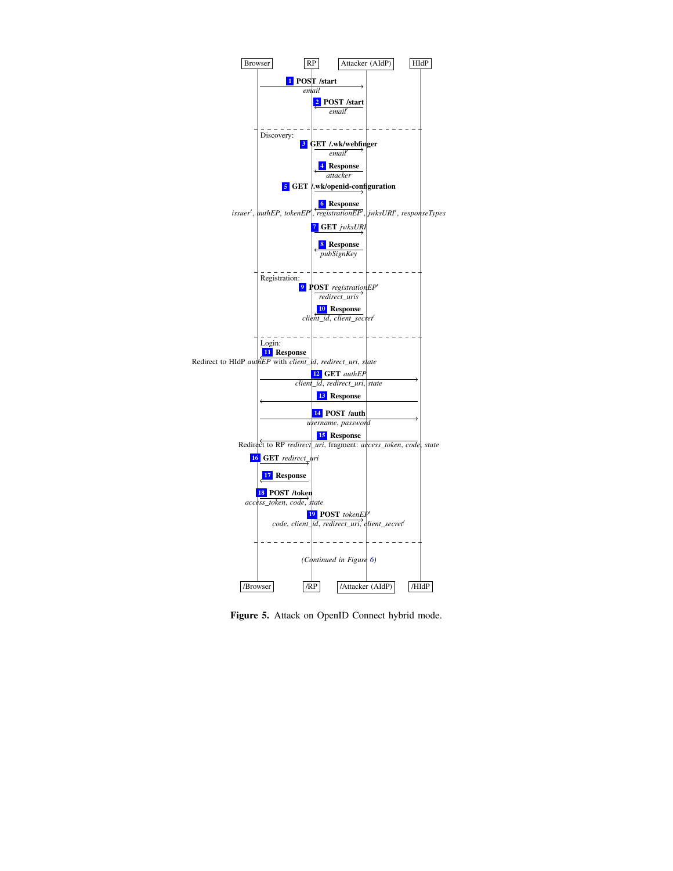<span id="page-16-6"></span><span id="page-16-5"></span><span id="page-16-4"></span><span id="page-16-3"></span><span id="page-16-2"></span><span id="page-16-1"></span><span id="page-16-0"></span>

<span id="page-16-10"></span><span id="page-16-9"></span><span id="page-16-8"></span><span id="page-16-7"></span>Figure 5. Attack on OpenID Connect hybrid mode.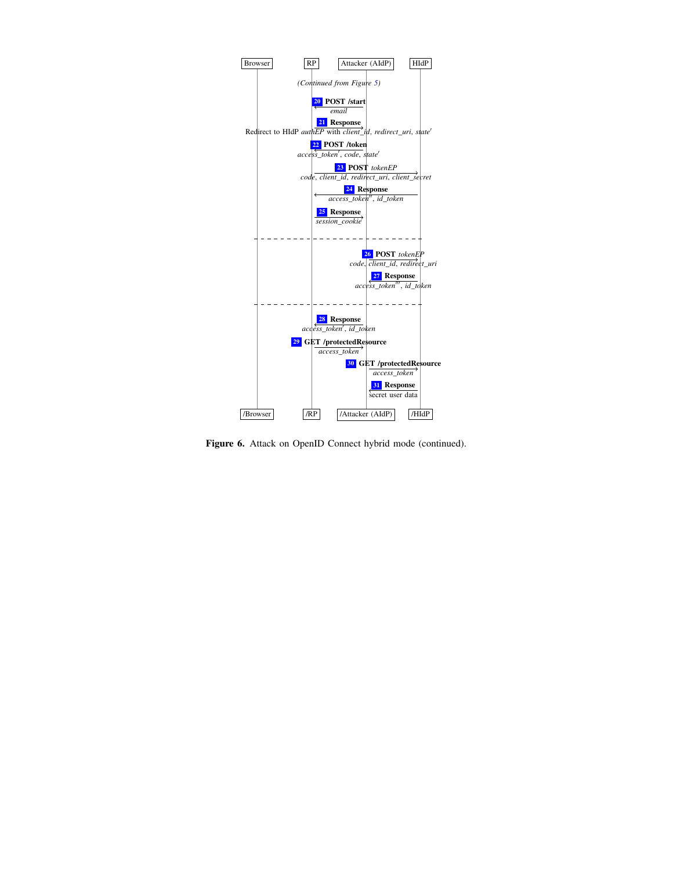<span id="page-17-3"></span><span id="page-17-2"></span><span id="page-17-1"></span><span id="page-17-0"></span>

Figure 6. Attack on OpenID Connect hybrid mode (continued).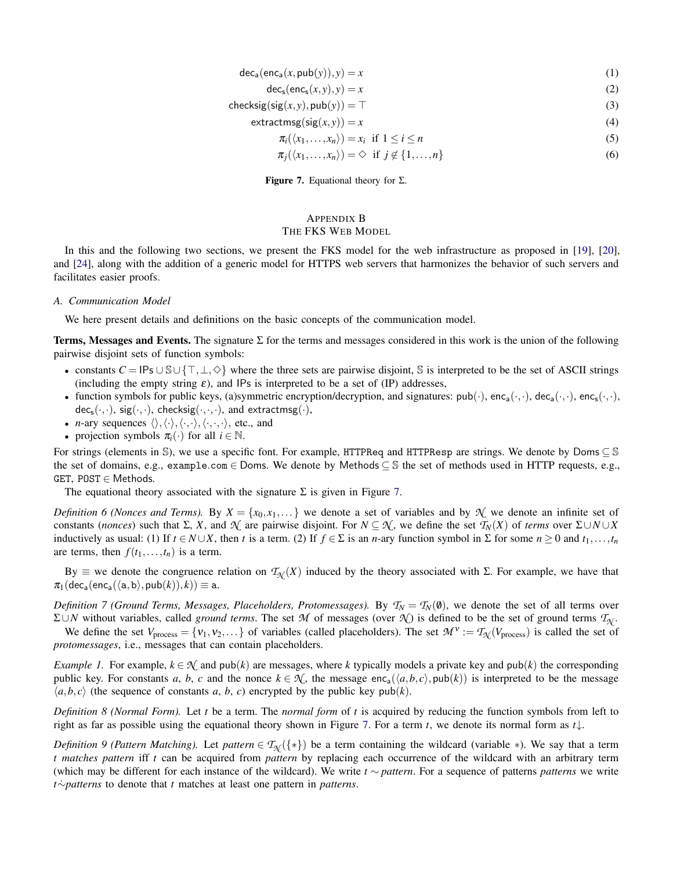$$
\text{dec}_a(\text{enc}_a(x, \text{pub}(y)), y) = x \tag{1}
$$

$$
\text{dec}_s(\text{enc}_s(x, y), y) = x \tag{2}
$$

- <span id="page-18-1"></span> $\text{checksig}(\text{sig}(x, y), \text{pub}(y)) = \top$  (3)
	- $extracting(sig(x, y)) = x$  (4)

$$
\pi_i(\langle x_1,\ldots,x_n\rangle)=x_i \ \text{ if } 1\leq i\leq n
$$
\n<sup>(5)</sup>

$$
\pi_j(\langle x_1,\ldots,x_n\rangle)=\diamondsuit \text{ if } j\notin\{1,\ldots,n\}
$$
\n(6)

**Figure 7.** Equational theory for  $\Sigma$ .

## <span id="page-18-0"></span>APPENDIX B THE FKS WEB MODEL

In this and the following two sections, we present the FKS model for the web infrastructure as proposed in [\[19\]](#page-12-1), [\[20\]](#page-12-23), and [\[24\]](#page-12-24), along with the addition of a generic model for HTTPS web servers that harmonizes the behavior of such servers and facilitates easier proofs.

#### *A. Communication Model*

We here present details and definitions on the basic concepts of the communication model.

Terms, Messages and Events. The signature  $\Sigma$  for the terms and messages considered in this work is the union of the following pairwise disjoint sets of function symbols:

- constants  $C = \mathsf{IPs} \cup \mathsf{S} \cup \{\top, \bot, \diamond\}$  where the three sets are pairwise disjoint, S is interpreted to be the set of ASCII strings (including the empty string  $\varepsilon$ ), and IPs is interpreted to be a set of (IP) addresses,
- function symbols for public keys, (a)symmetric encryption/decryption, and signatures:  $pub(\cdot)$ ,  $enc_1(\cdot, \cdot)$ ,  $dec_a(\cdot, \cdot)$ ,  $enc_s(\cdot, \cdot)$ ,  $dec_s(\cdot,\cdot)$ ,  $sig(\cdot,\cdot)$ , checksig $(\cdot,\cdot,\cdot)$ , and extractmsg $(\cdot)$ ,
- *n*-ary sequences  $\langle \rangle, \langle \cdot, \rangle, \langle \cdot, \cdot, \cdot \rangle$ , etc., and
- projection symbols  $\pi_i(\cdot)$  for all  $i \in \mathbb{N}$ .

For strings (elements in S), we use a specific font. For example, HTTPReq and HTTPResp are strings. We denote by Doms  $\subseteq$  S the set of domains, e.g., example.com ∈ Doms. We denote by Methods ⊆ S the set of methods used in HTTP requests, e.g., GET,  $POST \in Methods$ .

The equational theory associated with the signature  $\Sigma$  is given in Figure [7.](#page-18-1)

<span id="page-18-2"></span>*Definition 6 (Nonces and Terms).* By  $X = \{x_0, x_1, \dots\}$  we denote a set of variables and by  $\mathcal{N}$  we denote an infinite set of constants (*nonces*) such that  $\Sigma$ , *X*, and  $\mathcal{N}$  are pairwise disjoint. For  $N \subseteq \mathcal{N}$ , we define the set  $\mathcal{T}_N(X)$  of *terms* over  $\Sigma \cup N \cup X$ inductively as usual: (1) If  $t \in N \cup X$ , then *t* is a term. (2) If  $f \in \Sigma$  is an *n*-ary function symbol in  $\Sigma$  for some  $n \ge 0$  and  $t_1, \ldots, t_n$ are terms, then  $f(t_1,...,t_n)$  is a term.

By  $\equiv$  we denote the congruence relation on  $\mathcal{T}_{N}(X)$  induced by the theory associated with  $\Sigma$ . For example, we have that  $\pi_1(\mathsf{dec}_a(\mathsf{enc}_a(\langle a,b \rangle, \mathsf{pub}(k)), k)) \equiv \texttt{a}.$ 

*Definition 7 (Ground Terms, Messages, Placeholders, Protomessages).* By  $T_N = T_N(\emptyset)$ , we denote the set of all terms over Σ∪*N* without variables, called *ground terms*. The set *M* of messages (over *N* ) is defined to be the set of ground terms *T<sup>N</sup>* . We define the set  $V_{\text{process}} = \{v_1, v_2, \dots\}$  of variables (called placeholders). The set  $\mathcal{M}^{\vee} := \mathcal{T}_{\mathcal{N}}(V_{\text{process}})$  is called the set of

*protomessages*, i.e., messages that can contain placeholders.

*Example 1.* For example,  $k \in \mathcal{N}$  and pub(*k*) are messages, where *k* typically models a private key and pub(*k*) the corresponding public key. For constants *a*, *b*, *c* and the nonce  $k \in \mathcal{K}$ , the message enc<sub>a</sub>( $\langle a, b, c \rangle$ , pub( $k$ )) is interpreted to be the message  $\langle a,b,c \rangle$  (the sequence of constants *a*, *b*, *c*) encrypted by the public key pub(*k*).

*Definition 8 (Normal Form).* Let *t* be a term. The *normal form* of *t* is acquired by reducing the function symbols from left to right as far as possible using the equational theory shown in Figure [7.](#page-18-1) For a term *t*, we denote its normal form as *t*↓.

*Definition 9 (Pattern Matching).* Let *pattern*  $\in T_N({*})$  be a term containing the wildcard (variable \*). We say that a term *t matches pattern* iff *t* can be acquired from *pattern* by replacing each occurrence of the wildcard with an arbitrary term (which may be different for each instance of the wildcard). We write *t* ∼ *pattern*. For a sequence of patterns *patterns* we write *t*∼*patterns* to denote that *t* matches at least one pattern in *patterns*.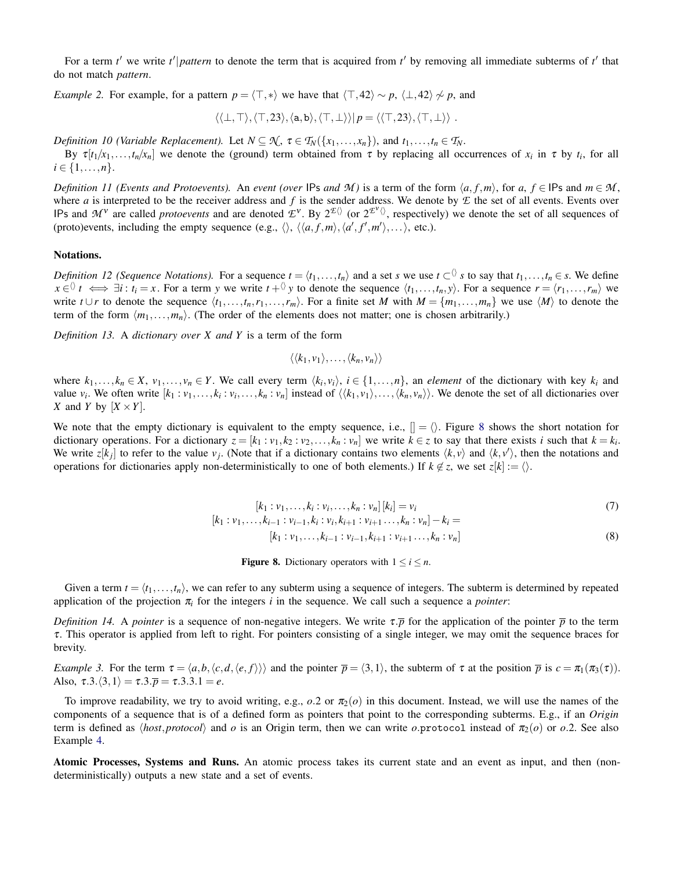For a term  $t'$  we write  $t'|$  *pattern* to denote the term that is acquired from  $t'$  by removing all immediate subterms of  $t'$  that do not match *pattern*.

*Example 2.* For example, for a pattern  $p = \langle \top, *\rangle$  we have that  $\langle \top, 42 \rangle \sim p$ ,  $\langle \bot, 42 \rangle \not\sim p$ , and

$$
\langle\langle \bot,\top\rangle,\langle \top,23\rangle,\langle \mathtt{a},\mathtt{b}\rangle,\langle \top,\bot\rangle\rangle|p=\langle\langle \top,23\rangle,\langle \top,\bot\rangle\rangle.
$$

*Definition 10 (Variable Replacement).* Let  $N \subseteq \mathcal{N}$ ,  $\tau \in \mathcal{T}_N({x_1,...,x_n})$ , and  $t_1,...,t_n \in \mathcal{T}_N$ .

By  $\tau[t_1/x_1,\ldots,t_n/x_n]$  we denote the (ground) term obtained from  $\tau$  by replacing all occurrences of  $x_i$  in  $\tau$  by  $t_i$ , for all  $i \in \{1, \ldots, n\}.$ 

*Definition 11 (Events and Protoevents).* An *event (over* IPs *and M*) is a term of the form  $\langle a, f, m \rangle$ , for  $a, f \in \mathbb{IP}$ s and  $m \in \mathcal{M}$ , where *a* is interpreted to be the receiver address and *f* is the sender address. We denote by  $E$  the set of all events. Events over IPs and  $M^{\nu}$  are called *protoevents* and are denoted  $\mathcal{L}^{\nu}$ . By  $2^{\mathcal{L}\langle}$  (or  $2^{\mathcal{L}'\langle}$ ), respectively) we denote the set of all sequences of (proto)events, including the empty sequence (e.g.,  $\langle \rangle$ ,  $\langle \langle a, f, m \rangle$ ,  $\langle a', f', m' \rangle$ ,...), etc.).

## Notations.

*Definition 12 (Sequence Notations).* For a sequence  $t = \langle t_1, \ldots, t_n \rangle$  and a set *s* we use  $t \subset \{0, s \text{ to say that } t_1, \ldots, t_n \in s$ . We define  $x \in \mathcal{N}$   $t \iff \exists i : t_i = x$ . For a term y we write  $t + \mathcal{N}$  y to denote the sequence  $\langle t_1, \ldots, t_n, y \rangle$ . For a sequence  $r = \langle r_1, \ldots, r_m \rangle$  we write  $t \cup r$  to denote the sequence  $\langle t_1, \ldots, t_n, r_1, \ldots, r_m \rangle$ . For a finite set *M* with  $M = \{m_1, \ldots, m_n\}$  we use  $\langle M \rangle$  to denote the term of the form  $\langle m_1, \ldots, m_n \rangle$ . (The order of the elements does not matter; one is chosen arbitrarily.)

<span id="page-19-1"></span>*Definition 13.* A *dictionary over X and Y* is a term of the form

$$
\langle \langle k_1, v_1 \rangle, \ldots, \langle k_n, v_n \rangle \rangle
$$

where  $k_1,...,k_n \in X$ ,  $v_1,...,v_n \in Y$ . We call every term  $\langle k_i, v_i \rangle$ ,  $i \in \{1,...,n\}$ , an *element* of the dictionary with key  $k_i$  and value  $v_i$ . We often write  $[k_1 : v_1, \ldots, k_i : v_i, \ldots, k_n : v_n]$  instead of  $\langle \langle k_1, v_1 \rangle, \ldots, \langle k_n, v_n \rangle \rangle$ . We denote the set of all dictionaries over *X* and *Y* by  $[X \times Y]$ .

<span id="page-19-0"></span>We note that the empty dictionary is equivalent to the empty sequence, i.e.,  $[] = \langle \rangle$ . Figure [8](#page-19-0) shows the short notation for dictionary operations. For a dictionary  $z = [k_1 : v_1, k_2 : v_2, \dots, k_n : v_n]$  we write  $k \in z$  to say that there exists i such that  $k = k_i$ . We write  $z[k_j]$  to refer to the value  $v_j$ . (Note that if a dictionary contains two elements  $\langle k, v \rangle$  and  $\langle k, v' \rangle$ , then the notations and operations for dictionaries apply non-deterministically to one of both elements.) If  $k \notin z$ , we set  $z[k] := \langle \rangle$ .

$$
[k_1 : v_1, \dots, k_i : v_i, \dots, k_n : v_n][k_i] = v_i
$$
\n<sup>(7)</sup>

$$
[k_1 : v_1, \dots, k_{i-1} : v_{i-1}, k_i : v_i, k_{i+1} : v_{i+1} \dots, k_n : v_n] - k_i =
$$
  

$$
[k_1 : v_1, \dots, k_{i-1} : v_{i-1}, k_{i+1} : v_{i+1} \dots, k_n : v_n]
$$
 (8)

**Figure 8.** Dictionary operators with  $1 \le i \le n$ .

Given a term  $t = \langle t_1, \ldots, t_n \rangle$ , we can refer to any subterm using a sequence of integers. The subterm is determined by repeated application of the projection  $\pi_i$  for the integers *i* in the sequence. We call such a sequence a *pointer*:

<span id="page-19-2"></span>*Definition 14.* A *pointer* is a sequence of non-negative integers. We write  $\tau \bar{p}$  for the application of the pointer  $\bar{p}$  to the term τ. This operator is applied from left to right. For pointers consisting of a single integer, we may omit the sequence braces for brevity.

*Example 3.* For the term  $\tau = \langle a,b,\langle c,d,\langle e,f \rangle \rangle$  and the pointer  $\bar{p} = \langle 3,1 \rangle$ , the subterm of  $\tau$  at the position  $\bar{p}$  is  $c = \pi_1(\pi_3(\tau))$ . Also,  $\tau$ .3. $\langle 3,1 \rangle = \tau$ .3. $\overline{p} = \tau$ .3.3.1 = *e*.

To improve readability, we try to avoid writing, e.g.,  $o.2$  or  $\pi_2(o)$  in this document. Instead, we will use the names of the components of a sequence that is of a defined form as pointers that point to the corresponding subterms. E.g., if an *Origin* term is defined as  $\langle host, protocol \rangle$  and *o* is an Origin term, then we can write *o*.protocol instead of  $\pi_2(o)$  or *o*.2. See also Example [4.](#page-22-0)

Atomic Processes, Systems and Runs. An atomic process takes its current state and an event as input, and then (nondeterministically) outputs a new state and a set of events.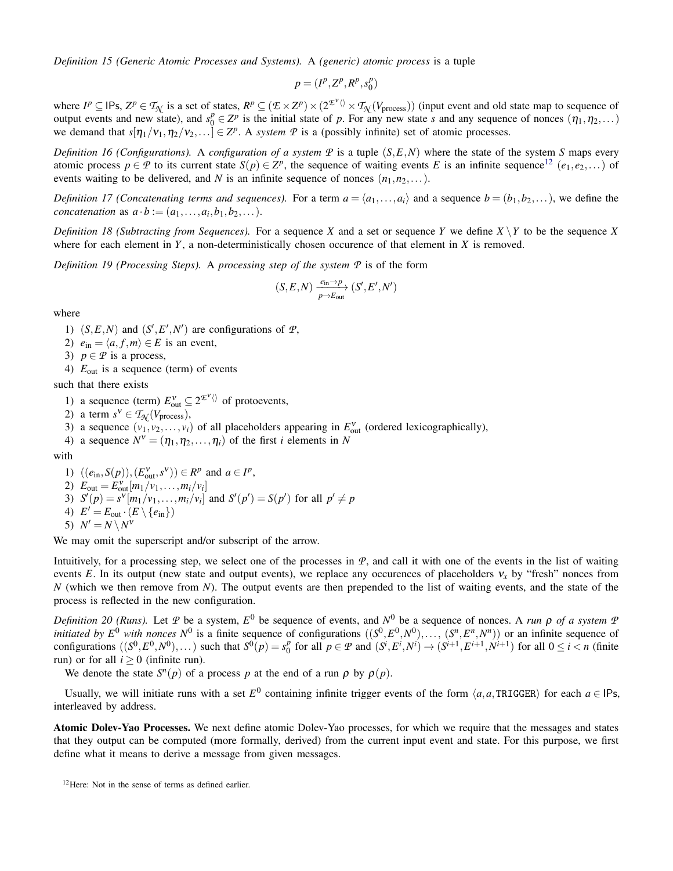*Definition 15 (Generic Atomic Processes and Systems).* A *(generic) atomic process* is a tuple

$$
p = (I^p, Z^p, R^p, s_0^p)
$$

where  $I^p \subseteq \text{IPs}, Z^p \in \mathcal{T}_{\mathcal{N}}$  is a set of states,  $R^p \subseteq (\mathcal{E} \times Z^p) \times (2^{\mathcal{E}^{\vee}} \setminus \mathcal{T}_{\mathcal{N}}(V_{\text{process}}))$  (input event and old state map to sequence of output events and new state), and  $s_0^p \in Z^p$  is the initial state of *p*. For any new state *s* and any sequence of nonces  $(\eta_1, \eta_2, \dots)$ we demand that  $s[\eta_1/\nu_1, \eta_2/\nu_2,...] \in \mathbb{Z}^p$ . A *system*  $\mathcal P$  is a (possibly infinite) set of atomic processes.

*Definition 16 (Configurations).* A *configuration of a system*  $\mathcal P$  is a tuple  $(S, E, N)$  where the state of the system *S* maps every atomic process  $p \in \mathcal{P}$  to its current state  $S(p) \in \mathbb{Z}^p$ , the sequence of waiting events *E* is an infinite sequence<sup>[12](#page-20-0)</sup> (*e*<sub>1</sub>, *e*<sub>2</sub>,...) of events waiting to be delivered, and *N* is an infinite sequence of nonces  $(n_1, n_2,...)$ .

*Definition 17 (Concatenating terms and sequences).* For a term  $a = \langle a_1, \ldots, a_i \rangle$  and a sequence  $b = (b_1, b_2, \ldots)$ , we define the *concatenation* as  $a \cdot b := (a_1, \ldots, a_i, b_1, b_2, \ldots).$ 

*Definition 18 (Subtracting from Sequences).* For a sequence *X* and a set or sequence *Y* we define  $X \ Y$  to be the sequence *X* where for each element in  $Y$ , a non-deterministically chosen occurence of that element in  $X$  is removed.

*Definition 19 (Processing Steps).* A *processing step of the system P* is of the form

$$
(S, E, N) \xrightarrow[p \to E_{\text{out}}]{e_{\text{in}} \to p} (S', E', N')
$$

where

1)  $(S, E, N)$  and  $(S', E', N')$  are configurations of  $\mathcal{P}$ ,

- 2)  $e_{\text{in}} = \langle a, f, m \rangle \in E$  is an event,
- 3)  $p \in \mathcal{P}$  is a process,
- 4) *E*out is a sequence (term) of events

such that there exists

1) a sequence (term)  $E_{\text{out}}^{\text{v}} \subseteq 2^{\mathcal{E}^{\text{v}}} \setminus \text{ of protocols}$ 

- 2) a term  $s^V \in T_{\mathcal{N}}(V_{\text{process}})$ ,
- 3) a sequence  $(v_1, v_2, \ldots, v_i)$  of all placeholders appearing in  $E_{out}^v$  (ordered lexicographically),
- 4) a sequence  $N^{\nu} = (\eta_1, \eta_2, \dots, \eta_i)$  of the first *i* elements in *N*

with

1)  $((e_{\text{in}}, S(p)), (E_{\text{out}}^v, s^v)) \in R^p \text{ and } a \in I^p,$ 2)  $E_{\text{out}} = E_{\text{out}}^{V}[m_1/v_1,...,m_i/v_i]$ 3)  $S'(p) = s^{\nu}[m_1/\nu_1, \ldots, m_i/\nu_i]$  and  $S'(p') = S(p')$  for all  $p' \neq p$ 4)  $E' = E_{\text{out}} \cdot (E \setminus \{e_{\text{in}}\})$ 5)  $N' = N \setminus N^{\dot{V}}$ 

We may omit the superscript and/or subscript of the arrow.

Intuitively, for a processing step, we select one of the processes in *P*, and call it with one of the events in the list of waiting events *E*. In its output (new state and output events), we replace any occurences of placeholders  $v_x$  by "fresh" nonces from *N* (which we then remove from *N*). The output events are then prepended to the list of waiting events, and the state of the process is reflected in the new configuration.

*Definition 20 (Runs).* Let  $P$  be a system,  $E^0$  be sequence of events, and  $N^0$  be a sequence of nonces. A *run*  $\rho$  *of a system*  $P$ *initiated by*  $E^0$  *with nonces*  $N^0$  is a finite sequence of configurations  $((S^0, E^0, N^0), \ldots, (S^n, E^n, N^n))$  or an infinite sequence of configurations  $((S^0, E^0, N^0),...)$  such that  $S^0(p) = s_0^p$  $\int_{0}^{p}$  for all  $p \in \mathcal{P}$  and  $(S^{i}, E^{i}, N^{i}) \to (S^{i+1}, E^{i+1}, N^{i+1})$  for all  $0 \le i < n$  (finite run) or for all  $i \geq 0$  (infinite run).

We denote the state  $S<sup>n</sup>(p)$  of a process *p* at the end of a run  $\rho$  by  $\rho(p)$ .

Usually, we will initiate runs with a set  $E^0$  containing infinite trigger events of the form  $\langle a, a, \text{TRIGGER} \rangle$  for each  $a \in \text{IPs}$ , interleaved by address.

Atomic Dolev-Yao Processes. We next define atomic Dolev-Yao processes, for which we require that the messages and states that they output can be computed (more formally, derived) from the current input event and state. For this purpose, we first define what it means to derive a message from given messages.

<span id="page-20-0"></span><sup>12</sup>Here: Not in the sense of terms as defined earlier.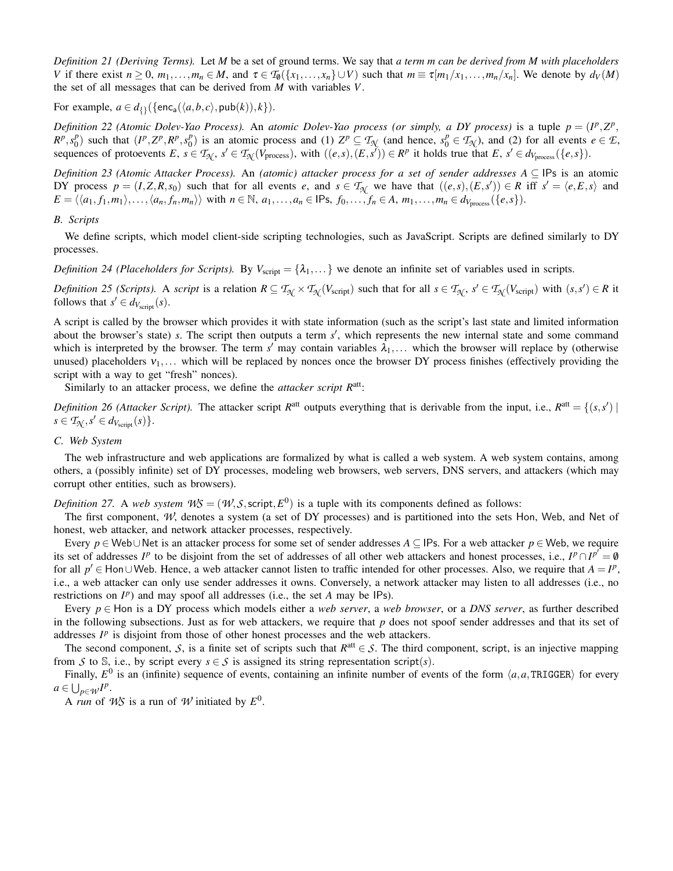*Definition 21 (Deriving Terms).* Let *M* be a set of ground terms. We say that *a term m can be derived from M with placeholders* V if there exist  $n \ge 0$ ,  $m_1, \ldots, m_n \in M$ , and  $\tau \in T_0({x_1, \ldots, x_n} \cup V)$  such that  $m \equiv \tau[m_1/x_1, \ldots, m_n/x_n]$ . We denote by  $d_V(M)$ the set of all messages that can be derived from *M* with variables *V*.

For example,  $a \in d_{\{\}}({\text{enc}_a(\langle a,b,c \rangle, \text{pub}(k)), k}).$ 

*Definition 22 (Atomic Dolev-Yao Process). An <i>atomic Dolev-Yao process (or simply, a DY process)* is a tuple  $p = (I^p, Z^p, Y^p)$  $R^p, s_0^p$  $\binom{p}{0}$  such that  $(I^p, Z^p, R^p, s_0^p)$  $\mathcal{O}_0^p$  is an atomic process and (1)  $Z^p \subseteq T_{\mathcal{N}}$  (and hence,  $s_0^p \in T_{\mathcal{N}}$ ), and (2) for all events  $e \in \mathcal{F}$ , sequences of protoevents  $E, s \in T_{\mathcal{H}}, s' \in T_{\mathcal{H}}(V_{\text{process}})$ , with  $((e, s), (E, s')) \in R^p$  it holds true that  $E, s' \in d_{V_{\text{process}}}(\{e, s\}).$ 

*Definition 23 (Atomic Attacker Process).* An *(atomic) attacker process for a set of sender addresses A* ⊆ IPs is an atomic DY process  $p = (I, Z, R, s_0)$  such that for all events e, and  $s \in T_{\mathcal{N}}$  we have that  $((e, s), (E, s')) \in R$  iff  $s' = \langle e, E, s \rangle$  and  $E = \langle \langle a_1, f_1, m_1 \rangle, \ldots, \langle a_n, f_n, m_n \rangle \rangle$  with  $n \in \mathbb{N}$ ,  $a_1, \ldots, a_n \in \mathsf{IPs}, f_0, \ldots, f_n \in A, m_1, \ldots, m_n \in d_{V_{\text{process}}}(\{e, s\}).$ 

#### *B. Scripts*

We define scripts, which model client-side scripting technologies, such as JavaScript. Scripts are defined similarly to DY processes.

*Definition 24 (Placeholders for Scripts).* By  $V_{\text{script}} = {\lambda_1, \dots}$  we denote an infinite set of variables used in scripts.

Definition 25 (Scripts). A script is a relation  $R \subseteq T_{\mathcal{N}} \times T_{\mathcal{N}}(V_{\text{script}})$  such that for all  $s \in T_{\mathcal{N}}$ ,  $s' \in T_{\mathcal{N}}(V_{\text{script}})$  with  $(s, s') \in R$  it follows that  $s' \in d_{V_{\text{script}}}(s)$ .

A script is called by the browser which provides it with state information (such as the script's last state and limited information about the browser's state) *s*. The script then outputs a term *s'*, which represents the new internal state and some command which is interpreted by the browser. The term  $s'$  may contain variables  $\lambda_1,...$  which the browser will replace by (otherwise unused) placeholders  $v_1, \ldots$  which will be replaced by nonces once the browser DY process finishes (effectively providing the script with a way to get "fresh" nonces).

Similarly to an attacker process, we define the *attacker script*  $R^{\text{att}}$ :

*Definition 26 (Attacker Script).* The attacker script  $R^{\text{att}}$  outputs everything that is derivable from the input, i.e.,  $R^{\text{att}} = \{(s, s') |$  $s \in \mathcal{T}_{\mathcal{N}}, s' \in d_{V_{\text{script}}}(s)$ .

## <span id="page-21-0"></span>*C. Web System*

The web infrastructure and web applications are formalized by what is called a web system. A web system contains, among others, a (possibly infinite) set of DY processes, modeling web browsers, web servers, DNS servers, and attackers (which may corrupt other entities, such as browsers).

*Definition 27.* A *web system*  $W\mathcal{S} = (W, \mathcal{S}, \text{scriptp}, E^0)$  is a tuple with its components defined as follows:

The first component, *W*, denotes a system (a set of DY processes) and is partitioned into the sets Hon, Web, and Net of honest, web attacker, and network attacker processes, respectively.

Every *p* ∈ Web∪Net is an attacker process for some set of sender addresses *A* ⊆ IPs. For a web attacker *p* ∈ Web, we require its set of addresses *I*<sup>p</sup> to be disjoint from the set of addresses of all other web attackers and honest processes, i.e.,  $I^p \cap I^{p'} = \emptyset$ for all  $p'$  ∈ Hon∪Web. Hence, a web attacker cannot listen to traffic intended for other processes. Also, we require that  $A = I^p$ , i.e., a web attacker can only use sender addresses it owns. Conversely, a network attacker may listen to all addresses (i.e., no restrictions on  $I^p$ ) and may spoof all addresses (i.e., the set *A* may be  $IPs$ ).

Every  $p \in$  Hon is a DY process which models either a *web server*, a *web browser*, or a *DNS server*, as further described in the following subsections. Just as for web attackers, we require that *p* does not spoof sender addresses and that its set of addresses  $I^p$  is disjoint from those of other honest processes and the web attackers.

The second component, *S*, is a finite set of scripts such that  $R^{\text{att}} \in S$ . The third component, script, is an injective mapping from *S* to S, i.e., by script every  $s \in S$  is assigned its string representation script(*s*).

Finally,  $E^0$  is an (infinite) sequence of events, containing an infinite number of events of the form  $\langle a,a,\text{TRIGGER}\rangle$  for every  $a \in \bigcup_{p \in \mathcal{W}} I^p$ .

A *run* of *WS* is a run of *W* initiated by  $E^0$ .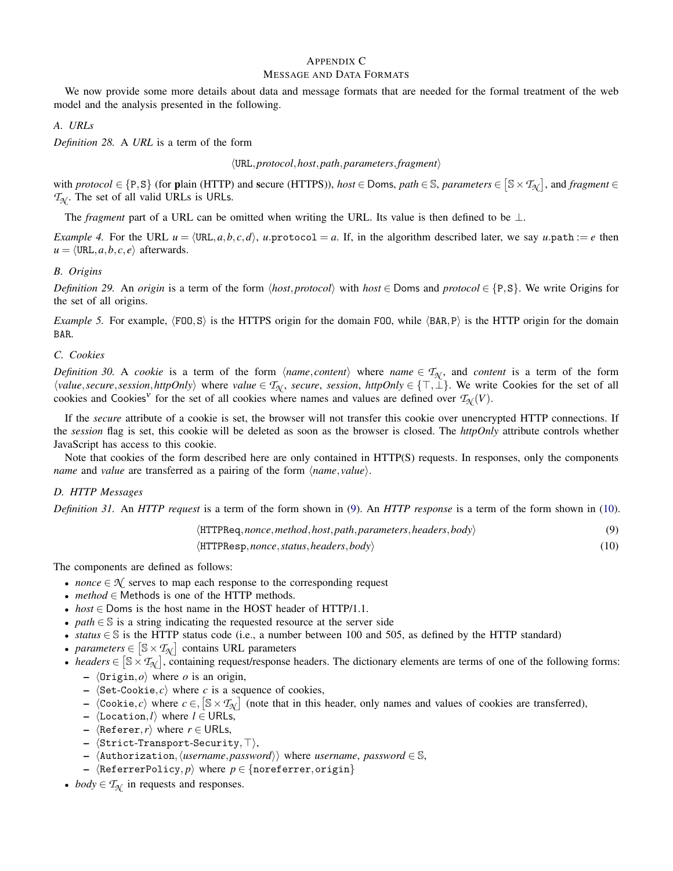## APPENDIX C MESSAGE AND DATA FORMATS

We now provide some more details about data and message formats that are needed for the formal treatment of the web model and the analysis presented in the following.

## *A. URLs*

*Definition 28.* A *URL* is a term of the form

## hURL,*protocol*,*host*,*path*,*parameters*,*fragment*i

with *protocol*  $\in$  {P, S} (for **p**lain (HTTP) and secure (HTTPS)), *host*  $\in$  Doms, *path*  $\in$  S, *parameters*  $\in$  [S  $\times$   $\mathcal{T}_{\mathcal{N}}$ ], and *fragment*  $\in$  $T_N$ . The set of all valid URLs is URLs.

The *fragment* part of a URL can be omitted when writing the URL. Its value is then defined to be ⊥.

<span id="page-22-0"></span>*Example 4.* For the URL  $u = \langle \text{URL}, a, b, c, d \rangle$ , *u*.protocol = *a*. If, in the algorithm described later, we say *u*.path := *e* then  $u = \langle \text{URL}, a, b, c, e \rangle$  afterwards.

## *B. Origins*

*Definition 29.* An *origin* is a term of the form  $\langle host, protocol \rangle$  with  $host \in$  Doms and  $protocol \in \{P, S\}$ . We write Origins for the set of all origins.

*Example 5.* For example,  $\langle F00, S \rangle$  is the HTTPS origin for the domain FOO, while  $\langle BAR, P \rangle$  is the HTTP origin for the domain BAR.

## *C. Cookies*

*Definition 30.* A *cookie* is a term of the form  $\langle name, content \rangle$  where *name*  $\in T_{\mathcal{N}}$ , and *content* is a term of the form h*value*,*secure*,*session*,*httpOnly*i where *value* ∈ *T<sup>N</sup>* , *secure*, *session*, *httpOnly* ∈ {>,⊥}. We write Cookies for the set of all cookies and Cookies<sup>V</sup> for the set of all cookies where names and values are defined over  $T_{\mathcal{N}}(V)$ .

If the *secure* attribute of a cookie is set, the browser will not transfer this cookie over unencrypted HTTP connections. If the *session* flag is set, this cookie will be deleted as soon as the browser is closed. The *httpOnly* attribute controls whether JavaScript has access to this cookie.

Note that cookies of the form described here are only contained in HTTP(S) requests. In responses, only the components *name* and *value* are transferred as a pairing of the form  $\langle name, value \rangle$ .

## *D. HTTP Messages*

*Definition 31.* An *HTTP request* is a term of the form shown in [\(9\)](#page-22-1). An *HTTP response* is a term of the form shown in [\(10\)](#page-22-2).

<span id="page-22-2"></span><span id="page-22-1"></span>

| $\langle$ HTTPReq, nonce, method, host, path, parameters, headers, body $\rangle$ |      |
|-----------------------------------------------------------------------------------|------|
| $\langle$ HTTPResp, nonce, status, headers, body $\rangle$                        | (10) |

The components are defined as follows:

- *nonce*  $\in \mathcal{N}$  serves to map each response to the corresponding request
- *method* ∈ Methods is one of the HTTP methods.
- *host* ∈ Doms is the host name in the HOST header of HTTP/1.1.
- *path* ∈ S is a string indicating the requested resource at the server side
- *status* ∈ S is the HTTP status code (i.e., a number between 100 and 505, as defined by the HTTP standard)
- *parameters*  $\in$  [S  $\times$  *T*<sub> $\mathcal{N}$ ] contains URL parameters</sub>
- *headers*  $\in [\mathbb{S} \times \mathcal{T}_{\mathcal{N}}]$ , containing request/response headers. The dictionary elements are terms of one of the following forms:
	- $\langle$ Origin, $o$ <sup> $\rangle$ </sup> where *o* is an origin,
	- $\langle$ Set-Cookie, *c* $\rangle$  where *c* is a sequence of cookies,
	- $\langle \text{Cookie}, c \rangle$  where  $c \in \left[ \mathbb{S} \times T_{\mathcal{H}} \right]$  (note that in this header, only names and values of cookies are transferred),
	- hLocation,*l*i where *l* ∈ URLs,
	- $\langle$ Referer,*r* $\rangle$  where *r* ∈ URLs,
	- $\langle$ Strict-Transport-Security, $\top$ ),
	- $\langle$ Authorization, $\langle$ *username*, *password* $\rangle$  where *username*, *password*  $\in$  S,
	- $\langle$ ReferrerPolicy, *p* $\rangle$  where  $p \in$  {noreferrer,origin}
- *body*  $\in T_{\mathcal{N}}$  in requests and responses.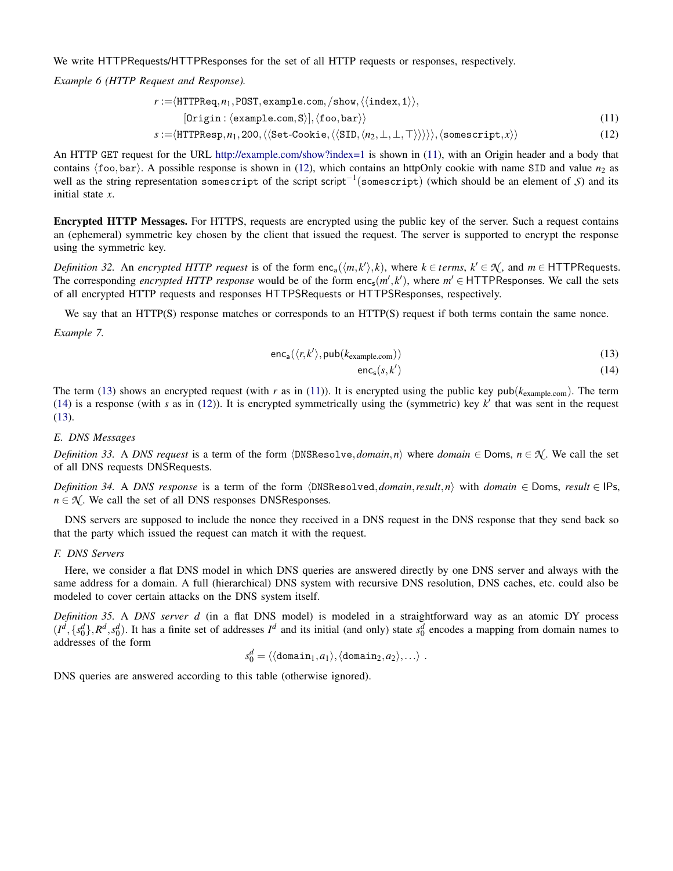We write HTTPRequests/HTTPResponses for the set of all HTTP requests or responses, respectively.

*Example 6 (HTTP Request and Response).*

$$
r := \langle \text{HTTPReq}, n_1, \text{POST}, \text{example.com}, / \text{show}, \langle \langle \text{index}, 1 \rangle \rangle, \\ [\text{Origin}: \langle \text{example.com}, S \rangle], \langle \text{foo}, \text{bar} \rangle \rangle \tag{11}
$$
\n
$$
s := \langle \text{HTTPResp}, n_1, 200, \langle \langle \text{Set-Cookie}, \langle \langle \text{SID}, \langle n_2, \bot, \bot, \top \rangle \rangle \rangle \rangle, \langle \text{somescript}, x \rangle \rangle \tag{12}
$$

An HTTP GET request for the URL <http://example.com/show?index=1> is shown in [\(11\)](#page-23-0), with an Origin header and a body that contains  $\langle$  foo,bar $\rangle$ . A possible response is shown in [\(12\)](#page-23-1), which contains an httpOnly cookie with name SID and value  $n_2$  as well as the string representation somescript of the script script−<sup>1</sup> (somescript) (which should be an element of *S*) and its initial state *x*.

Encrypted HTTP Messages. For HTTPS, requests are encrypted using the public key of the server. Such a request contains an (ephemeral) symmetric key chosen by the client that issued the request. The server is supported to encrypt the response using the symmetric key.

*Definition 32.* An *encrypted HTTP request* is of the form  $enc_a(\langle m, k' \rangle, k)$ , where  $k \in terms, k' \in \mathcal{N}$ , and  $m \in$  HTTPRequests. The corresponding *encrypted HTTP response* would be of the form  $enc_s(m', k')$ , where  $m' \in$  HTTPResponses. We call the sets of all encrypted HTTP requests and responses HTTPSRequests or HTTPSResponses, respectively.

We say that an HTTP(S) response matches or corresponds to an HTTP(S) request if both terms contain the same nonce.

*Example 7.*

$$
enc_a(\langle r, k' \rangle, \text{pub}(k_{example.com})) \tag{13}
$$

<span id="page-23-3"></span><span id="page-23-2"></span><span id="page-23-1"></span><span id="page-23-0"></span>
$$
\mathsf{enc}_{\mathsf{s}}(s,k')\tag{14}
$$

The term [\(13\)](#page-23-2) shows an encrypted request (with *r* as in [\(11\)](#page-23-0)). It is encrypted using the public key pub( $k_{\text{example.com}}$ ). The term [\(14\)](#page-23-3) is a response (with  $s$  as in [\(12\)](#page-23-1)). It is encrypted symmetrically using the (symmetric) key  $k'$  that was sent in the request [\(13\)](#page-23-2).

#### *E. DNS Messages*

*Definition 33.* A *DNS request* is a term of the form  $\langle DNSResolve, domain, n \rangle$  where *domain*  $\in$  *Doms, n*  $\in \mathcal{N}$ . We call the set of all DNS requests DNSRequests.

*Definition 34.* A *DNS response* is a term of the form  $\langle DNSResolved, domain, result, n \rangle$  with *domain* ∈ Doms, *result* ∈ IPs,  $n \in \mathcal{N}$ . We call the set of all DNS responses DNSResponses.

DNS servers are supposed to include the nonce they received in a DNS request in the DNS response that they send back so that the party which issued the request can match it with the request.

#### *F. DNS Servers*

Here, we consider a flat DNS model in which DNS queries are answered directly by one DNS server and always with the same address for a domain. A full (hierarchical) DNS system with recursive DNS resolution, DNS caches, etc. could also be modeled to cover certain attacks on the DNS system itself.

<span id="page-23-4"></span>*Definition 35.* A *DNS server d* (in a flat DNS model) is modeled in a straightforward way as an atomic DY process  $(I^d, \{s_0^d\}, R^d, s_0^d)$ . It has a finite set of addresses  $I^d$  and its initial (and only) state  $s_0^d$  encodes a mapping from domain names to addresses of the form

$$
s_0^d = \langle \langle \texttt{domain}_1, a_1 \rangle, \langle \texttt{domain}_2, a_2 \rangle, \ldots \rangle \ .
$$

DNS queries are answered according to this table (otherwise ignored).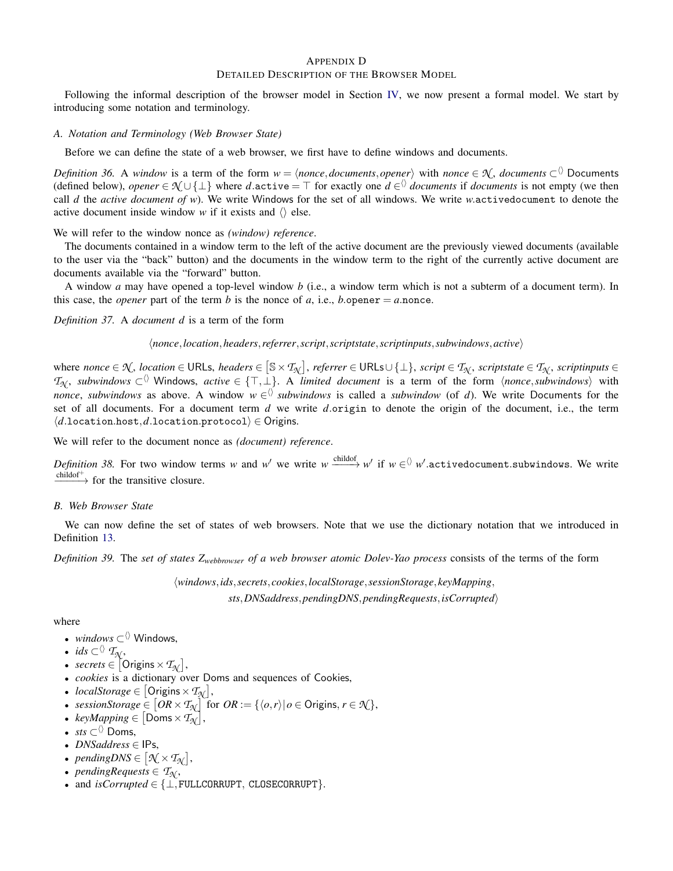## APPENDIX D DETAILED DESCRIPTION OF THE BROWSER MODEL

Following the informal description of the browser model in Section [IV,](#page-6-0) we now present a formal model. We start by introducing some notation and terminology.

## *A. Notation and Terminology (Web Browser State)*

Before we can define the state of a web browser, we first have to define windows and documents.

*Definition 36.* A *window* is a term of the form  $w = \langle$ *nonce*,*documents*,*opener* $\rangle$  with *nonce*  $\in \mathcal{N}$ *, documents*  $\subset$ <sup> $\langle\rangle$ </sup> Documents (defined below), *opener*  $\in \mathcal{N} \cup \{\perp\}$  where *d*.active =  $\top$  for exactly one  $d \in \{0\}$  *documents* if *documents* is not empty (we then call *d* the *active document of w*). We write Windows for the set of all windows. We write *w*.activedocument to denote the active document inside window *w* if it exists and  $\langle \rangle$  else.

We will refer to the window nonce as *(window) reference*.

The documents contained in a window term to the left of the active document are the previously viewed documents (available to the user via the "back" button) and the documents in the window term to the right of the currently active document are documents available via the "forward" button.

A window *a* may have opened a top-level window *b* (i.e., a window term which is not a subterm of a document term). In this case, the *opener* part of the term *b* is the nonce of *a*, i.e., *b*.opener = *a*.nonce.

*Definition 37.* A *document d* is a term of the form

h*nonce*,*location*,*headers*,*referrer*,*script*,*scriptstate*,*scriptinputs*,*subwindows*,*active*i

 $\mathcal{M}$ ,  $\mathcal{M}$ ,  $\mathcal{M}$ ,  $\mathcal{M}$ ,  $\mathcal{M}$ ,  $\mathcal{M}$ ,  $\mathcal{M}$ ,  $\mathcal{M}$ ,  $\mathcal{M}$ ,  $\mathcal{M}$ ,  $\mathcal{M}$ ,  $\mathcal{M}$ ,  $\mathcal{M}$ ,  $\mathcal{M}$ ,  $\mathcal{M}$ ,  $\mathcal{M}$ ,  $\mathcal{M}$ ,  $\mathcal{M}$ ,  $\mathcal{M}$ ,  $\mathcal{M}$  ,  $\mathcal{M}$  ,  $\mathcal{M}$  *T*<sub>N</sub>, *subwindows* ⊂<sup> $\lozenge$ </sup> Windows, *active* ∈ {⊤,⊥}. A *limited document* is a term of the form  $\langle$ *nonce*,*subwindows* $\rangle$  with *nonce*, *subwindows* as above. A window  $w \in \mathbb{N}$  *subwindows* is called a *subwindow* (of *d*). We write Documents for the set of all documents. For a document term *d* we write *d*.origin to denote the origin of the document, i.e., the term  $\langle d.\text{location}.\text{host}, d.\text{location}.\text{protocol}\rangle \in \text{Origins}.$ 

We will refer to the document nonce as *(document) reference*.

*Definition 38*. For two window terms *w* and *w*' we write  $w \xrightarrow{\text{childof}} w'$  if  $w \in \Diamond w'.$ activedocument.subwindows. We write  $\xrightarrow{\text{childof}^+}$  for the transitive closure.

*B. Web Browser State*

We can now define the set of states of web browsers. Note that we use the dictionary notation that we introduced in Definition [13.](#page-19-1)

*Definition 39.* The *set of states Zwebbrowser of a web browser atomic Dolev-Yao process* consists of the terms of the form

h*windows*,*ids*,*secrets*, *cookies*,*localStorage*,*sessionStorage*, *keyMapping*, *sts*,*DNSaddress*,*pendingDNS*,*pendingRequests*,*isCorrupted*i

where

- *windows*  $\subset$  Windows,
- *ids*  $\subset$ <sup> $\langle \rangle$ </sup>  $\mathcal{T}_{\mathcal{N}}$ ,
- *secrets*  $\in$   $[$  Origins  $\times$   $T_{\mathcal{N}}$  $],$
- *cookies* is a dictionary over Doms and sequences of Cookies,
- *localStorage*  $\in$   $[$  Origins  $\times$   $T_{\mathcal{N}}$  $],$
- *sessionStorage* ∈  $[OR \times T_{\mathcal{N}}]$  for  $OR := \{ \langle o, r \rangle | o \in \text{Origins}, r \in \mathcal{N} \},$
- $keyMapping \in [Doms \times T_{\mathcal{N}}],$
- *sts*  $\subset$  Doms,
- *DNSaddress* ∈ IPs,
- *pendingDNS*  $\in$   $[\mathcal{N} \times \mathcal{T}_{\mathcal{N}}]$ ,
- *pendingRequests*  $\in$   $\mathcal{T}_{\mathcal{N}}$ ,
- and *isCorrupted* ∈ {⊥,FULLCORRUPT, CLOSECORRUPT}.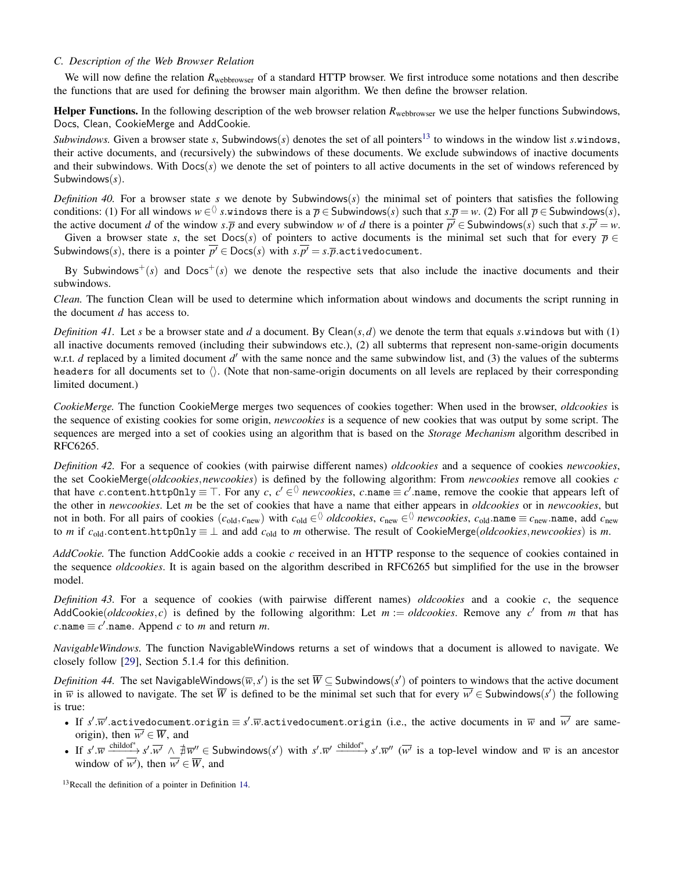## *C. Description of the Web Browser Relation*

We will now define the relation  $R_{webbrowser}$  of a standard HTTP browser. We first introduce some notations and then describe the functions that are used for defining the browser main algorithm. We then define the browser relation.

Helper Functions. In the following description of the web browser relation  $R_{\text{webbrowser}}$  we use the helper functions Subwindows, Docs, Clean, CookieMerge and AddCookie.

*Subwindows.* Given a browser state *s*, Subwindows(*s*) denotes the set of all pointers<sup>[13](#page-25-0)</sup> to windows in the window list *s*.windows, their active documents, and (recursively) the subwindows of these documents. We exclude subwindows of inactive documents and their subwindows. With Docs(*s*) we denote the set of pointers to all active documents in the set of windows referenced by Subwindows(*s*).

*Definition 40.* For a browser state *s* we denote by Subwindows( $s$ ) the minimal set of pointers that satisfies the following conditions: (1) For all windows  $w \in \langle \rangle$  *s*.windows there is a  $\overline{p} \in$  Subwindows(*s*) such that  $s.\overline{p} = w$ . (2) For all  $\overline{p} \in$  Subwindows(*s*), the active document *d* of the window *s*.*p* and every subwindow *w* of *d* there is a pointer  $\overline{p'} \in$  Subwindows(*s*) such that  $s.\overline{p'} = w$ .

Given a browser state *s*, the set Docs(*s*) of pointers to active documents is the minimal set such that for every  $\bar{p} \in$ Subwindows(*s*), there is a pointer  $\overline{p'} \in \text{Docs}(s)$  with  $\overline{s} \cdot \overline{p'} = \overline{s} \cdot \overline{p}$  activedocument.

By Subwindows<sup>+</sup>(s) and  $Docs$ <sup>+</sup>(s) we denote the respective sets that also include the inactive documents and their subwindows.

*Clean.* The function Clean will be used to determine which information about windows and documents the script running in the document *d* has access to.

*Definition 41.* Let *s* be a browser state and *d* a document. By Clean( $s$ ,*d*) we denote the term that equals *s*.windows but with (1) all inactive documents removed (including their subwindows etc.), (2) all subterms that represent non-same-origin documents w.r.t. *d* replaced by a limited document *d'* with the same nonce and the same subwindow list, and (3) the values of the subterms headers for all documents set to  $\langle \rangle$ . (Note that non-same-origin documents on all levels are replaced by their corresponding limited document.)

*CookieMerge.* The function CookieMerge merges two sequences of cookies together: When used in the browser, *oldcookies* is the sequence of existing cookies for some origin, *newcookies* is a sequence of new cookies that was output by some script. The sequences are merged into a set of cookies using an algorithm that is based on the *Storage Mechanism* algorithm described in RFC6265.

*Definition 42.* For a sequence of cookies (with pairwise different names) *oldcookies* and a sequence of cookies *newcookies*, the set CookieMerge(*oldcookies*,*newcookies*) is defined by the following algorithm: From *newcookies* remove all cookies *c* that have *c* content.httpOnly  $\equiv$  T. For any *c*,  $c' \in$  *newcookies, c* name  $\equiv$  *c*' name, remove the cookie that appears left of the other in *newcookies*. Let *m* be the set of cookies that have a name that either appears in *oldcookies* or in *newcookies*, but not in both. For all pairs of cookies  $(c_{old}, c_{new})$  with  $c_{old} \in \Diamond$  *oldcookies*,  $c_{new} \in \Diamond$  *newcookies*,  $c_{old}$  name  $\equiv c_{new}$  name, add  $c_{new}$ to *m* if  $c_{old}$  content.httpOnly  $\equiv \bot$  and add  $c_{old}$  to *m* otherwise. The result of CookieMerge(*oldcookies*,*newcookies*) is *m*.

*AddCookie.* The function AddCookie adds a cookie *c* received in an HTTP response to the sequence of cookies contained in the sequence *oldcookies*. It is again based on the algorithm described in RFC6265 but simplified for the use in the browser model.

*Definition 43.* For a sequence of cookies (with pairwise different names) *oldcookies* and a cookie *c*, the sequence AddCookie(*oldcookies*, *c*) is defined by the following algorithm: Let  $m := oldcookies$ . Remove any  $c'$  from  $m$  that has  $c$ .name  $\equiv c'$ .name. Append *c* to *m* and return *m*.

*NavigableWindows.* The function NavigableWindows returns a set of windows that a document is allowed to navigate. We closely follow [\[29\]](#page-12-25), Section 5.1.4 for this definition.

*Definition 44.* The set NavigableWindows( $\overline{w}, s'$ ) is the set  $\overline{W} \subseteq$  Subwindows( $s'$ ) of pointers to windows that the active document in  $\overline{w}$  is allowed to navigate. The set  $\overline{W}$  is defined to be the minimal set such that for every  $\overline{w'} \in$  Subwindows(s') the following is true:

- If  $s'$ . $\overline{w}'$ .activedocument.origin  $\equiv s'$ . $\overline{w}$ .activedocument.origin (i.e., the active documents in  $\overline{w}$  and  $\overline{w'}$  are sameorigin), then  $\overline{w'} \in \overline{W}$ , and
- If  $s'.\overline{w} \xrightarrow{\text{childof}^*} s'.\overline{w'} \wedge \overline{\#} \overline{w''} \in \text{Subwindows}(s')$  with  $s'.\overline{w'} \xrightarrow{\text{childof}^*} s'.\overline{w''}$  ( $\overline{w'}$  is a top-level window and  $\overline{w}$  is an ancestor window of  $\overline{w'}$ , then  $\overline{w'} \in \overline{W}$ , and

<span id="page-25-0"></span><sup>13</sup>Recall the definition of a pointer in Definition [14.](#page-19-2)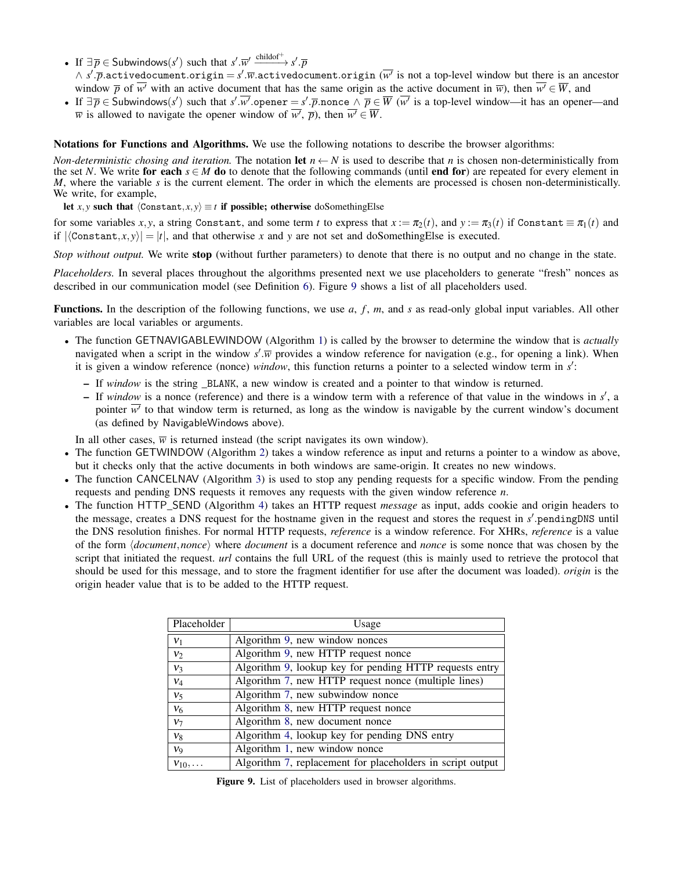- If  $\exists \overline{p} \in$  Subwindows(*s'*) such that  $s'.\overline{w}' \xrightarrow{\text{childof}^+} s'.\overline{p}$
- ∧ *s'.p*.activedocument.origin = *s'*. $\overline{w}$ .activedocument.origin ( $\overline{w'}$  is not a top-level window but there is an ancestor window  $\overline{p}$  of  $\overline{w'}$  with an active document that has the same origin as the active document in  $\overline{w}$ ), then  $\overline{w'} \in \overline{W}$ , and
- If  $\exists \overline{p} \in$  Subwindows(*s'*) such that *s'*.*w'*.opener = *s'*.*p*.nonce ∧  $\overline{p} \in \overline{W}$  ( $\overline{w'}$  is a top-level window—it has an opener—and *w* is allowed to navigate the opener window of  $\overline{w'}$ ,  $\overline{p}$ ), then  $\overline{w'} \in \overline{W}$ .

Notations for Functions and Algorithms. We use the following notations to describe the browser algorithms:

*Non-deterministic chosing and iteration.* The notation let  $n \leftarrow N$  is used to describe that *n* is chosen non-deterministically from the set *N*. We write for each  $s \in M$  do to denote that the following commands (until end for) are repeated for every element in *M*, where the variable *s* is the current element. The order in which the elements are processed is chosen non-deterministically. We write, for example,

let *x*, *y* such that  $\langle$ Constant, *x*, *y* $\rangle \equiv t$  if possible; otherwise doSomethingElse

for some variables *x*, *y*, a string Constant, and some term *t* to express that  $x := \pi_2(t)$ , and  $y := \pi_3(t)$  if Constant  $\equiv \pi_1(t)$  and if  $|\langle \text{Constant}, x, y \rangle| = |t|$ , and that otherwise *x* and *y* are not set and doSomethingElse is executed.

*Stop without output.* We write stop (without further parameters) to denote that there is no output and no change in the state.

*Placeholders.* In several places throughout the algorithms presented next we use placeholders to generate "fresh" nonces as described in our communication model (see Definition [6\)](#page-18-2). Figure [9](#page-26-0) shows a list of all placeholders used.

Functions. In the description of the following functions, we use *a*, *f*, *m*, and *s* as read-only global input variables. All other variables are local variables or arguments.

- The function GETNAVIGABLEWINDOW (Algorithm [1\)](#page-27-0) is called by the browser to determine the window that is *actually* navigated when a script in the window  $s'$ . *w* provides a window reference for navigation (e.g., for opening a link). When it is given a window reference (nonce) *window*, this function returns a pointer to a selected window term in *s'*:
	- If *window* is the string \_BLANK, a new window is created and a pointer to that window is returned.
	- If *window* is a nonce (reference) and there is a window term with a reference of that value in the windows in *s'*, a pointer  $\overline{w'}$  to that window term is returned, as long as the window is navigable by the current window's document (as defined by NavigableWindows above).

In all other cases,  $\overline{w}$  is returned instead (the script navigates its own window).

- The function GETWINDOW (Algorithm [2\)](#page-27-1) takes a window reference as input and returns a pointer to a window as above, but it checks only that the active documents in both windows are same-origin. It creates no new windows.
- The function CANCELNAV (Algorithm [3\)](#page-27-2) is used to stop any pending requests for a specific window. From the pending requests and pending DNS requests it removes any requests with the given window reference *n*.
- <span id="page-26-0"></span>• The function HTTP\_SEND (Algorithm [4\)](#page-27-3) takes an HTTP request *message* as input, adds cookie and origin headers to the message, creates a DNS request for the hostname given in the request and stores the request in *s'* pendingDNS until the DNS resolution finishes. For normal HTTP requests, *reference* is a window reference. For XHRs, *reference* is a value of the form  $\langle document, nonce \rangle$  where *document* is a document reference and *nonce* is some nonce that was chosen by the script that initiated the request. *url* contains the full URL of the request (this is mainly used to retrieve the protocol that should be used for this message, and to store the fragment identifier for use after the document was loaded). *origin* is the origin header value that is to be added to the HTTP request.

| Placeholder     | Usage                                                      |
|-----------------|------------------------------------------------------------|
| $v_1$           | Algorithm 9, new window nonces                             |
| $v_2$           | Algorithm 9, new HTTP request nonce                        |
| $V_3$           | Algorithm 9, lookup key for pending HTTP requests entry    |
| $v_4$           | Algorithm 7, new HTTP request nonce (multiple lines)       |
| $V_5$           | Algorithm 7, new subwindow nonce                           |
| $V_6$           | Algorithm 8, new HTTP request nonce                        |
| $v_7$           | Algorithm 8, new document nonce                            |
| $V_8$           | Algorithm 4, lookup key for pending DNS entry              |
| v <sub>9</sub>  | Algorithm 1, new window nonce                              |
| $v_{10},\ldots$ | Algorithm 7, replacement for placeholders in script output |

Figure 9. List of placeholders used in browser algorithms.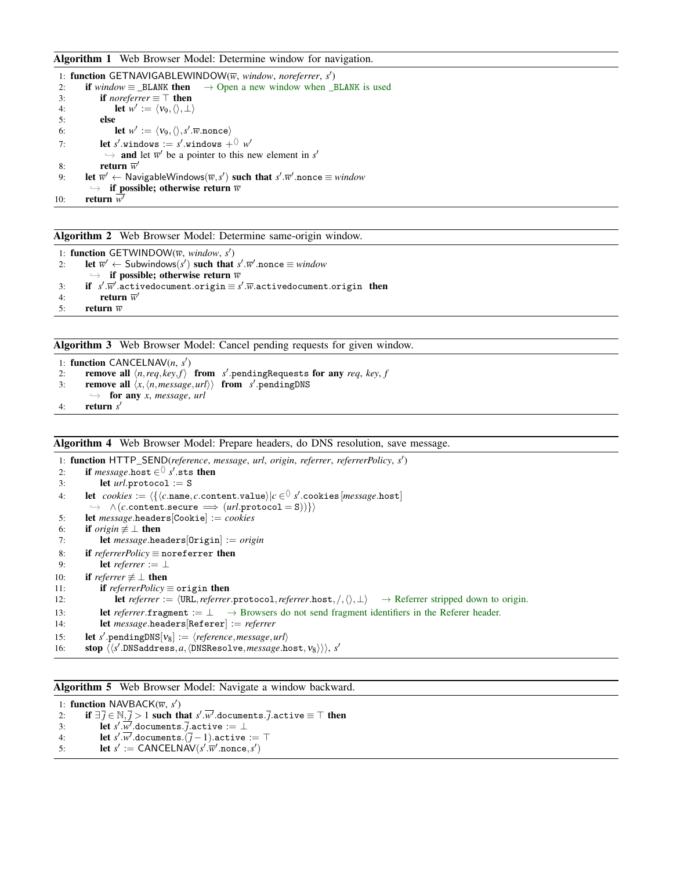## <span id="page-27-0"></span>Algorithm 1 Web Browser Model: Determine window for navigation.

|     | 1: function GETNAVIGABLEWINDOW( $\overline{w}$ , window, noreferrer, s')                                                |
|-----|-------------------------------------------------------------------------------------------------------------------------|
| 2:  | <b>if</b> window $\equiv$ BLANK <b>then</b> $\rightarrow$ Open a new window when BLANK is used                          |
| 3:  | <b>if</b> noreferrer $\equiv \top$ then                                                                                 |
| 4:  | <b>let</b> $w' := \langle v_9, \langle \rangle, \bot \rangle$                                                           |
| 5:  | else                                                                                                                    |
| 6:  | <b>let</b> $w' := \langle v_9, \langle \rangle, s'.\overline{w}.\text{none} \rangle$                                    |
| 7:  | <b>let</b> s' windows := s' windows + $\langle v \rangle w'$                                                            |
|     | $\rightarrow$ and let $\overline{w}'$ be a pointer to this new element in s'                                            |
| 8:  | return $\overline{w}'$                                                                                                  |
| 9:  | let $\overline{w}' \leftarrow$ NavigableWindows $(\overline{w}, s')$ such that $s'.\overline{w}'$ nonce $\equiv$ window |
|     | $\rightarrow$ if possible; otherwise return $\overline{w}$                                                              |
| 10: | return $w$                                                                                                              |

<span id="page-27-1"></span>Algorithm 2 Web Browser Model: Determine same-origin window.

```
1: function GETWINDOW(\overline{w}, window, s')
2: let \overline{w}' \leftarrow Subwindows(s') such that s' \cdot \overline{w}' nonce \equiv window
           \rightarrow if possible; otherwise return \overline{w}3: if s'.\overline{w}'.\overline{\text{activedocument}.\text{origin}} \equiv s'.\overline{w}.\text{activedocument}.\text{origin} then
4: return \overline{w}'5: return \overline{w}
```
<span id="page-27-2"></span>Algorithm 3 Web Browser Model: Cancel pending requests for given window.

```
1: function CANCELNAV(n, s')
2: remove all \langle n, req, key, f \rangle from s' pendingRequests for any req, key, f
3: remove all \langle x, \langle n, \text{message}, \text{url} \rangle \rangle from s' pendingDNS
        \rightarrow for any x, message, url
4: return s
0
```
#### <span id="page-27-3"></span>Algorithm 4 Web Browser Model: Prepare headers, do DNS resolution, save message.

1: function HTTP\_SEND(*reference*, *message*, *url*, *origin*, *referrer*, *referrerPolicy*, *s* 0 ) 2: **if**  $message.host \in \langle \rangle$  *s*'.sts then 3: let *url*.protocol := S  $4:$  **let**  $cookies := \langle \{ \langle c.\mathtt{name}, c.\mathtt{content}.\mathtt{value} \rangle | c \in \mathrel{\Diamond} s'.\mathtt{cookies}[\mathit{message}.\mathtt{host}] \rangle\}$  $\rightarrow \wedge (c.\mathtt{content}.\mathtt{secure} \implies (url.\mathtt{protocol} = \mathtt{S}))\}\rangle$ 5: let *message*.headers[Cookie] := *cookies* 6: **if** *origin*  $\not\equiv \perp$  **then** 7: let *message*.headers[Origin] := *origin* 8: if *referrerPolicy* ≡ noreferrer then 9: **let** *referrer* := ⊥ 10: **if** *referrer*  $\neq \perp$  **then** 11: if *referrerPolicy* ≡ origin then 12: **let** *referrer* :=  $\langle \text{URL}, \text{reference} \rangle$ , *referrer*.protocol, *referrer*.host,  $/$ ,  $\langle \rangle$ , ⊥ $\rangle$  → Referrer stripped down to origin. 13: let *referrer*.fragment := ⊥ → Browsers do not send fragment identifiers in the Referer header. 14: let *message*.headers[Referer] := *referrer* 15: **let** *s'* pendingDNS[ $v_8$ ] :=  $\langle reference, message, url \rangle$ 16: stop  $\langle \langle s'.\text{DNSaddress},a,\langle \text{DNSResolve},\text{message}.\text{host},\text{v}_8 \rangle \rangle \rangle, s'$ 

<span id="page-27-4"></span>Algorithm 5 Web Browser Model: Navigate a window backward.

1: **function** NAVBACK( $\overline{w}$ ,  $s'$ ) 2: if  $\exists \overline{j} \in \mathbb{N}, \overline{j} > 1$  such that  $s'.\overline{w'}$  documents.  $\overline{j}$  active  $\equiv \top$  then 3: let  $s'$ . $\overline{\dot{w'}}$ .documents. *j*.active := ⊥ 4: **let**  $s'.\overline{w'}$ .documents. $(\overline{j}-1)$ .active :=  $\top$ 5: **let**  $s' := \text{CANCELNAV}(s'.\overline{w}'.\text{none}, s')$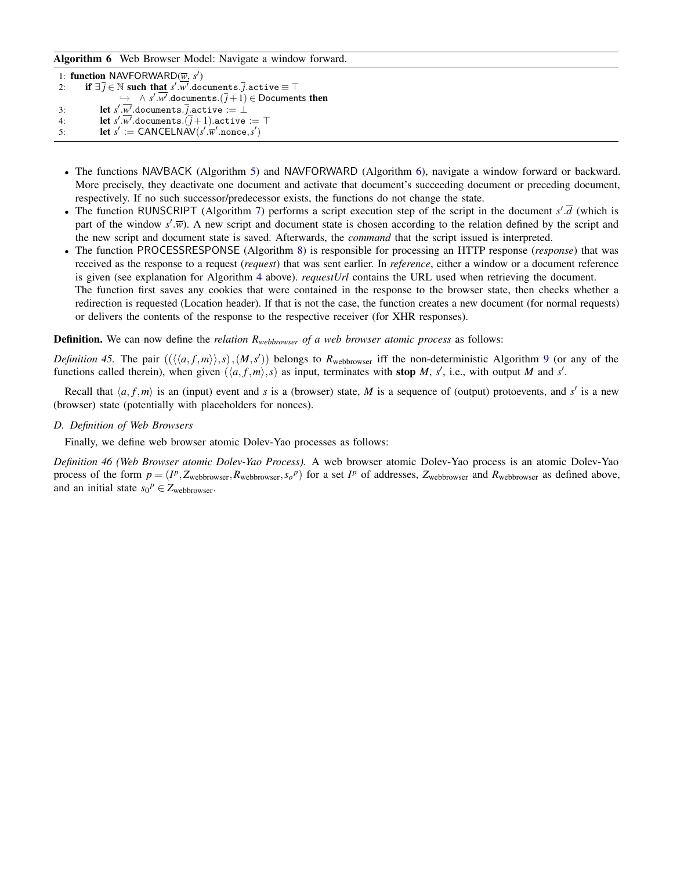## <span id="page-28-0"></span>Algorithm 6 Web Browser Model: Navigate a window forward.

```
1: function NAVFORWARD(\overline{w}, s')
2: if \exists \overline{j} \in \mathbb{N} such that s'.\overline{w'} documents. \overline{j} active \equiv \top\rightarrow \land s'.\overline{w'}.documents.(\overline{j}+1) \in Documents then
3: let s'.w<sup>i</sup>.documents.j.active := ⊥
4: let s'.\overline{w'}.documents.(\overline{j} + 1).active := \top5: let s' := \text{CANCELNAV}(s'.\overline{w}'.\text{none}, s')
```
- The functions NAVBACK (Algorithm [5\)](#page-27-4) and NAVFORWARD (Algorithm [6\)](#page-28-0), navigate a window forward or backward. More precisely, they deactivate one document and activate that document's succeeding document or preceding document, respectively. If no such successor/predecessor exists, the functions do not change the state.
- The function RUNSCRIPT (Algorithm [7\)](#page-29-0) performs a script execution step of the script in the document  $s'$ . $\overline{d}$  (which is part of the window  $s'$ . $\overline{w}$ ). A new script and document state is chosen according to the relation defined by the script and the new script and document state is saved. Afterwards, the *command* that the script issued is interpreted.
- The function PROCESSRESPONSE (Algorithm [8\)](#page-31-0) is responsible for processing an HTTP response (*response*) that was received as the response to a request (*request*) that was sent earlier. In *reference*, either a window or a document reference is given (see explanation for Algorithm [4](#page-27-3) above). *requestUrl* contains the URL used when retrieving the document. The function first saves any cookies that were contained in the response to the browser state, then checks whether a redirection is requested (Location header). If that is not the case, the function creates a new document (for normal requests)

Definition. We can now define the *relation Rwebbrowser of a web browser atomic process* as follows:

or delivers the contents of the response to the respective receiver (for XHR responses).

*Definition 45.* The pair  $((\langle\langle a, f, m \rangle\rangle, s), (M, s'))$  belongs to  $R_{webbrowser}$  iff the non-deterministic Algorithm [9](#page-32-0) (or any of the functions called therein), when given  $(\langle a, f, m \rangle, s)$  as input, terminates with stop *M*, *s*<sup>'</sup>, i.e., with output *M* and *s*<sup>'</sup>.

Recall that  $\langle a, f, m \rangle$  is an (input) event and *s* is a (browser) state, *M* is a sequence of (output) protoevents, and *s'* is a new (browser) state (potentially with placeholders for nonces).

*D. Definition of Web Browsers*

<span id="page-28-1"></span>Finally, we define web browser atomic Dolev-Yao processes as follows:

*Definition 46 (Web Browser atomic Dolev-Yao Process).* A web browser atomic Dolev-Yao process is an atomic Dolev-Yao process of the form  $p = (I^p, Z_{webbrouser}, R_{webbrouser}, s_o^p)$  for a set  $I^p$  of addresses,  $Z_{webbrouser}$  and  $R_{webbrouser}$  as defined above, and an initial state  $s_0^p \in Z_{webbrowser}$ .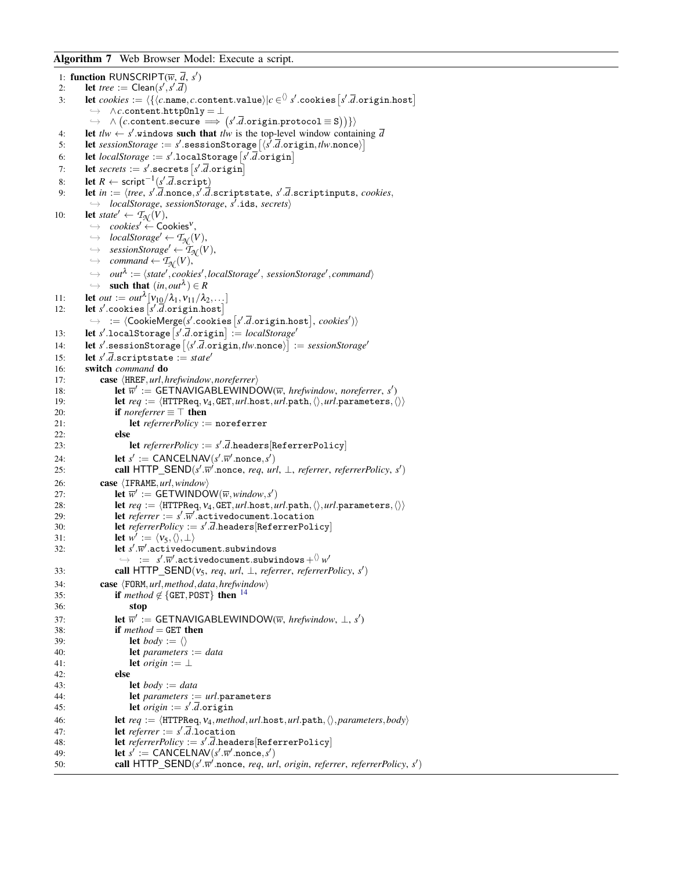<span id="page-29-0"></span>Algorithm 7 Web Browser Model: Execute a script.

```
1: function RUNSCRIPT(\overline{w}, \overline{d}, s')
  2: let tree := Clean(s', s' \cdot \overline{d})
  3: let cookies := \langle \{ \langle c.\mathtt{name}, c.\mathtt{content}.\mathtt{value} \rangle | c \in \langle \rangle \} s'.\mathtt{cookies}\left[s'.\overline{d}.\mathtt{origin}.\mathtt{host}\right],→ ∧c.content.httpOnly = ⊥
             \rightarrow \wedge (c.\mathtt{content}.\mathtt{secure} \implies (s'.\overline{d}.\mathtt{origin}.\mathtt{protocol} \equiv \mathtt{S})))4: let t \cdot l \cdot w \leftarrow s' windows such that t \cdot l \cdot w is the top-level window containing \overline{d}5: let sessionStorage := s'.{\tt sessionStorage} \left [ \langle \hat{s'}. \bar{d}.{\tt origin}, \textit{tlw}.\mathtt{none} \rangle \right ]6: let \text{localStorage} := s'.\text{localStorage}[s'.\overline{d}.\overline{origin}]7: let secrets := s' .secrets \left[s'\right.\overline{d} .origin
  8: let R ← script<sup>-1</sup>(s'.d.script)
  9: let in := \langle tree, s'.\overline{d}.\text{nonce}, s'.\overline{d}.\text{scriptstate}, s'.\overline{d}.\text{scriptinputs}, \text{cookies}, \rangle→ localStorage, sessionStorage, s<sup>7</sup>.ids, secrets)
10: let state<sup>\prime</sup> \leftarrow \mathcal{T}_{\mathcal{N}}(V),
             \rightarrow \ \ \textit{cookies}' \leftarrow \textsf{Cookies}^v,\rightarrow localStorage' \leftarrow \mathcal{T}_{\mathcal{N}}(V),
            \rightarrow sessionStorage' \leftarrow \tilde{\tau}_{\mathcal{N}}(V),
            \hookrightarrow command \leftarrow \mathcal{T}_{\mathcal{N}}(V),
             \rightarrow out<sup>\lambda</sup> := \langle state', \textit{cookies}', \textit{localStorage}', \textit{sessionStorage}', \textit{command}\rangle\hookrightarrow such that (in,out^{\lambda}) \in R11: let out := out^{\lambda} [v_{10}/\lambda_1, v_{11}/\lambda_2, \ldots]12: let s' cookies \left[ s'.\overline{d} origin.host
             \rightarrow := \langle \text{CookieMerge}(s'.\text{cookies}[s'.\bar{d}.\text{origin}.\text{host}], \text{cookies}' \rangle \rangle13: let s'.localStorage [s', \overline{d}.\text{origin}] := localStorage'14: let s' sessionStorage \left[ \langle s', \overline{d} \cdot \overline{d} \cdot \overline{d} \rangle : s \cdot \overline{d} \cdot \overline{d} \rangle \right] := \text{sessionStorage}15: let s' \cdot \overline{d}.scriptstate := state'
16: switch command do
17: case \langle HREF,url,hrefwindow, no referrer \rangle18: let \overline{w}' := \overline{GETNAVIGABLEWINDOW(\overline{w}, \text{hrefwindow, noreferrer, s')}}19: let req := \langle \text{HTTPReq}, \nu_4, \text{GET}, \text{url}.\text{host}, \text{url}.\text{path}, \langle \rangle, \text{url}.\text{parameters}, \langle \rangle \rangle<br>20: if noreferrer = \top then
                     if noreferrer \equiv \top then
21: let referrerPolicy := noreferrer
22: else
23: let referrerPolicy := s'.\overline{d}.headers[ReferrerPolicy]
24: let s' := \text{CANCELNAV}(s'.\overline{w}'.\text{none}, s')25: call HTTP_SEND(s'.\overline{w'} nonce, req, url, \perp, referrer, referrerPolicy, s')
26: case \langle \text{IFRAME}, url, window \rangle27: let \overline{w}' := \overline{\text{GETWINDOW}}(\overline{w}, \text{window}, s')28: let req := \langle \text{HTTPReq}, \nu_4, \text{GET}, url.\text{post}, url.\text{path}, \langle \rangle, url.\text{parameters}, \langle \rangle \rangle<br>29: let referrer := s'.\overline{w'}.\text{activatedscument.location}29: let referrer := s'.\overline{w}'.\overline{\text{activated}}\text{c} \text{c} details a let
30: let referrerPolicy := s'.d.headers[ReferrerPolicy]
31: let w' := \langle v_5, \langle \rangle, \bot \rangle32: let s'.\overline{w}'.activedocument.subwindows
                       \rightarrow := s'.\overline{w}'.activedocument.subwindows+\Diamond w'33: call HTTP_SEND(v_5, req, url, \perp, referrer, referrerPolicy, s')
34: case \langleFORM, url, method, data, hrefwindow)
35: if method \notin \{GET, POST\}14</sup>
36: stop
37: let \overline{w}' := \text{GETNAVIGABLEWINDOW}(\overline{w}, \text{hrefwindow, \_}, s')38: if method = GET then
39: let body := \langle \rangle40: let parameters := data
41: let origin := ⊥
42: else
43: let body := data
44: let parameters := url.parameters
45: let origin := s' \cdot \overline{d} \cdot origin46: let req := \langle \text{HTTPReq}, v_4, \text{method}, \text{url}.\text{host}, \text{url}.\text{path}, \langle \rangle, \text{parameters}, \text{body} \rangle<br>47: let referrer := s'.\overline{d}.\text{location}47: let referrer := s' \cdot \overline{d}.location
48: let referrerPolicy := s'.d.headers[ReferrerPolicy]
49: let s' := \text{CANCELNAV}(s'.\overline{w}'.\text{none}, s')50: call HTTP_SEND(s'.\overline{w}<sup>2</sup> nonce, req, url, origin, referrer, referrerPolicy, s')
```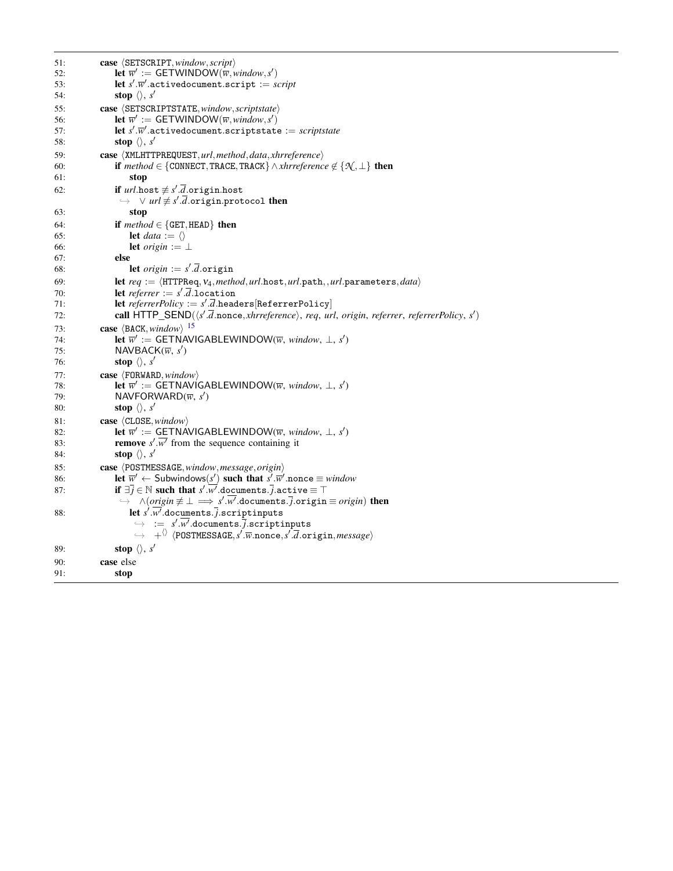| 51:        | case $\langle$ SETSCRIPT, window, script $\rangle$                                                                                                                                                              |
|------------|-----------------------------------------------------------------------------------------------------------------------------------------------------------------------------------------------------------------|
| 52:        | <b>let</b> $\overline{w}' := \text{GETWINDOW}(\overline{w}, \text{window}, s')$                                                                                                                                 |
| 53:        | let $s'.\overline{w}'$ active document script := script                                                                                                                                                         |
| 54:        | stop $\langle \rangle$ , s'                                                                                                                                                                                     |
| 55:        | case<br>SETSCRIPTSTATE, window, scriptstate>                                                                                                                                                                    |
| 56:        | <b>let</b> $\overline{w}' := \text{GETWINDOW}(\overline{w}, \text{window}, s')$                                                                                                                                 |
| 57:        | let $s'.\overline{w}'$ active document scriptstate := scriptstate                                                                                                                                               |
| 58:        | stop $\langle \rangle$ , s'                                                                                                                                                                                     |
| 59:        | case (XMLHTTPREQUEST, url, method, data, xhrreference)                                                                                                                                                          |
| 60:        | <b>if</b> method $\in$ {CONNECT, TRACE, TRACK} $\wedge$ xhrreference $\notin$ { $\mathcal{N}, \perp$ } <b>then</b>                                                                                              |
| 61:        | stop                                                                                                                                                                                                            |
| 62:        | if $url.\text{host} \not\equiv s'.\overline{d}.\text{origin}.\text{host}$                                                                                                                                       |
|            | $\rightarrow$ $\lor$ url $\not\equiv$ s'.d.origin.protocol then                                                                                                                                                 |
| 63:        | stop                                                                                                                                                                                                            |
| 64:        | if $method \in \{\texttt{GET}, \texttt{HEAD}\}\)$ then                                                                                                                                                          |
| 65:        | <b>let</b> data := $\langle \rangle$                                                                                                                                                                            |
| 66:        | <b>let</b> origin := $\perp$                                                                                                                                                                                    |
| 67:        | else                                                                                                                                                                                                            |
| 68:        | let <i>origin</i> := $s'$ . <i>d</i> .origin                                                                                                                                                                    |
| 69:        | let $req := \langle \text{HTTPReq}, \text{V}_4, \text{method}, \text{url}.\text{host}, \text{url}.\text{path}, \text{url}.\text{parameters}, \text{data} \rangle$                                               |
| 70:        | let referrer := $s'.d$ .location                                                                                                                                                                                |
| 71:        | <b>let</b> referrerPolicy := $s'.\overline{d}$ .headers [ReferrerPolicy]<br>call HTTP_SEND( $\langle s'.\overline{d}.\text{nonce},\text{xhrreference}\rangle$ , req, url, origin, referrer, referrerPolicy, s') |
| 72:        |                                                                                                                                                                                                                 |
| 73:        | case $\langle BACK, window \rangle$ 15                                                                                                                                                                          |
| 74:<br>75: | <b>let</b> $\overline{w}' :=$ GETNAVIGABLEWINDOW( $\overline{w}$ , window, $\perp$ , s')<br>NAVBACK $(\overline{w}, s')$                                                                                        |
| 76:        | stop $\langle \rangle$ , s'                                                                                                                                                                                     |
|            |                                                                                                                                                                                                                 |
| 77:        | <b>case</b> $\langle$ FORWARD, window $\rangle$<br><b>let</b> $\overline{w}' :=$ GETNAVIGABLEWINDOW( $\overline{w}$ , window, $\perp$ , s')                                                                     |
| 78:<br>79: | NAVFORWARD( $\overline{w}$ , s')                                                                                                                                                                                |
| 80:        | stop $\langle \rangle$ , s'                                                                                                                                                                                     |
|            |                                                                                                                                                                                                                 |
| 81:<br>82: | case $\langle$ CLOSE, window $\rangle$<br><b>let</b> $\overline{w}' :=$ GETNAVIGABLEWINDOW( $\overline{w}$ , window, $\perp$ , s')                                                                              |
| 83:        | <b>remove</b> $s'.\overline{w'}$ from the sequence containing it                                                                                                                                                |
| 84:        | stop $\langle \rangle$ , s'                                                                                                                                                                                     |
| 85:        | case $\langle$ POSTMESSAGE, window, message, origin $\rangle$                                                                                                                                                   |
| 86:        | let $\overline{w}' \leftarrow$ Subwindows(s') such that s' $\overline{w}'$ nonce $\equiv$ window                                                                                                                |
| 87:        | if $\exists j \in \mathbb{N}$ such that s'.w'.documents.j.active $\equiv \top$                                                                                                                                  |
|            | $\wedge (origin \neq \bot \implies s'.w'.documents. j. origin \equiv origin)$ then<br>$\hookrightarrow$                                                                                                         |
| 88:        | let $s'.\overline{w'}$ .documents.j.scriptinputs                                                                                                                                                                |
|            | $\overline{\mathbf{v}} = s'.\overline{w'}.$ documents.j.scriptinputs                                                                                                                                            |
|            | $\rightarrow$ + $\langle$ \ \the POSTMESSAGE, s'. $\overline{w}$ . nonce, s'. $\overline{d}$ . origin, message \end{bmatrix}                                                                                    |
| 89:        | stop $\langle \rangle$ , s'                                                                                                                                                                                     |
| 90:        | case else                                                                                                                                                                                                       |
| 91:        | stop                                                                                                                                                                                                            |
|            |                                                                                                                                                                                                                 |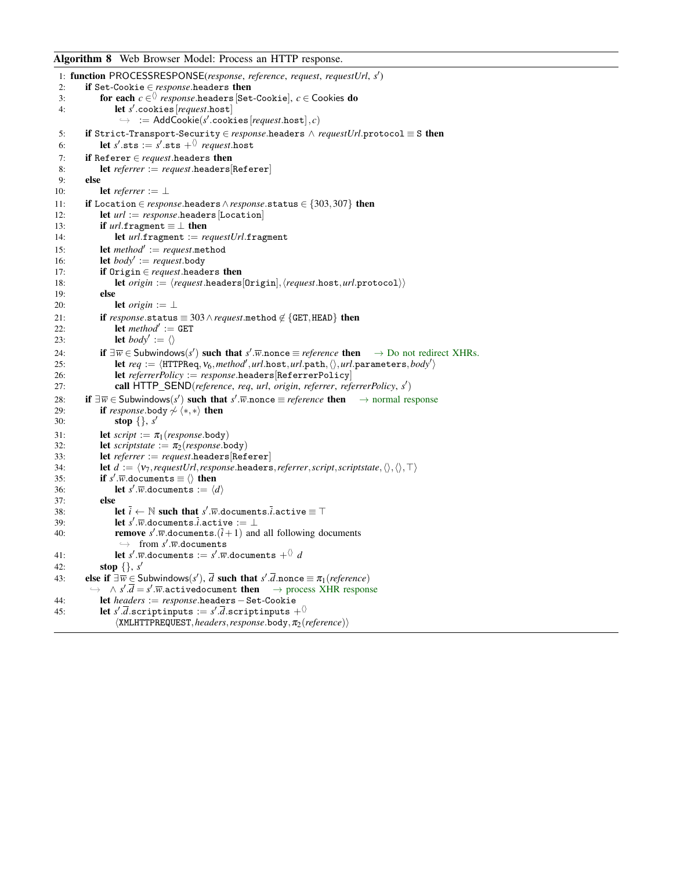## <span id="page-31-0"></span>Algorithm 8 Web Browser Model: Process an HTTP response.

```
1: function PROCESSRESPONSE(response, reference, request, requestUrl, s
0
)
 2: if Set-Cookie ∈ response.headers then
 3: for each c \in \Diamond response.headers [Set-Cookie], c \in Cookies do
 4: let s
0
.cookies[request.host]
                    \rightarrow := AddCookie(s'.cookies[request.host], c)
 5: if Strict-Transport-Security ∈ response.headers \land requestUrl.protocol ≡ S then
 6: let s' sts := s' sts +^{\langle\rangle} request.host
 7: if Referer ∈ request.headers then
 8: let referrer := request.headers[Referer]
 9: else
10: let referrer := ⊥
11: if Location ∈ response.headers∧response.status ∈ {303,307} then
12: let url := response \text{.} \text{headers}[Location]
13: if url.fragment \equiv \perp then
14: let url.fragment := requestUrl.fragment
15: let method' := request.method
16: let body' := request.body
17: if Origin ∈ request.headers then
18: let origin := \langle request \text{.heads}[\text{Original}], \langle request \text{.host}, url.\text{protocol}\rangle\rangle19: else
20: let origin := \perp21: if response.\text{status} \equiv 303 \land request.\text{method} \notin \{\text{GET}, \text{HEAD}\}\) then 22 \cdot22: let method' := GET23: let body' := \langle \rangle24: if \exists \overline{w} \in Subwindows(s') such that s'.\overline{w} nonce \equiv reference then \rightarrow Do not redirect XHRs.
25: let req := \langle \text{HTTPReg}, \text{V}_6, \text{method}', \text{url}.\text{host}, \text{url}.\text{path}, \langle \rangle, \text{url}.\text{parameters}, \text{body}' \rangle26: let referrerPolicy := response.headers[ReferrerPolicy]
27: call HTTP_SEND(reference, req, url, origin, referrer, referrerPolicy, s
0
)
28: if \exists \overline{w} \in \mathsf{Subwindows}(s') such that s'.\overline{w} nonce \equiv \text{reference} then \rightarrow normal response
29: if response.body \overset{\sim}{\sim} \langle *, * \rangle then
30: stop \{ \}, s'
31: let script := \pi_1(response.body)<br>32: let scriptstate := \pi_2(response.b)
32: let scriptstate := \pi_2(response.body)<br>33: let referrer := request.headers[Ref]
             33: let referrer := request.headers[Referer]
34: let d := \langle v_7, \text{request} \rangleresponse.headers, referrer, script, scriptstate, \langle \rangle, \langle \rangle, \top is: if s' \cdot \overline{w}.documents \equiv \langle \rangle then
35: if s' \cdot \overline{w} documents \equiv \langle \rangle then
36: let s' \cdot \overline{w}.documents := \langle d \rangle37: else
38: let \overline{i} \leftarrow \mathbb{N} such that s'.\overline{w}.documents.\overline{i}.active \equiv \top39: let s'.\overline{w}.documents.\overline{i}.active := ⊥
40: remove s' \cdot \overline{w}.documents.(\overline{i}+1) and all following documents
                    \hookrightarrow from s'.\overline{w}.documents
41: let s'.\overline{w}.documents := s'.\overline{w}.documents +^{\langle\rangle}d42: stop {}, s
0
43: else if \exists \overline{w} \in \text{Subwindows}(s'), \overline{d} \text{ such that } s'.\overline{d} \text{.nonce} \equiv \pi_1(\text{reference})\rightarrow \land s'.\overline{d} = s'.\overline{w}.\text{activedocument then } \rightarrow \text{process XHR response}44: let headers := response.headers−Set-Cookie
45: let s'.\overline{d}.scriptinputs := s'.\overline{d}.scriptinputs +\langle\overline{\rangle}hXMLHTTPREQUEST,headers,response.body,π2(reference)i
```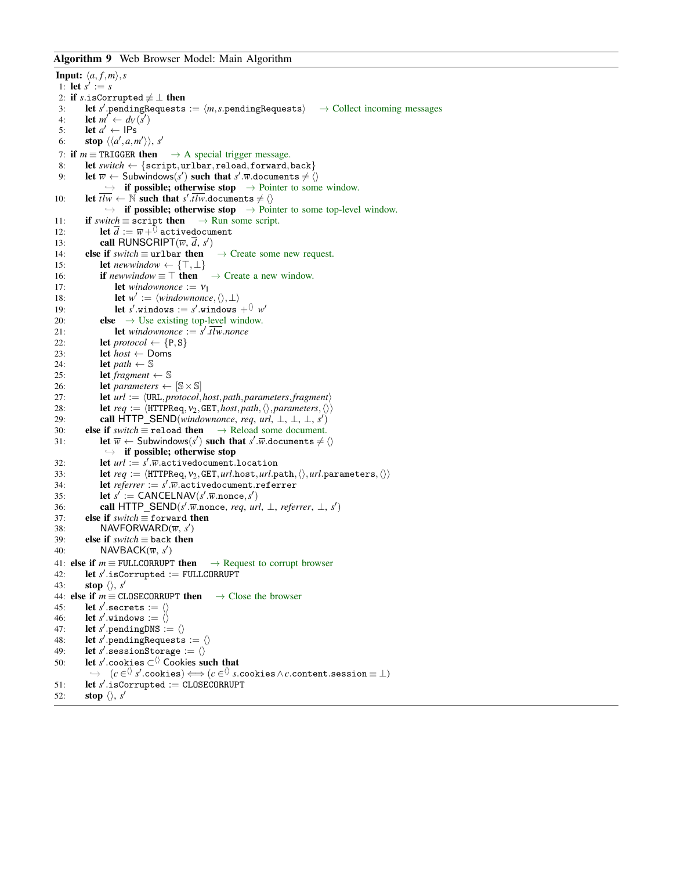## <span id="page-32-0"></span>Algorithm 9 Web Browser Model: Main Algorithm

```
Input: \langle a, f, m \rangle, s
 1: let s' := s2: if s.isCorrupted \neq \bot then
 3: let s' pendingRequests := \langle m, s \rangle pendingRequests \rangle \rightarrow Collect incoming messages
 4: let m' \leftarrow d_V(s')5: let a' \leftarrow \text{IPs}6: stop \langle \langle a', a, m' \rangle \rangle, s'
 7: if m \equiv \text{TRIGGER} then \rightarrow A special trigger message.
 8: let switch ← {script,urlbar,reload,forward,back}
 9: let \overline{w} \leftarrow Subwindows(s') such that s' w.documents \neq \langle \rangle\rightarrow if possible; otherwise stop \rightarrow Pointer to some window.
10: let \overline{t l w} \leftarrow \mathbb{N} such that s'.\overline{t l w}.documents \neq \langle \rangle\rightarrow if possible; otherwise stop \rightarrow Pointer to some top-level window.
11: if switch \equiv script then \rightarrow Run some script.
12: let \overline{d} := \overline{w} + \overline{\lambda} activedocument
13: call RUNSCRIPT(\overline{w}, \overline{d}, s')
14: else if switch \equiv urlbar then \rightarrow Create some new request.
15: let newwindow ← \{\top, \bot\}16: if newwindow \equiv \top then \rightarrow Create a new window.
17: let windownonce := v_118: let w' := \langle windownone, \langle \rangle, \bot \rangle19: let s' windows := s' windows +\langle \rangle w'20: else \rightarrow Use existing top-level window.<br>21: let windownonce := s'.\overline{t w}.nonce
21: let windownonce := s'.tlw.nonce
22: let \text{protocol} \leftarrow \{P, S\}23: let host \leftarrow Doms
24: let path \leftarrow \mathbb{S}25: let fragment \leftarrow S
26: let parameters \leftarrow [\mathbb{S} \times \mathbb{S}]27: let url := \langle \text{URL}, protocol, host, path, parameters, fragment \rangle28: let req := \langle \text{HTPRed}, \nu_2, \text{GET}, \text{host}, \text{path}, \langle \rangle, \text{parameters}, \langle \rangle \rangle<br>29. call HTTP SEND(windownonce, reg. url. \mid \cdot \mid \cdot \mid \cdot \rangle)
29: call HTTP_SEND(windownonce, req, url, ⊥, ⊥, ⊥, s')
30: else if switch \equiv reload then \rightarrow Reload some document.
31: let \overline{w} \leftarrow Subwindows(s') such that s'.\overline{w}.documents \neq \langle \rangle\rightarrow if possible; otherwise stop
32: let url := s'.\overline{w}.\overline{a}ctivedocument.location33: let req := \langle \text{HTTPReq}, \nu_2, \text{GET}, \text{url}.\text{host}, \text{url}.\text{path}, \langle \rangle, \text{url}.\text{parameters}, \langle \rangle \rangle<br>34: let referrer := s'.\overline{w}.\text{activedocument}.\text{referrer}34: let referrer := s'.\overline{w}.activedocument.referrer
35: let s' := \text{CANCELNAV}(s'.\overline{w}.\text{nonce}, s')36: call HTTP_SEND(s'.\overline{w}.nonce, req, url, ⊥, referrer, ⊥, s')
37: else if switch ≡ forward then
38: NAVFORWARD(\overline{w}, s')39: else if switch ≡ back then
40: NAVBACK(\overline{w}, s')41: else if m \equiv FULLCORRUPT then \rightarrow Request to corrupt browser
42: let s'.isCorrupted := FULLCORRUPT
43: stop \langle \rangle, s'
44: else if m \equiv CLOSECORRUPT then \rightarrow Close the browser
45: let s'.secrets := \langle \rangle46: let s' windows := \langle \rangle47: let s'.pendingDNS := \langle \rangle48: let s<sup>'</sup>.pendingRequests := \langle \rangle49: let s' sessionStorage := \langle \rangle50: let s'.cookies ⊂<sup>()</sup> Cookies such that
           ,→ (c ∈
hi s
0
.cookies) ⇐⇒ (c ∈
hi s.cookies∧c.content.session ≡ ⊥)
51: let s'.isCorrupted := CLOSECORRUPT
52: stop \langle \rangle, s'
```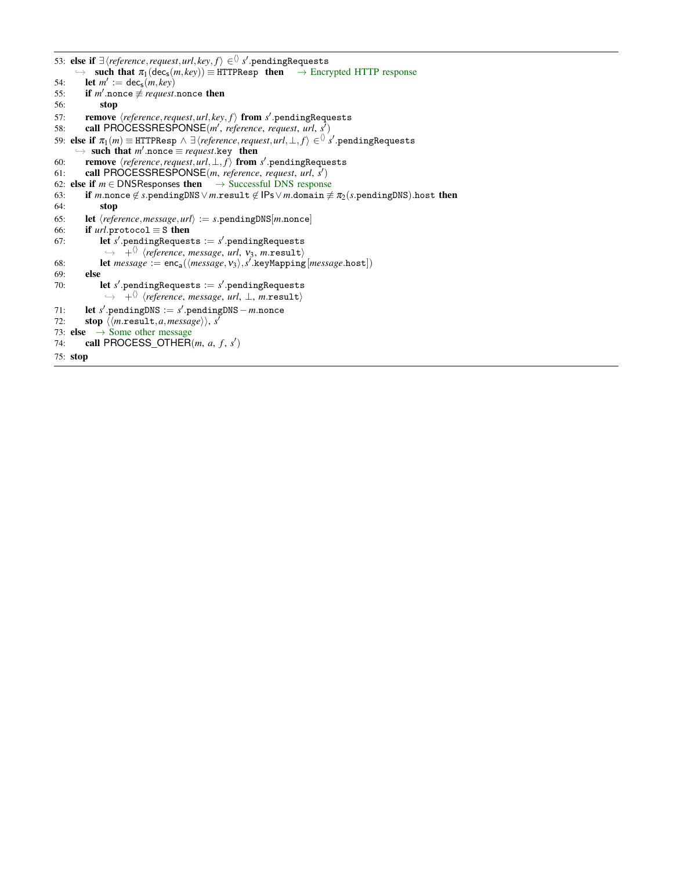```
53: else if ∃ hreference,request,url, key, fi ∈hi s
0
.pendingRequests
     \rightarrow such that \pi_1(\text{dec}_s(m, key)) \equiv \text{HTTP}Resp then \rightarrow Encrypted HTTP response
54: let m' := \text{dec}_s(m, \text{key})55: if m' nonce \neq request nonce then
56: stop
57: remove \langle reference, request, url, key, f \rangle from s'.pendingRequests
58: call PROCESSRESPONSE(m', reference, request, url, s<sup>t</sup>)
59: else if \pi_1(m) \equiv HTTPResp \land \exists {reference, request, url, \bot, f \rangle \in \Diamond s' .pendingRequests
      \rightarrow such that m' nonce \equiv request.key then
60: remove hreference,request,url,⊥, fi from s
0
.pendingRequests
61: call PROCESSRESPONSE(m, reference, request, url, s
0
)
62: else if m \in \text{DNSResponse} then \rightarrow Successful DNS response
63: if m.nonce ∉ s.pendingDNS ∨ m.result ∉ IPs ∨ m.domain \neq \pi_2 (s.pendingDNS).host then 64:
            stop
65: let \langle reference, message, url \rangle := s.\text{pendingDNS}[m.\text{none}]66: if url.\text{protocol} \equiv S then
67: let s' pendingRequests := s' pendingRequests
              \leftrightarrow + \langle /reference, message, url, v<sub>3</sub>, m.result)
68: let message := enc_{a}(\langle message, v_3 \rangle, s'.\nkeyMapping[message.host])69: else
70: let s' pendingRequests := s' pendingRequests
              ,→ +hi hreference, message, url, ⊥, m.resulti
71: let s'.pendingDNS := s'.pendingDNS − m.nonce
72: stop \langle \langle m.\text{result}, a, message \rangle \rangle, s^{\delta}73: else \rightarrow Some other message<br>74: call PROCESS OTHER
74: call PROCESS_OTHER(m, a, f, s')75: stop
```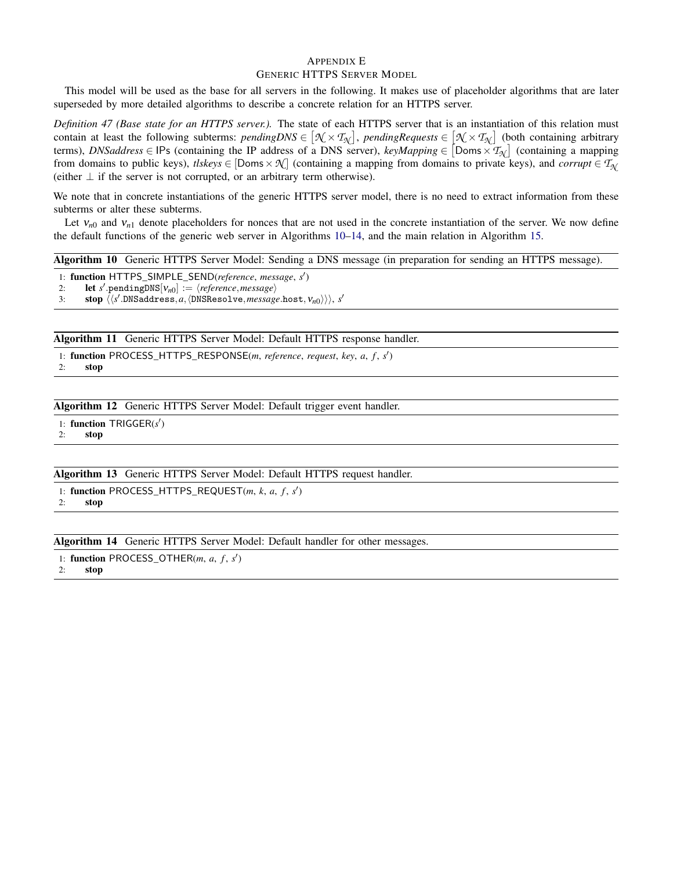## <span id="page-34-3"></span>APPENDIX E GENERIC HTTPS SERVER MODEL

This model will be used as the base for all servers in the following. It makes use of placeholder algorithms that are later superseded by more detailed algorithms to describe a concrete relation for an HTTPS server.

<span id="page-34-2"></span>*Definition 47 (Base state for an HTTPS server.).* The state of each HTTPS server that is an instantiation of this relation must contain at least the following subterms:  $pendingDNS \in [\mathcal{N} \times \mathcal{T}_{\mathcal{N}}]$ ,  $pendingRequests \in [\mathcal{N} \times \mathcal{T}_{\mathcal{N}}]$  (both containing arbitrary terms), *DNSaddress*  $\in$  IPs (containing the IP address of a DNS server), *keyMapping*  $\in$  [Doms  $\times$   $\mathcal{T}_{\mathcal{N}}$ ] (containing a mapping from domains to public keys), *tlskeys*  $\in$  [Doms  $\times \mathcal{N}$ ] (containing a mapping from domains to private keys), and *corrupt*  $\in T_{\mathcal{N}}$ (either  $\perp$  if the server is not corrupted, or an arbitrary term otherwise).

We note that in concrete instantiations of the generic HTTPS server model, there is no need to extract information from these subterms or alter these subterms.

Let  $v_{n0}$  and  $v_{n1}$  denote placeholders for nonces that are not used in the concrete instantiation of the server. We now define the default functions of the generic web server in Algorithms [10](#page-34-0)[–14,](#page-34-1) and the main relation in Algorithm [15.](#page-35-0)

<span id="page-34-0"></span>Algorithm 10 Generic HTTPS Server Model: Sending a DNS message (in preparation for sending an HTTPS message).

1: function HTTPS\_SIMPLE\_SEND(*reference*, *message*, *s* 0 )

2: **let** *s*<sup> $\prime$ </sup> pendingDNS[ $v_{n0}$ ] :=  $\langle reference, message \rangle$ 

3: stop  $\langle \langle s'.$ DNSaddress, a,  $\langle$ DNSResolve, *message*.host,  $v_{n0} \rangle \rangle$ , *s'* 

Algorithm 11 Generic HTTPS Server Model: Default HTTPS response handler.

- 1: function PROCESS\_HTTPS\_RESPONSE(*m*, *reference*, *request*, *key*, *a*, *f* , *s* 0 )
- 2: stop

Algorithm 12 Generic HTTPS Server Model: Default trigger event handler.

1: function TRIGGER(s')

2: stop

Algorithm 13 Generic HTTPS Server Model: Default HTTPS request handler.

1: function PROCESS\_HTTPS\_REQUEST(m, k, a, f, s')

2: stop

<span id="page-34-1"></span>Algorithm 14 Generic HTTPS Server Model: Default handler for other messages.

1: function PROCESS\_OTHER( $m$ ,  $a$ ,  $f$ ,  $s'$ )

2: stop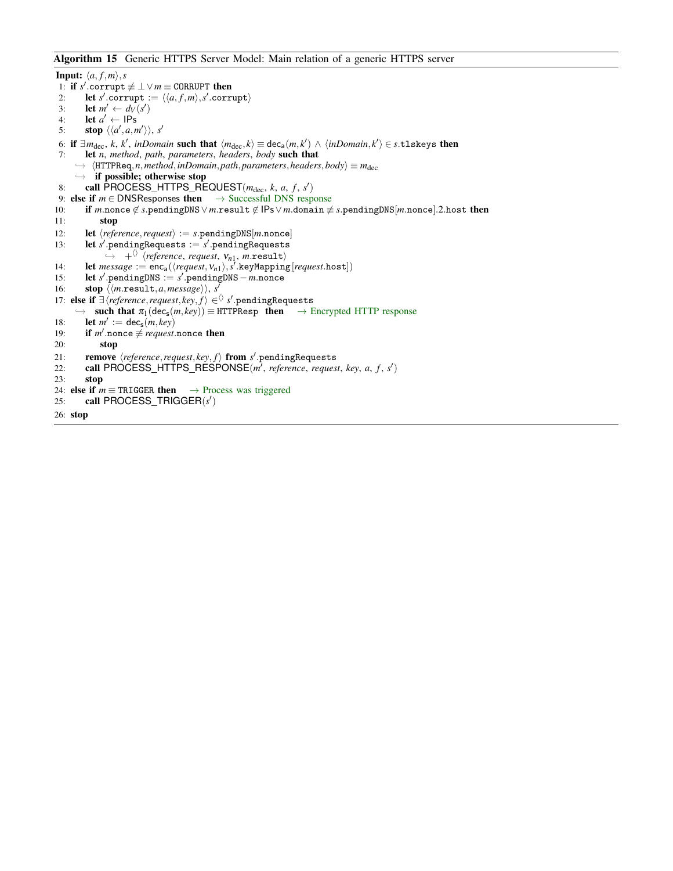<span id="page-35-0"></span>Algorithm 15 Generic HTTPS Server Model: Main relation of a generic HTTPS server

```
Input: \langle a, f, m \rangle, s
  1: if s' corrupt \not\equiv \perp \vee m \equiv \text{CORRUPT} then
  2: let s'.corrupt := \langle \langle a, f, m \rangle, s'.corrupt)
  3: let m' \leftarrow d_V(s')4: let a' \leftarrow \text{IPs}5: stop \langle \langle a', a, m' \rangle \rangle, s'
  6: if \exists m_{dec}, k, k', inDomain such that \langle m_{dec}, k \rangle \equiv dec_a(m, k') \wedge \langle inDomain, k' \rangle \in s.tlskeys then
 7: let n, method, path, parameters, headers, body such that
      \rightarrow \langleHTTPReq,n,method,inDomain,path,parameters,headers,body) \equiv m_{dec}\rightarrow if possible; otherwise stop
  8: call \widehat{P} \text{ROCESS\_HTTS\_REQUEST}(m_{dec}, k, a, f, s')9: else if m \in DNSResponses then \rightarrow Successful DNS response
10: if m.nonce \notin s.pendingDNS \lor m.result \notin IPs \lor m.domain \notin s.pendingDNS[m.nonce].2.host then
11: stop
12: let \langle reference, request \rangle := s.\text{pendingDNS}[m.nonce]<br>13: let s'.\text{pendingReadeests := s'.\text{pendingReadeests}13: let s' pendingRequests := s' pendingRequests
                \leftrightarrow +^{\langle\rangle} \langlereference, request, v_{n1}, m.result\rangle14: let message := enc_a(\langle request, v_{n1} \rangle, s'.\nkeyMapping[request.\nhost])15: let s'.pendingDNS := s'.pendingDNS − m.nonce
16: stop \langle \langle m.\text{result}, a, message \rangle \rangle, s^T17: else if ∃\reference,request, key, f) ∈<sup>\Diamond</sup> s'.pendingRequests
      \rightarrow such that \pi_1(\text{dec}_s(m, key)) \equiv \text{HTTP}Resp then \rightarrow Encrypted HTTP response
18: let m' := \text{dec}_s(m, \text{key})19: if m' nonce \neq request nonce then
20: stop
21: remove \langle reference, request, key, f \rangle from s'.pendingRequests
22: call PROCESS_HTTPS_RESPONSE(m<sup>1</sup>, reference, request, key, a, f, s')
23: stop
24: else if m \equiv \text{TRIGGER} then \rightarrow Process was triggered
25: call PROCESS_TRIGGER(s')
26: stop
```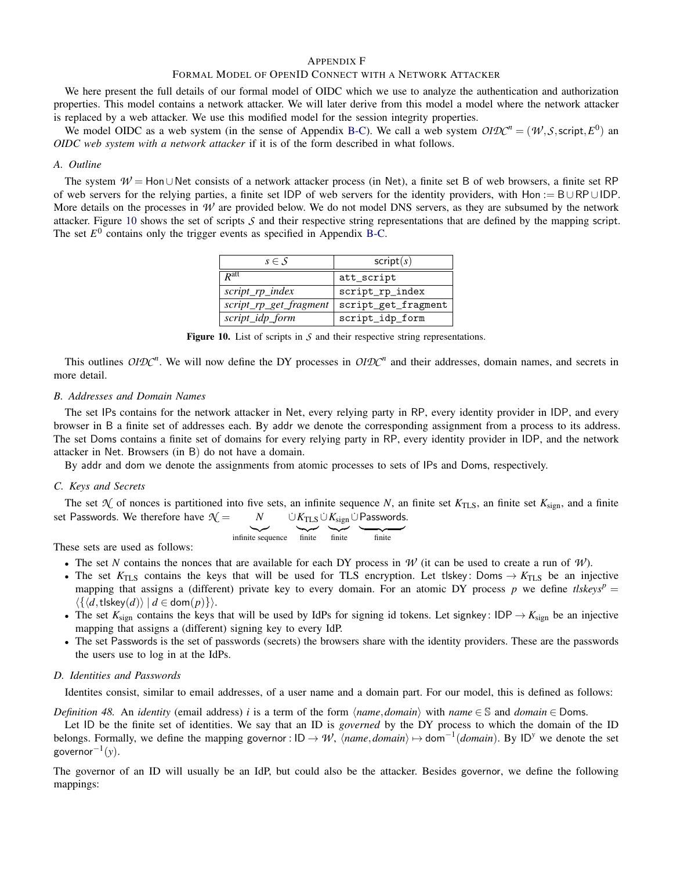#### <span id="page-36-0"></span>APPENDIX F

## FORMAL MODEL OF OPENID CONNECT WITH A NETWORK ATTACKER

We here present the full details of our formal model of OIDC which we use to analyze the authentication and authorization properties. This model contains a network attacker. We will later derive from this model a model where the network attacker is replaced by a web attacker. We use this modified model for the session integrity properties.

We model OIDC as a web system (in the sense of Appendix [B-C\)](#page-21-0). We call a web system  $OIDC^n = (W, S, script, E^0)$  and *OIDC web system with a network attacker* if it is of the form described in what follows.

#### *A. Outline*

<span id="page-36-1"></span>The system *W* = Hon∪Net consists of a network attacker process (in Net), a finite set B of web browsers, a finite set RP of web servers for the relying parties, a finite set IDP of web servers for the identity providers, with Hon := B∪RP∪IDP. More details on the processes in  $W$  are provided below. We do not model DNS servers, as they are subsumed by the network attacker. Figure [10](#page-36-1) shows the set of scripts *S* and their respective string representations that are defined by the mapping script. The set  $E^0$  contains only the trigger events as specified in Appendix [B-C.](#page-21-0)

| $s \in \mathcal{S}$    | script(s)           |
|------------------------|---------------------|
| $R^{\text{att}}$       | att_script          |
| $script\_rp\_index$    | script_rp_index     |
| script_rp_get_fragment | script_get_fragment |
| script_idp_form        | script_idp_form     |

Figure 10. List of scripts in *S* and their respective string representations.

This outlines  $OIDC<sup>n</sup>$ . We will now define the DY processes in  $OIDC<sup>n</sup>$  and their addresses, domain names, and secrets in more detail.

#### <span id="page-36-2"></span>*B. Addresses and Domain Names*

The set IPs contains for the network attacker in Net, every relying party in RP, every identity provider in IDP, and every browser in B a finite set of addresses each. By addr we denote the corresponding assignment from a process to its address. The set Doms contains a finite set of domains for every relying party in RP, every identity provider in IDP, and the network attacker in Net. Browsers (in B) do not have a domain.

By addr and dom we denote the assignments from atomic processes to sets of IPs and Doms, respectively.

#### *C. Keys and Secrets*

The set  $\mathcal{N}$  of nonces is partitioned into five sets, an infinite sequence *N*, an finite set  $K_{\text{TLS}}$ , an finite set  $K_{\text{sign}}$ , and a finite set Passwords. We therefore have  $\mathcal{N} =$  $\dot{\cup}$   $K_{\mathrm{TLS}} \dot{\cup} K_{\mathrm{sign}} \dot{\cup}$  Passwords.

$$
\begin{array}{ccc}\n\bullet & \bullet & \bullet & \bullet \\
\hline\n\text{infinite} & \text{finite} & \text{finite}\n\end{array}
$$

These sets are used as follows:

- The set *N* contains the nonces that are available for each DY process in *W* (it can be used to create a run of *W*).
- The set  $K_{\text{TLS}}$  contains the keys that will be used for TLS encryption. Let tlskey: Doms  $\rightarrow K_{\text{TLS}}$  be an injective mapping that assigns a (different) private key to every domain. For an atomic DY process p we define  $tlskeys^p =$  $\langle \{ \langle d, \mathsf{t} \vert \mathsf{skey}(d) \rangle \mid d \in \mathsf{dom}(p) \} \rangle.$
- The set  $K_{\text{sign}}$  contains the keys that will be used by IdPs for signing id tokens. Let signkey: IDP  $\rightarrow K_{\text{sign}}$  be an injective mapping that assigns a (different) signing key to every IdP.
- The set Passwords is the set of passwords (secrets) the browsers share with the identity providers. These are the passwords the users use to log in at the IdPs.

#### *D. Identities and Passwords*

Identites consist, similar to email addresses, of a user name and a domain part. For our model, this is defined as follows:

*Definition 48.* An *identity* (email address) *i* is a term of the form  $\langle \textit{name}, \textit{domain} \rangle$  with  $\textit{name} \in S$  and  $\textit{domain} \in Doms$ .

Let ID be the finite set of identities. We say that an ID is *governed* by the DY process to which the domain of the ID belongs. Formally, we define the mapping governor :  $ID \to W$ ,  $\langle name, domain \rangle \mapsto dom^{-1}(domain)$ . By  $ID^y$  we denote the set governor−<sup>1</sup> (*y*).

The governor of an ID will usually be an IdP, but could also be the attacker. Besides governor, we define the following mappings: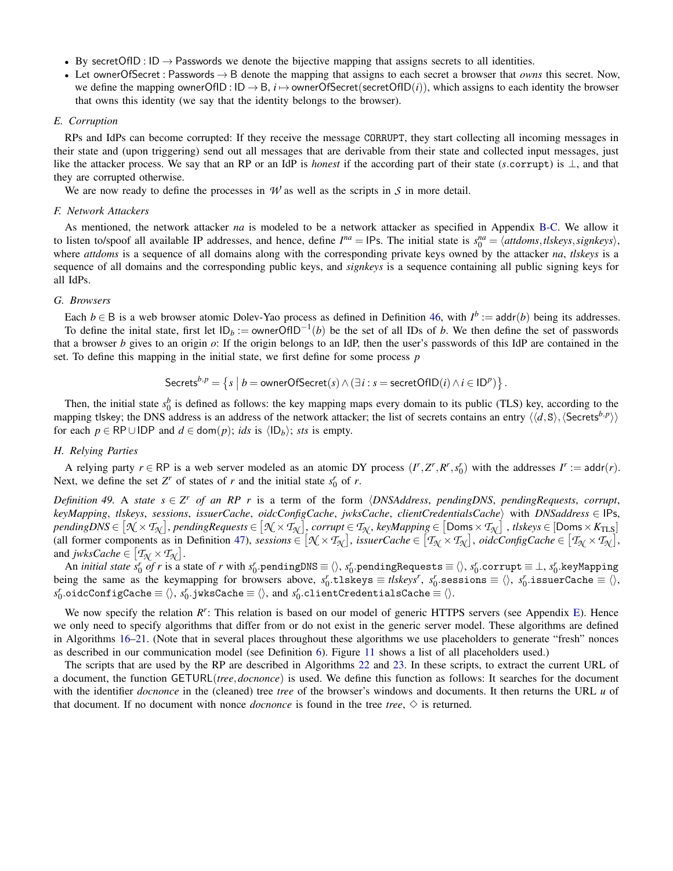- By secretOfID :  $ID \rightarrow$  Passwords we denote the bijective mapping that assigns secrets to all identities.
- Let ownerOfSecret : Passwords → B denote the mapping that assigns to each secret a browser that *owns* this secret. Now, we define the mapping ownerOfID :  $ID \rightarrow B$ ,  $i \mapsto$  ownerOfSecret(secretOfID(*i*)), which assigns to each identity the browser that owns this identity (we say that the identity belongs to the browser).

#### *E. Corruption*

RPs and IdPs can become corrupted: If they receive the message CORRUPT, they start collecting all incoming messages in their state and (upon triggering) send out all messages that are derivable from their state and collected input messages, just like the attacker process. We say that an RP or an IdP is *honest* if the according part of their state (*s*.corrupt) is ⊥, and that they are corrupted otherwise.

We are now ready to define the processes in  $W$  as well as the scripts in  $S$  in more detail.

#### *F. Network Attackers*

As mentioned, the network attacker *na* is modeled to be a network attacker as specified in Appendix [B-C.](#page-21-0) We allow it to listen to/spoof all available IP addresses, and hence, define  $I^{na} = \text{IPs}$ . The initial state is  $s_0^{na} = \langle$  attdoms, tlskeys, signkeys $\rangle$ , where *attdoms* is a sequence of all domains along with the corresponding private keys owned by the attacker *na*, *tlskeys* is a sequence of all domains and the corresponding public keys, and *signkeys* is a sequence containing all public signing keys for all IdPs.

## *G. Browsers*

Each  $b \in B$  is a web browser atomic Dolev-Yao process as defined in Definition [46,](#page-28-1) with  $I^b := \text{addr}(b)$  being its addresses. To define the inital state, first let  $ID_b := ownerOfID^{-1}(b)$  be the set of all IDs of *b*. We then define the set of passwords that a browser *b* gives to an origin *o*: If the origin belongs to an IdP, then the user's passwords of this IdP are contained in the set. To define this mapping in the initial state, we first define for some process *p*

$$
\mathsf{Secrets}^{b,p} = \left\{ s \mid b = \text{ownerOfSecret}(s) \land (\exists i : s = \text{secretOfID}(i) \land i \in \mathsf{ID}^p) \right\}.
$$

Then, the initial state  $s_0^b$  is defined as follows: the key mapping maps every domain to its public (TLS) key, according to the mapping tlskey; the DNS address is an address of the network attacker; the list of secrets contains an entry  $\langle\langle d, S \rangle, \langle S\epsilon\epsilon_0| \epsilon_0| \rangle$ for each  $p \in \mathsf{RP} \cup \mathsf{IDP}$  and  $d \in \mathsf{dom}(p)$ ; *ids* is  $\langle \mathsf{ID}_b \rangle$ ; *sts* is empty.

#### *H. Relying Parties*

A relying party  $r \in \mathbb{RP}$  is a web server modeled as an atomic DY process  $(I^r, Z^r, R^r, s_0^r)$  with the addresses  $I^r := \text{addr}(r)$ . Next, we define the set  $Z^r$  of states of *r* and the initial state  $s_0^r$  of *r*.

<span id="page-37-0"></span>*Definition 49.* A *state*  $s \in Z^r$  *of an RP r* is a term of the form  $\langle DNSAddress, pendingDNS, pendingRequests, corrupt,$ *keyMapping*, *tlskeys*, *sessions*, *issuerCache*, *oidcConfigCache*, *jwksCache*, *clientCredentialsCache*i with *DNSaddress* ∈ IPs, pendingDNS  $\in$   $[\mathcal{N}\times T_{\mathcal{N}}]$ , pendingRequests  $\in$   $[\mathcal{N}\times T_{\mathcal{N}}]$ , corrupt  $\in$   $T_{\mathcal{N}}$ , keyMapping  $\in$   $[$  Doms  $\times$   $T_{\mathcal{N}}]$  , tlskeys  $\in$   $[$  Doms  $\times$   $K_{\rm TLS}]$ (all former components as in Definition [47\)](#page-34-2), *sessions*  $\in [\mathcal{N} \times \mathcal{T}_{\mathcal{N}}]$ , *issuerCache*  $\in [\mathcal{T}_{\mathcal{N}} \times \mathcal{T}_{\mathcal{N}}]$ , *oidcConfigCache*  $\in [\mathcal{T}_{\mathcal{N}} \times \mathcal{T}_{\mathcal{N}}]$ , and *jwksCache*  $\in$   $[T_{\mathcal{N}} \times T_{\mathcal{N}}]$ .

An *initial state*  $s_0'$  *of r* is a state of *r* with  $s_0'$  pendingDNS  $\equiv$   $\langle\rangle$ ,  $s_0'$  pendingRequests  $\equiv$   $\langle\rangle$ ,  $s_0'$  corrupt  $\equiv$   $\perp$ ,  $s_0'$  keyMapping being the same as the keymapping for browsers above,  $s_0^r$  tlskeys  $\equiv$  *tlskeys<sup>r</sup>*,  $s_0^r$  sessions  $\equiv \langle \rangle$ ,  $s_0^r$  issuerCache  $\equiv \langle \rangle$ ,  $s_0^r$ .oidcConfigCache  $\equiv$   $\langle$   $\rangle$ ,  $s_0^r$ .jwksCache  $\equiv$   $\langle$   $\rangle$ , and  $s_0^r$ .clientCredentialsCache  $\equiv$   $\langle$   $\rangle$ .

We now specify the relation  $R^r$ : This relation is based on our model of generic HTTPS servers (see Appendix [E\)](#page-34-3). Hence we only need to specify algorithms that differ from or do not exist in the generic server model. These algorithms are defined in Algorithms [16–](#page-38-0)[21.](#page-41-0) (Note that in several places throughout these algorithms we use placeholders to generate "fresh" nonces as described in our communication model (see Definition [6\)](#page-18-2). Figure [11](#page-38-1) shows a list of all placeholders used.)

The scripts that are used by the RP are described in Algorithms [22](#page-42-0) and [23.](#page-42-1) In these scripts, to extract the current URL of a document, the function GETURL(*tree*,*docnonce*) is used. We define this function as follows: It searches for the document with the identifier *docnonce* in the (cleaned) tree *tree* of the browser's windows and documents. It then returns the URL *u* of that document. If no document with nonce *docnonce* is found in the tree *tree*,  $\diamond$  is returned.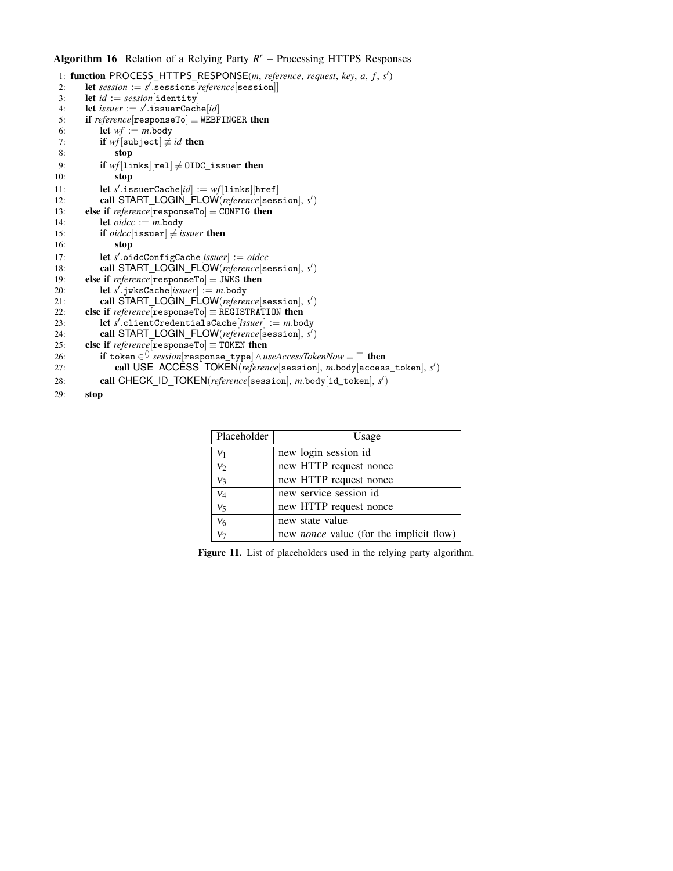<span id="page-38-0"></span>Algorithm 16 Relation of a Relying Party *R <sup>r</sup>* – Processing HTTPS Responses

|     | 1: <b>function</b> PROCESS_HTTPS_RESPONSE( <i>m, reference, request, key, a, f, s'</i> )     |
|-----|----------------------------------------------------------------------------------------------|
| 2:  | let session := $s'$ sessions $reference$ [session]]                                          |
| 3:  | let $id := session[identity]$                                                                |
| 4:  | let <i>issuer</i> := $s'$ issuerCache[ <i>id</i> ]                                           |
| 5:  | if reference $[responseTo] \equiv \text{WEBFINGER}$ then                                     |
| 6:  | <b>let</b> $wf := m$ body                                                                    |
| 7:  | <b>if</b> wf subject $\not\equiv id$ then                                                    |
| 8:  | stop                                                                                         |
| 9:  | if $wf[1\text{inks}][rel] \neq 0\text{IDC}_i$ issuer then                                    |
| 10: | stop                                                                                         |
| 11: | let s'issuerCache[id] := $wf[1\text{inks}][\text{href}]$                                     |
| 12: | call START_LOGIN_FLOW(reference[session], s')                                                |
| 13: | else if $reference[$ responseTo $] \equiv$ CONFIG then                                       |
| 14: | let $\textit{oidcc} := m.\text{body}$                                                        |
| 15: | if <i>oidcc</i> [issuer] $\neq$ <i>issuer</i> then                                           |
| 16: | stop                                                                                         |
| 17: | let $s'$ .oidcConfigCache[issuer] := oidcc                                                   |
| 18: | call START_LOGIN_FLOW(reference[session], s')                                                |
| 19: | else if $reference[$ responseTo $] \equiv$ JWKS then                                         |
| 20: | <b>let</b> s'.jwksCache[issuer] := m.body                                                    |
| 21: | call START_LOGIN_FLOW(reference[session], s')                                                |
| 22: | else if $reference[$ responseTo $]$ = REGISTRATION then                                      |
| 23: | let s'.clientCredentialsCache[issuer] := m.body                                              |
| 24: | call START_LOGIN_FLOW(reference[session], s')                                                |
| 25: | else if $reference[$ responseTo $] \equiv$ TOKEN then                                        |
| 26: | if token $\in$ $\Diamond$ session response_type $\Diamond$ useAccessTokenNow $\equiv$ T then |
| 27: | call USE_ACCESS_TOKEN(reference[session], m.body[access_token], s')                          |
| 28: | call CHECK ID TOKEN(reference[session], m.body[id_token], s')                                |
| 29: | stop                                                                                         |

<span id="page-38-1"></span>

| Placeholder      | Usage                                          |
|------------------|------------------------------------------------|
| $v_1$            | new login session id                           |
| $v_2$            | new HTTP request nonce                         |
| $\overline{v_3}$ | new HTTP request nonce                         |
| $v_4$            | new service session id                         |
| $\overline{v_5}$ | new HTTP request nonce                         |
| $\overline{v_6}$ | new state value                                |
| v <sub>7</sub>   | new <i>nonce</i> value (for the implicit flow) |

Figure 11. List of placeholders used in the relying party algorithm.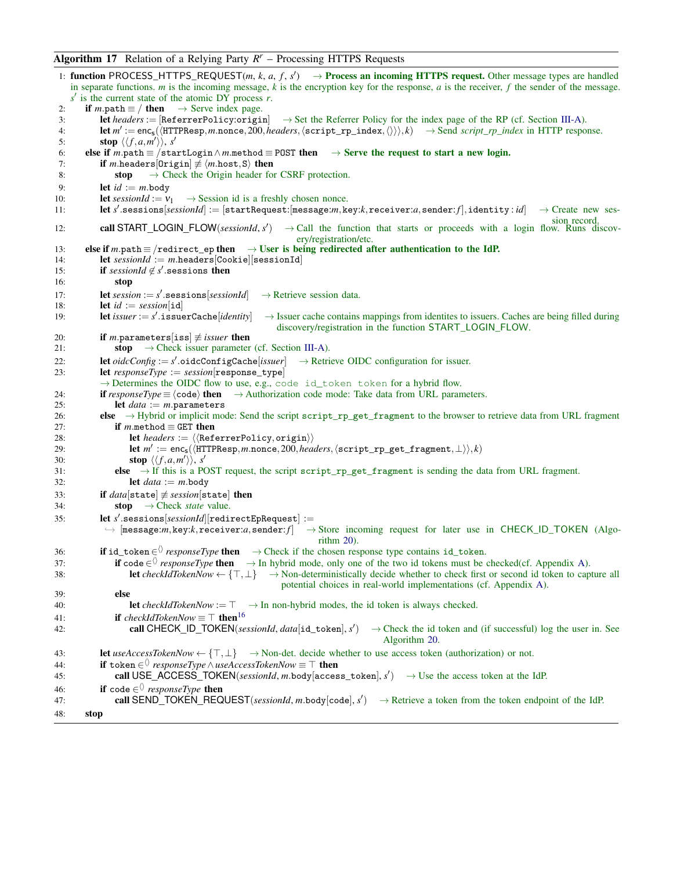# <span id="page-39-0"></span>Algorithm 17 Relation of a Relying Party *R <sup>r</sup>* – Processing HTTPS Requests

```
1: function PROCESS_HTTPS_REQUEST(m, k, a, f, s<sup>\prime</sup>) \rightarrow Process an incoming HTTPS request. Other message types are handled
   in separate functions. m is the incoming message, k is the encryption key for the response, a is the receiver, f the sender of the message.
    s' is the current state of the atomic DY process r.
 2: if m.path \equiv / then \rightarrow Serve index page.
 3: let headers := [ReferrerPolicy:origin] \rightarrowIII-A).
 4: let m' := enc<sub>s</sub>(\langleHTTPResp,m.nonce,200,headers,\langlescript_rp_index,\langle \rangle)), k) → Send script_rp_index in HTTP response.
 5: stop \langle \langle f, a, m' \rangle \rangle, s'
 6: else if m.path \equiv /startLogin \land m.method \equiv POST then \rightarrow Serve the request to start a new login.
 7: if m.headers[Origin] \neq \langle m.\text{host}, S \rangle then
 8: stop \rightarrow Check the Origin header for CSRF protection.
 9: let id := m \cdot body<br>0: let sessionId := v_110: let sessionId := v_1 \rightarrow Session id is a freshly chosen nonce.<br>11: let s' sessions[sessionId] := [startRequest:[message:m.ke
11: let s'.sessions[sessionId] := [startRequest:[message:m,key:k,receiver:a,sender: f],identity: id] → Create new ses-
                                                                                                                      sion record.
12: call START_LOGIN_FLOW(sessionId, s
0
                                                      \rightarrow Call the function that starts or proceeds with a login flow. Runs discov-
                                                         ery/registration/etc.
13: else if m.path \equiv /redirect_ep then \rightarrow User is being redirected after authentication to the IdP.
14: let sessionId := m.headers[Cookie][sessionId]
15: if sessionId \notin s' sessions then
16: stop
17: let \text{session} := s'→ Retrieve session data.
18: let id := session[i]19: let issuer := s'\rightarrow Issuer cache contains mappings from identites to issuers. Caches are being filled during
                                                    discovery/registration in the function START_LOGIN_FLOW.
20: if m.parameters[iss] \neq issuer then
21: stop \rightarrowIII-A).
22: let oidcConfig := s'→ Retrieve OIDC configuration for issuer.
23: let responseType := session[response_type]
           \rightarrow Determines the OIDC flow to use, e.g., code id_token token for a hybrid flow.
24: if responseType \equiv \langle code \rangle then \rightarrow Authorization code mode: Take data from URL parameters.
25: let data := m.parameters
26: else → Hybrid or implicit mode: Send the script script_rp_get_fragment to the browser to retrieve data from URL fragment
27: if m.method \equiv GET then
28: let headers := \langle \langle \text{ReferencePolicy}, \text{origin} \rangle \rangle29: let m' := \textsf{enc}_\mathsf{s}(\langle \text{HTTPResp}, m.\textsf{nonce}, 200, \textit{headsers}, \langle \textsf{script\_rp\_get\_fragment}, \bot \rangle \rangle, k)30: stop \langle \langle f, a, m' \rangle \rangle, s'
31: else \rightarrow If this is a POST request, the script script_rp_get_fragment is sending the data from URL fragment.
32: let data := m \cdot body33: if data[state] \neq session[state] then
34: stop → Check state value.
35: let s'.sessions[sessionId][redirectEpRequest] :=
           ,→ [message:m,key:k,receiver:a,sender: f ] → Store incoming request for later use in CHECK_ID_TOKEN (Algo-
                                                              rithm 20).
36: if id_token \in \Diamond responseType then \rightarrow Check if the chosen response type contains id_token.
37: if code \in \Diamond responseType then \rightarrowA).
38: let checkIdTokenNow ← { \top, \bot} → Non-deterministically decide whether to check first or second id token to capture all
                                                     potential choices in real-world implementations (cf. Appendix A).
39: else
40: let checkIdTokenNow := \top \rightarrow In non-hybrid modes, the id token is always checked.
41: if checkIdTokenNow \equiv \top then16</sup>
42: call CHECK_ID_TOKEN(sessionId, data[id_token], s
0
                                                                          \rightarrow Check the id token and (if successful) log the user in. See
                                                                              Algorithm 20.
43: let useAccessTokenNow ← {T, ⊥} → Non-det. decide whether to use access token (authorization) or not.
44: if token ∈<sup>()</sup> responseType ∧useAccessTokenNow \equiv \top then
45: call USE_ACCESS_TOKEN(sessionId, m.body[access_token], s') \rightarrow Use the access token at the IdP.
46: if code \in \Diamond responseType then
47: call SEND_TOKEN_REQUEST(sessionId, m.body[code], s') \rightarrow Retrieve a token from the token endpoint of the IdP.
48: stop
```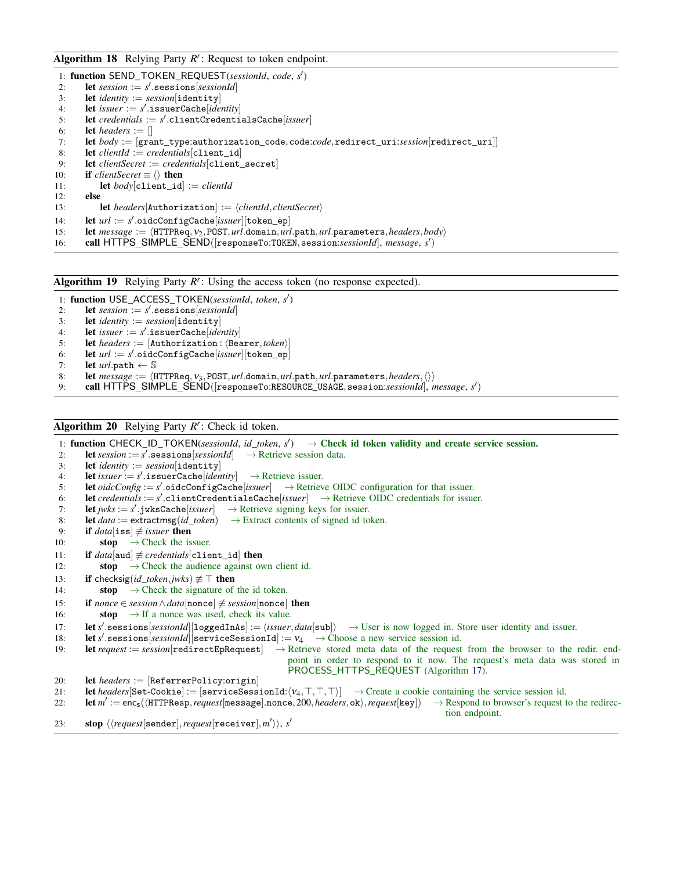# <span id="page-40-1"></span>Algorithm 18 Relying Party *R r* : Request to token endpoint.

|  |  |  |  | 1: function SEND_TOKEN_REQUEST(sessionId, code, s') |  |  |  |  |
|--|--|--|--|-----------------------------------------------------|--|--|--|--|
|--|--|--|--|-----------------------------------------------------|--|--|--|--|

- 2: **let** *session* :=  $s'$  **sessions**[*sessionId*]
- 3: let *identity* := *session*[identity]
- 4: **let** *issuer* :=  $s'$  issuerCache[*identity*]
- 5: let *credentials* := *s'*.clientCredentialsCache[*issuer*]
- 6: **let** *headers* :=  $\parallel$
- 7: let *body* := [grant\_type:authorization\_code,code:*code*,redirect\_uri:*session*[redirect\_uri]]
- 8: **let** *clientId* := *credentials* $[client_id]$ <br>9. **let** *clientSecret* := *credentials* $[client]$
- 9: let *clientSecret* := *credentials*[client\_secret]
- 10: **if** *clientSecret*  $\equiv \langle \rangle$  **then**

11: let *body*[client\_id] := *clientId*

12: else

- 13: **let** *headers*[Authorization] :=  $\langle clientId, clientSecret \rangle$
- 14: **let**  $url := s'.\text{oideConfigCache}[issuer][\text{token\_ep}]$
- 15: **let** *message* :=  $\langle \text{HTTPReq}, v_2, \text{POST}, \text{url}.\text{domain}, \text{url}.\text{path}, \text{url}.\text{parameters}, \text{headers}, \text{body}\rangle$ <br>16: **call HTTPS SIMPLE SEND**([responseTo:T0KEN.session:*session.ld*]. *message.s'*)
- 16: call HTTPS\_SIMPLE\_SEND([responseTo:TOKEN, session:*sessionId*], message, s')

<span id="page-40-2"></span>Algorithm 19 Relying Party R<sup>r</sup>: Using the access token (no response expected).

1: function USE\_ACCESS\_TOKEN(*sessionId*, *token*, *s* 0 )

- 2: **let**  $session := s'$ **.sessions**[ $sessionId$ ]
- 3: let *identity* := *session*[identity]
- 4: **let** *issuer* :=  $s'$  issuerCache[*identity*]
- 5: **let** *headers* :=  $[$ Authorization :  $\langle$ Bearer,*token* $\rangle$
- 6: **let**  $url := s'.\text{oideConfigCache}[issuer][\text{token\_ep}]$
- 7: **let**  $url.path \leftarrow \mathbb{S}$
- 8: **let**  $message := \langle \text{HTPRed}, \mathbf{v}_3, \text{POST}, \text{url.domain}, \text{url.path}, \text{url.parameters}, \text{headers}, \langle \rangle \rangle$ <br>9: **call HTTPS**, SIMPLE, SEND([responseTo:RESQURCE, USAGE, session:sessionId], n
- 9: call HTTPS\_SIMPLE\_SEND([responseTo:RESOURCE\_USAGE, session:*sessionId*], *message, s'*)

# <span id="page-40-0"></span>Algorithm 20 Relying Party *R r* : Check id token.

1: function CHECK\_ID\_TOKEN(*sessionId*, *id\_token*,  $s'$ )  $\rightarrow$  Check id token validity and create service session. 2: **let** *session* :=  $s'$  **.sessions**  $[sessionId] \rightarrow$  Retrieve session data. 3: **let** *identity* :=  $session[identity]$ <br>4. **let**  $issuer = s'$  **issuerCacheliden** 4: **let** *issuer* :=  $s'$ . **issuerCache**[*identity*]  $\rightarrow$  Retrieve issuer. 5: **let**  $oidcConfig := s'.\text{oidcConfigCase}$ **igCache**[*issuer*]  $\rightarrow$  Retrieve OIDC configuration for that issuer. 6: let *credentials* :=  $s'$ .clientCredentialsCache[*issuer*]  $\rightarrow$  Retrieve OIDC credentials for issuer. 7: **let** *jwks* :=  $s'$  **.** jwksCache[*issuer*]  $\rightarrow$  Retrieve signing keys for issuer. 8: **let**  $data :=$  extractmsg( $id\_token$ )  $\rightarrow$  Extract contents of signed id token. 9: **if** *data*[iss]  $\neq$  *issuer* then<br>10: **stop**  $\rightarrow$  Check the is  $\rightarrow$  Check the issuer. 11: **if**  $data[aud] \neq credentials[client_id]$  **then**<br>12: **stop**  $\rightarrow$  Check the audience against ov 12: **stop**  $\rightarrow$  Check the audience against own client id. 13: **if** checksig(*id\_token*,*jwks*)  $\not\equiv$   $\top$  then 14: **stop**  $\rightarrow$  Check the signature of the id token. 15: if *nonce* ∈ *session*∧*data*[nonce] 6≡ *session*[nonce] then 16: **stop**  $\rightarrow$  If a nonce was used, check its value. 17: **let** *s'* sessions[*sessionId*][loggedInAs] :=  $\langle issuer, data[sub] \rangle \rightarrow User$  is now logged in. Store user identity and issuer. 18: **let** s' sessions *sessionId*  $\left| \text{sexyices}\right|$  serviceSessionId] :=  $v_4 \rightarrow$  Choose a new service session id. 19: let *request* := *session*[redirectEpRequest] → Retrieve stored meta data of the request from the browser to the redir. endpoint in order to respond to it now. The request's meta data was stored in PROCESS\_HTTPS\_REQUEST (Algorithm [17\)](#page-39-0). 20: **let** *headers* := [ReferrerPolicy:origin]<br>21: **let** *headers*[Set-Cookie] := [serviceSess] 21: **let** *headers*[Set-Cookie] := [serviceSessionId: $\langle v_4, \top, \top, \top \rangle$ ]  $\rightarrow$  Create a cookie containing the service session id.<br>22: **let**  $m' := \text{enc}_s(\langle \text{HTPResp}, \text{request} | \text{message} | \text{none}, 200, \text{heads} | \text{else} \rangle, \text{regular} | \text{key} |) \rightarrow$  Respond t 22: **let**  $m' := \texttt{enc}_{s}(\langle \texttt{HTTPResp}, \textit{request}[\texttt{message}].\texttt{none}, 200, \textit{heads} \rangle, \textit{request}[\texttt{key}]) \rightarrow \text{Respond to browser's request to the redirect$ tion endpoint. 23: stop  $\langle \langle request[\texttt{sender}],request[\texttt{receiver}],m' \rangle \rangle,$  *s'*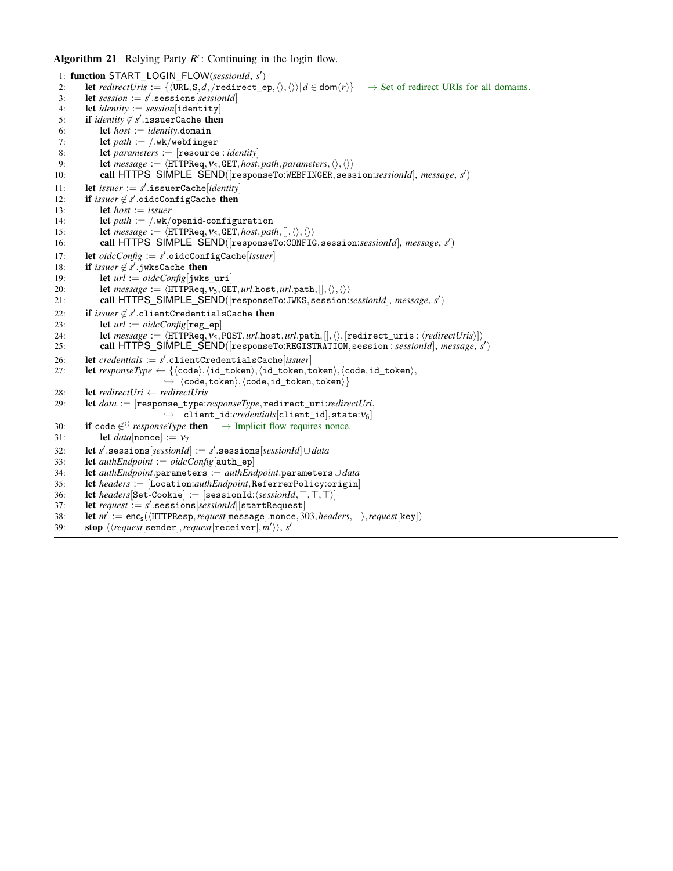# <span id="page-41-0"></span>Algorithm 21 Relying Party R<sup>r</sup>: Continuing in the login flow.

```
1: function START_LOGIN_FLOW(sessionId, s')
 2: let redirectUris := {\langle \text{URL}, S, d, \text{/redirect} \rangle = \rho, \langle \rangle, \langle \rangle | d \in \text{dom}(r)} \rightarrow Set of redirect URIs for all domains.
 3: let session := s' sessions[sessionId]
 4: let identity := session[identity]<br>5: if identity \notin s' issuerCache then
 5: if identity ∉ s' issuerCache then
 6: let host := identity.domain
 7: let path := /.\warkappa/webfinger
 8: let parameters := [resource : identity]<br>9. let message := \langleHTTPReq vs GET host
9: let message := \langle \text{HTPRed}, V_5, \text{GET}, \text{host}, \text{path}, \text{parameters}, \langle \rangle, \langle \rangle \rangle<br>10: call HTTPS SIMPLE SEND(\text{[responseTo:WERFINGER, sess}10: call HTTPS_SIMPLE_SEND([responseTo:WEBFINGER, session:sessionId], message, s')
11: let issuer := s' .issuerCache[identity]
12: if issuer \notin s' oidcConfigCache then
13: let host := issuer
14: let path := /.wk/openid-configuration
15: let message := \langle HTTPReq, v_5, GET, host, path, [], \langle \rangle, \langle \rangle \rangle<br>16: call HTTPS SIMPLE SEND([responseTo:CONFIC
16: call HTTPS_SIMPLE_SEND([responseTo:CONFIG,session:sessionId], message, s
0
)
17: let oidcConfig := s'.oidcConfigCache[issuer]
18: if issuer \notin s' jwksCache then
19: let url := oidcConfig[jwks_uri]
20: let message := \langle \text{HTTPReg}, v_5, \text{GET}, url.\text{host}, url.\text{path},[],\langle\rangle, \langle\rangle \rangle<br>21: call HTTPS SIMPLE SEND([responseTo:JWKS, session:
21: call HTTPS_SIMPLE_SEND([responseTo:JWKS, session:sessionId], message, s')
22: if \emph{issuer}\not\in s'.\emph{clientCredential}sCache then
23: let url := \text{oidcConfig}[\text{reg\_ep}]24: let message := \langle \text{HTTPReq}, v_5, \text{POST}, \text{url}.\text{host}, \text{url}.\text{path}, \langle \rangle, \langle \text{redirect\_uris} : \langle \text{redirectUris} \rangle \rangle \rangle25: call HTTPS_SIMPLE_SEND([responseTo:REGISTRATION, session : sessionId], message, s')
26: let credentials := s'.clientCredentialsCache[issuer]
27: let responseType \leftarrow {\lbrace\langle code \rangle, \langle id\_token \rangle, \langle id\_token, token \rangle, \langle code, id\_token \rangle}\rightarrow \langle \text{code}, \text{token}\rangle, \langle \text{code}, \text{id\_token}, \text{token}\rangle\}28: let redirectUri ← redirectUris
29: let data := [response_type:responseType,redirect_uri:redirectUri,
                                   \rightarrow client_id:credentials[client_id], state:v_6]
30: if code \notin \langle \rangle responseType then \rightarrow Implicit flow requires nonce.
31: let data[nonce] := v_732: let s
0
.sessions[sessionId] := s
0
.sessions[sessionId]∪data
33: let authEndpoint := oidcConfig[auth_ep]
34: let authEndpoint.parameters := authEndpoint.parameters∪data
35: let headers := [Location:authEndpoint,ReferrerPolicy:origin]<br>36: let headers[Set-Cookie] := [sessionId:(sessionId,T,T,T)]
         \textbf{let} \text{ headers}[\texttt{Set-Cookie}] := [\texttt{sessionId:}\langle \text{sessionId}, \top, \top, \top \rangle]37: let request := s'.sessions[sessionId][startRequest]
38: let m' := \mathsf{enc}_\mathsf{s}(\langle \texttt{HTTPResp}, \textit{request}[\texttt{message}].\texttt{nnce}, 303, \textit{heads}r, \bot \rangle, \textit{request}[\texttt{key}])39: stop \langle \langle request[\texttt{sender}],request[\texttt{receiver}]\texttt{,}m'\rangle\rangle, s'
```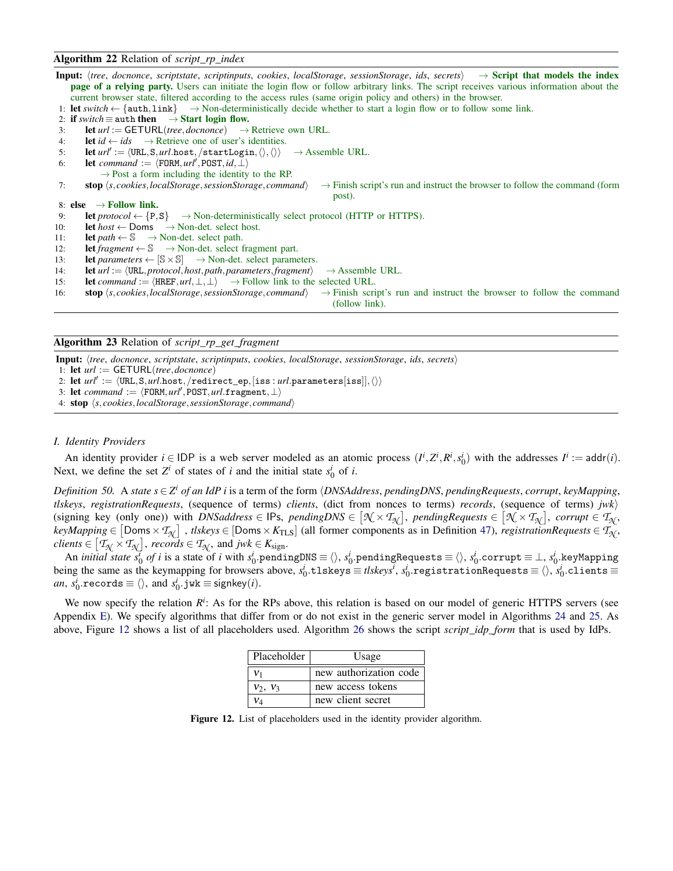## <span id="page-42-0"></span>Algorithm 22 Relation of *script*\_*rp*\_*index*

**Input:**  $\langle$ *tree*, *docnonce*, *scriptstate*, *scriptinputs*, *cookies*, *localStorage*, *sessionStorage*, *ids*, *secrets*)  $\rightarrow$  **Script that models the index page of a relying party.** Users can initiate the login flow or follow arbitrary links. The script receives various information about the current browser state, filtered according to the access rules (same origin policy and others) in the browser.

- 1: **let** *switch* ← {auth, link}  $\rightarrow$  Non-deterministically decide whether to start a login flow or to follow some link.
- 2: if *switch*  $\equiv$  auth then  $\rightarrow$  Start login flow.
- 3: **let**  $url := GETURL(tree, dochoose) \rightarrow Retrieved$  own URL.
- 4: **let**  $id \leftarrow ids$   $\rightarrow$  Retrieve one of user's identities.
- 5: **let**  $url' := \langle \text{URL}, \text{S}, url.\text{host}, / \text{startLogin}, \langle \rangle, \langle \rangle \rangle \rightarrow \text{Assemble URL}.$
- 6: **let** *command* :=  $\langle$ FORM,  $url'$ , POST,  $id$ , ⊥)
	- $\rightarrow$  Post a form including the identity to the RP.
- 7: **stop**  $\langle s, \text{cookies}, \text{localStorage}, \text{sessionStorage}, \text{command} \rangle$   $\rightarrow$  Finish script's run and instruct the browser to follow the command (form post).
- 8: else  $\rightarrow$  Follow link.
- 9: **let**  $\text{protocol} \leftarrow \{P, S\} \rightarrow \text{Non-deterministically select protocol (HTTP or HTTPS).}$
- 10: **let**  $host \leftarrow$  Doms  $\rightarrow$  Non-det. select host.
- 11: **let**  $path \leftarrow \mathbb{S} \rightarrow Non-det.$  select path.
- 12: **let** *fragment*  $\leftarrow$  S  $\rightarrow$  Non-det. select fragment part.
- 13: **let** *parameters*  $\leftarrow$   $[S \times S]$   $\rightarrow$  Non-det. select parameters.
- 14: **let**  $url := \langle \text{URL}, \text{protocol}, \text{host}, \text{path}, \text{parameters}, \text{fragment} \rangle \rightarrow \text{Assemble URL}.$
- 15: **let** *command* :=  $\langle \text{HREF}, url, \perp, \perp \rangle \rightarrow$  Follow link to the selected URL.
- 16: **stop**  $\langle s, \text{cookies}, \text{localStorage}, \text{sessionStorage}, \text{common} \rangle \rightarrow$  Finish script's run and instruct the browser to follow the command
	- (follow link).

<span id="page-42-1"></span>Algorithm 23 Relation of *script*\_*rp*\_*get*\_*fragment*

- Input: h*tree*, *docnonce*, *scriptstate*, *scriptinputs*, *cookies*, *localStorage*, *sessionStorage*, *ids*, *secrets*i
- 1: let *url* := GETURL(*tree*,*docnonce*)
- 2: let  $\mathit{url'} := \langle \mathtt{URL}, \mathtt{S}, \mathit{url}.\mathtt{host}, \texttt{/redirect\_ep},[\mathtt{iss}:\mathit{url}.\mathtt{parameters}[\mathtt{iss}]], \langle \rangle \rangle$
- 3: let  $command := \langle FORM, url',$ POST,*url*.fragment,⊥
- 4: stop h*s*, *cookies*,*localStorage*,*sessionStorage*, *command*i

## *I. Identity Providers*

An identity provider  $i \in \text{IDP}$  is a web server modeled as an atomic process  $(I^i, Z^i, R^i, s_0^i)$  with the addresses  $I^i := \text{addr}(i)$ . Next, we define the set  $Z^i$  of states of *i* and the initial state  $s_0^i$  of *i*.

*Definition 50.* A *state s* ∈ *Z <sup>i</sup> of an IdP i* is a term of the form h*DNSAddress*, *pendingDNS*, *pendingRequests*, *corrupt*, *keyMapping*,  $t$ *lskeys*, *registrationRequests*, (sequence of terms) *clients*, (dict from nonces to terms) *records*, (sequence of terms)  $jwk$ )  $\{ \text{signing key (only one)} \}$  with *DNSaddress*  $\in$  IPs,  $\text{pendingDNS} \in [\mathcal{N} \times \mathcal{T}_{\mathcal{N}}],$   $\text{pendingRequests} \in [\mathcal{N} \times \mathcal{T}_{\mathcal{N}}],$   $\text{corrupt} \in \mathcal{T}_{\mathcal{N}},$  $keyMapping \in [Doms \times T_{N}]$ ,  $tlskeys \in [Doms \times K_{TLS}]$  (all former components as in Definition [47\)](#page-34-2), *registrationRequests*  $\in T_{N}$ ,  $\mathcal{C}$ *clients*  $\in$   $[T_{\mathcal{N}} \times T_{\mathcal{N}}]$ , *records*  $\in$   $T_{\mathcal{N}}$ , and *jwk*  $\in$   $K_{\text{sign}}$ .

An *initial state*  $s_0^l$  *of i* is a state of *i* with  $s_0^i$  pendingDNS  $\equiv$   $\langle \rangle$ ,  $s_0^i$  pendingRequests  $\equiv$   $\langle \rangle$ ,  $s_0^i$  corrupt  $\equiv$   $\perp$ ,  $s_0^i$  keyMapping being the same as the keymapping for browsers above,  $s_0^i$ .tlskeys ≡  $\mathit{tlskeys}$ ,  $s_0^i$ .registrationRequests  $\equiv \langle \rangle$ ,  $s_0^i$ .clients  $\equiv$  $an, s_0^i$ .records  $\equiv \langle \rangle$ , and  $s_0^i$ .jwk  $\equiv$  signkey $(i)$ .

<span id="page-42-2"></span>We now specify the relation  $R^i$ : As for the RPs above, this relation is based on our model of generic HTTPS servers (see Appendix [E\)](#page-34-3). We specify algorithms that differ from or do not exist in the generic server model in Algorithms [24](#page-43-0) and [25.](#page-45-0) As above, Figure [12](#page-42-2) shows a list of all placeholders used. Algorithm [26](#page-45-1) shows the script *script*\_*idp*\_*form* that is used by IdPs.

| Placeholder | Usage                  |
|-------------|------------------------|
| V1          | new authorization code |
| $v_2, v_3$  | new access tokens      |
| V٨          | new client secret      |

Figure 12. List of placeholders used in the identity provider algorithm.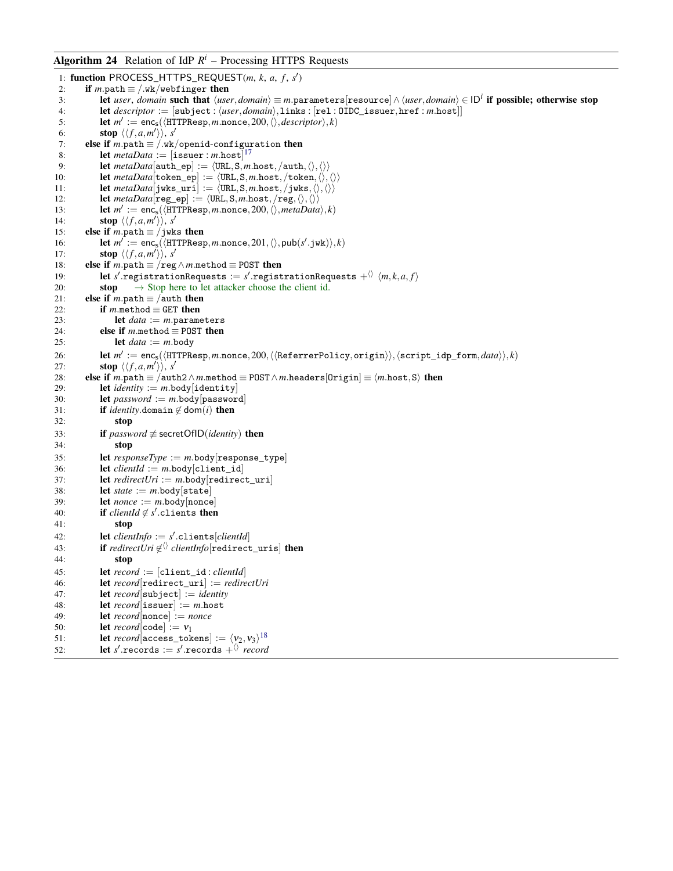# <span id="page-43-0"></span>**Algorithm 24** Relation of IdP  $R^i$  – Processing HTTPS Requests

```
1: function PROCESS_HTTPS_REQUEST(m, k, a, f, s')
 2: if m.path \equiv /.wk/webfinger then
 3: let user, domain such that \langleuser,domain\rangle \equiv m.parameters[resource]∧\langleuser,domain\rangle \in ID<sup>i</sup> if possible; otherwise stop
 4: let descriptor := [\text{subject} : \langle user, domain \rangle, \text{links} : [\text{rel} : \text{OIDC\_issuer}, \text{href} : m.\text{host}]]5: let m' := \textsf{enc}_\mathsf{s}(\langle \texttt{HTTPResp}, m.\texttt{none}, 200, \langle \rangle, \textit{descriptiver} \rangle, k)6: stop \langle \langle f, a, m' \rangle \rangle, s'
 7: else if m.path \equiv /.wk/openid-configuration then
 8: let 17}9: let metaData[auth\_ep] := \langle URL, S, m.host, /auth, \langle \rangle, \langle \rangle \rangle10: let metaData[token\_ep] := \langle \text{URL}, S, m.host, /token, \langle \rangle, \langle \rangle \rangle11: let metaData[jwks\_uri] := \langle \text{URL}, \text{S}, m.\text{host}, /jwks, \langle \rangle, \langle \rangle \rangle12: let metaData[\text{reg\_ep}] := \langle \text{URL}, \text{S}, m.\text{host}, / \text{reg}, \langle \rangle, \langle \rangle \rangle<br>13: let m' := \text{enc.}(\langle \text{HTTPResn } m \text{ none} \rangle, 200 \langle \rangle \text{ metaData}13: let m' := \text{enc}_s(\langle \text{HTTPResp}, m.\text{nonce}, 200, \langle \rangle, \text{metalData}\rangle, k)14: stop \langle \langle f, a, m' \rangle \rangle, s'
15: else if m.path \equiv /jwks then
16: let m' := \text{enc}_s(\langle \text{HTTPResp}, m.\text{nonce}, 201, \langle \rangle, \text{pub}(s'.jwk) \rangle, k)17: stop \langle \langle f, a, m' \rangle \rangle, s'
18: else if m.path \equiv /reg \land m.method \equiv POST then
19: let s' registrationRequests := s' registrationRequests +^{\langle\rangle} \langle m, k, a, f \rangle20: stop \rightarrow Stop here to let attacker choose the client id.
21: else if m.path \equiv /auth then
22: if m.method \equiv GET then
23: let data := m.parameters<br>24: else if m.method \equiv POST then
             else if m.method \equiv POST then
25: let data := m \cdot body26: let m':= \mathsf{enc}_\mathsf{S}(\langle \texttt{HTTPResp}, m.\texttt{nonce}, 200, \langle \langle \texttt{Refer} \texttt{erPolicy}, \texttt{origin} \rangle \rangle, \langle \texttt{script\_idp\_form}, \textit{data} \rangle \rangle, k)27: stop \langle \langle f, a, m' \rangle \rangle, s'
28: else if m.path \equiv /auth2∧m.method \equiv POST∧m.headers [0rigin] \equiv \langle m \text{.host}, S \rangle then
29: let identity := m.body [identity]
30: let password := m.body[password]
31: if identity.domain \notin dom(i) then
32: stop
33: if password \neq secretOfID(identity) then
34 \cdot stop
35: let responseType := m.body[response_type]
36: let clientId := m.body[client_id]
37: let redirectUri := m.body[redirect_uri]
38: let state := m.body \left[state\right]39: let nonce := m.body[nonce]
40: if clientId ∉ s' clients then
41: stop
42: let clientInfo := s'.clients[clientId]
43: if redirectUri ∉<sup>()</sup> clientInfo[redirect_uris] then
44: stop
45: let record := [client_id : clientId]
46: let record[redirect_uri] := redirectUri
47: let record[subject] := identity
48: let record[issuer] := m.host
49: let record[nonce] := nonce
50: let record[code] := v_151: let 18}52: let s' records := s' records +\langle\rangle record
```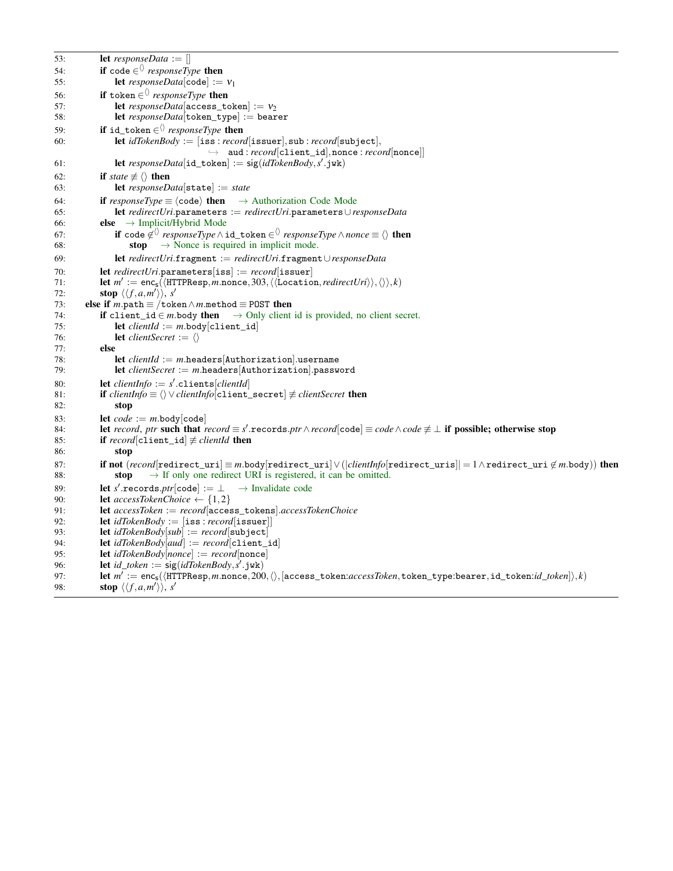```
53: let responseData := []
54: if code \in responseType then
55: let responseData[code] := v_156: if \texttt{token} \in \langle \rangle\text{ responseType} then
57: let responseData[access\_token] := v_258: let responseData[token_type] := bearer
59: if id_token ∈<sup>()</sup> responseType then
60: let idTokenBody := [iss : record[issuer],sub : record[subject],
                                         \rightarrow aud: record[client_id], nonce: record[nonce]]
61: let responseData[id_token] := sig(idTokenBody,s'.jwk)
62: if state \neq \langle \rangle then
63: let responseData[state] := state
64: if responseType \equiv \langle code \rangle then \rightarrow Authorization Code Mode
65: let redirectUri.parameters := redirectUri.parameters∪responseData
66: else \rightarrow Implicit/Hybrid Mode
67: if \texttt{code} \not\in^{\langle\rangle} \mathit{responseType} \land \texttt{id\_token} \in^{\langle\rangle} \mathit{responseType} \land \mathit{nonee} \equiv \langle\rangle then
68: stop \rightarrow Nonce is required in implicit mode.
69: let redirectUri.fragment := redirectUri.fragment∪responseData
70: let redirectUri.parameters[iss] := record[issuer]<br>71: let m' := enc ((HTTPBesp m nonce 303 ((Location)
\mathcal{F}1: let m' := \mathsf{enc}_\mathsf{s}(\langle \texttt{HTTPResp}, m.\texttt{nonce}, 303, \langle \langle \texttt{Location}, \textit{redirectUni} \rangle \rangle, \langle \rangle, k)72: stop \langle \langle f, a, m' \rangle \rangle, s'
73: else if m.path \equiv /token\wedge m.method \equiv POST then
74: if client_id \in m.body then \rightarrow Only client id is provided, no client secret.
75: let clientId := m.body[client_id]
76: let clientSecret := \langle \rangle77: else
78: let clientId := m.headers[Authorization].username
79: let clientSecret := m.headers|Authorization|.password
80: let clientInfo := s'.clients[clientId]
81: if clientInfo \equiv \langle \rangle \vee clientInfo[client\_secret] \neq clientSecret then
82: stop
83: let code := m.\text{body}[\text{code}]<br>84: let record, ptr such that n
84: let record, ptr such that record \equiv s'.records.ptr \land record \text{[code]} \equiv code \land code \not\equiv \bot if possible; otherwise stop
85: if record[client_id] \neq clientId then
86: stop
87: if not (record[redirect_uri] ≡ m.body[redirect_uri] ∨(|clientInfo[redirect_uris]| = 1∧redirect_uri ∉ m.body)) then
88: stop \rightarrow If only one redirect URI is registered, it can be omitted.
89: let s' records.ptr[code] := \perp → Invalidate code
90: let accessTokenChoice \leftarrow \{1,2\}91: let accessToken := record[access_tokens].accessTokenChoice
92: let idTokenBody := [iss: record[issuer]]
93: let idTokenBody[sub] := record[subject]<br>94: let idTokenBody[aud] := record[climit94: let idTokenBody[aud] := record[client_id]
95: let idTokenBody[nonce] := record[nonce]
96: let id\_token := sig(idTokenBody, s'.jwk)97: let m^\top:=\sf{enc}_s(\langle \text{HTTPResp}, m.\text{none}, 200, \langle \rangle, [\text{access\_token}.accessToken, \text{token\_type}:\text{bearer}, id\_token:id\_token]\rangle, k)98: stop \langle \langle f, a, m' \rangle \rangle, s'
```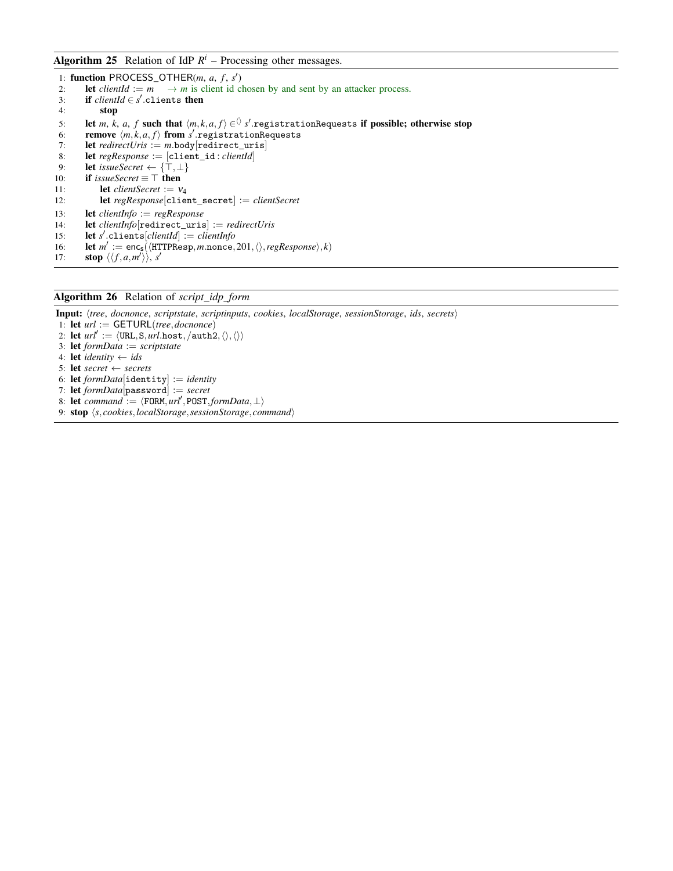# <span id="page-45-0"></span>Algorithm 25 Relation of IdP  $R^i$  – Processing other messages.

1: function PROCESS\_OTHER( $m$ ,  $a$ ,  $f$ ,  $s'$ ) 2: **let** *clientId* :=  $m \rightarrow m$  is client id chosen by and sent by an attacker process. 3: if  $clientId \in s'.\text{ clients then}$ 4: stop 5: let *m*, *k*, *a*, *f* such that  $\langle m, k, a, f \rangle \in \mathcal{O}$  *s'* registrationRequests if possible; otherwise stop 6: remove  $\langle m, k, a, f \rangle$  from *s*' registrationRequests 7: **let** *redirectUris* := *m*.body[redirect\_uris]<br>8: **let** *regResponse* := [client id: *clientId*] 8: let *regResponse* := [client\_id : *clientId*] 9: **let** *issueSecret* ←  $\{\top, \bot\}$ 10: **if** *issueSecret*  $\equiv \top$  **then** 11: **let** *clientSecret* :=  $v_4$ <br>12: **let** *regResponse* [clien 12: let *regResponse*[client\_secret] := *clientSecret* 13: let *clientInfo* := *regResponse* 14: **let** *clientInfo*[redirect\_uris] := *redirectUris*<br>15: **let** *s'* clients[*clientId*] := *clientInfo* 15: let *s* 0 .clients[*clientId*] := *clientInfo* 16: **let**  $m' := \text{enc}_s(\langle \text{HTTPResp}, m.\text{nonce}, 201, \langle \rangle, \text{regResponse} \rangle, k)$ 17: **stop**  $\langle \langle f, a, m' \rangle \rangle$ , *s'* 

# <span id="page-45-1"></span>Algorithm 26 Relation of *script*\_*idp*\_*form*

Input: h*tree*, *docnonce*, *scriptstate*, *scriptinputs*, *cookies*, *localStorage*, *sessionStorage*, *ids*, *secrets*i 1: let *url* := GETURL(*tree*,*docnonce*) 2: let  $\textit{url}':=\langle \texttt{URL}, \texttt{S}, \textit{url}.\texttt{host}, \texttt{/author2}, \langle \rangle, \langle \rangle \rangle$ 3: let *formData* := *scriptstate* 4: let *identity* ← *ids* 5: let *secret* ← *secrets* 6: let *formData*[identity] := *identity* 7: let *formData*[password] := *secret* 8: let  $\overline{\mathit{command}} := \langle \text{FORM}, \mathit{url}', \text{POST}, \mathit{formData}, \bot \rangle$ 9: **stop**  $\langle s, \textit{cookies}, \textit{localStorage}, \textit{sessionStorage}, \textit{command}\rangle$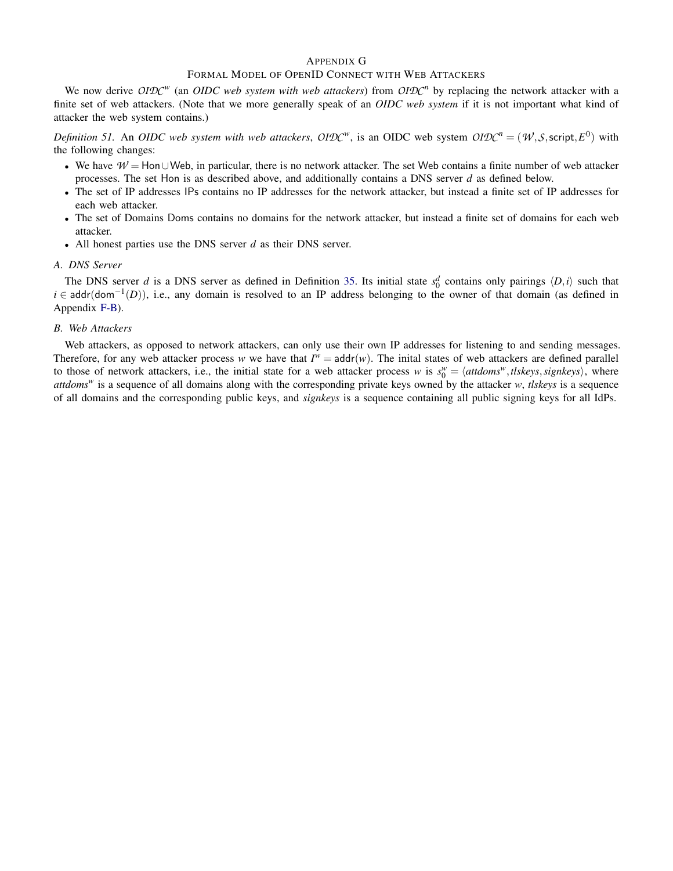## <span id="page-46-0"></span>APPENDIX G

## FORMAL MODEL OF OPENID CONNECT WITH WEB ATTACKERS

We now derive *OIDC<sup>w</sup>* (an *OIDC web system with web attackers*) from *OIDC<sup>n</sup>* by replacing the network attacker with a finite set of web attackers. (Note that we more generally speak of an *OIDC web system* if it is not important what kind of attacker the web system contains.)

*Definition 51.* An *OIDC web system with web attackers, OIDC*<sup>*w*</sup>, is an OIDC web system  $OIDC^n = (W, S, script, E^0)$  with the following changes:

- We have  $W =$ Hon∪Web, in particular, there is no network attacker. The set Web contains a finite number of web attacker processes. The set Hon is as described above, and additionally contains a DNS server *d* as defined below.
- The set of IP addresses IPs contains no IP addresses for the network attacker, but instead a finite set of IP addresses for each web attacker.
- The set of Domains Doms contains no domains for the network attacker, but instead a finite set of domains for each web attacker.
- All honest parties use the DNS server *d* as their DNS server.

## *A. DNS Server*

The DNS server *d* is a DNS server as defined in Definition [35.](#page-23-4) Its initial state  $s_0^d$  contains only pairings  $\langle D, i \rangle$  such that *i* ∈ addr(dom<sup>-1</sup>(D)), i.e., any domain is resolved to an IP address belonging to the owner of that domain (as defined in Appendix [F-B\)](#page-36-2).

#### *B. Web Attackers*

Web attackers, as opposed to network attackers, can only use their own IP addresses for listening to and sending messages. Therefore, for any web attacker process *w* we have that  $I^w = \text{addr}(w)$ . The inital states of web attackers are defined parallel to those of network attackers, i.e., the initial state for a web attacker process *w* is  $s_0^w = \langle$  *attdoms*<sup>*w*</sup>, *tlskeys*, *signkeys*), where *attdoms<sup>w</sup>* is a sequence of all domains along with the corresponding private keys owned by the attacker *w*, *tlskeys* is a sequence of all domains and the corresponding public keys, and *signkeys* is a sequence containing all public signing keys for all IdPs.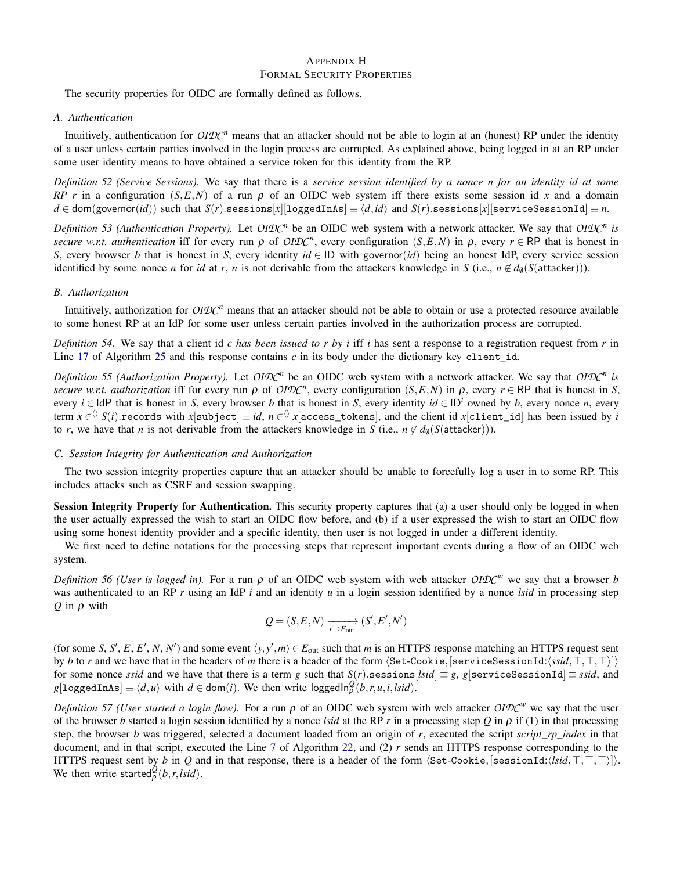## <span id="page-47-0"></span>APPENDIX H FORMAL SECURITY PROPERTIES

The security properties for OIDC are formally defined as follows.

## *A. Authentication*

Intuitively, authentication for *OIDC<sup>n</sup>* means that an attacker should not be able to login at an (honest) RP under the identity of a user unless certain parties involved in the login process are corrupted. As explained above, being logged in at an RP under some user identity means to have obtained a service token for this identity from the RP.

<span id="page-47-3"></span>*Definition 52 (Service Sessions).* We say that there is a *service session identified by a nonce n for an identity id at some RP r* in a configuration  $(S, E, N)$  of a run  $\rho$  of an OIDC web system iff there exists some session id *x* and a domain  $d \in \text{dom}(\text{governor}(id))$  such that  $S(r)$ .sessions[*x*][loggedInAs]  $\equiv \langle d, id \rangle$  and  $S(r)$ .sessions[*x*][serviceSessionId]  $\equiv n$ .

*Definition 53 (Authentication Property).* Let *OIDC<sup>n</sup>* be an OIDC web system with a network attacker. We say that *OIDC<sup>n</sup> is secure w.r.t. authentication* iff for every run  $\rho$  of *OIDC*<sup>*n*</sup>, every configuration (*S,E,N*) in  $\rho$ , every  $r \in \mathsf{RP}$  that is honest in *S*, every browser *b* that is honest in *S*, every identity  $id \in ID$  with governor(*id*) being an honest IdP, every service session identified by some nonce *n* for *id* at *r*, *n* is not derivable from the attackers knowledge in *S* (i.e.,  $n \notin d_0(S(\text{attack})))$ .

#### <span id="page-47-2"></span>*B. Authorization*

Intuitively, authorization for *OIDC<sup>n</sup>* means that an attacker should not be able to obtain or use a protected resource available to some honest RP at an IdP for some user unless certain parties involved in the authorization process are corrupted.

<span id="page-47-1"></span>*Definition 54.* We say that a client id *c has been issued to r by i* iff *i* has sent a response to a registration request from *r* in Line [17](#page-45-0) of Algorithm [25](#page-45-0) and this response contains  $c$  in its body under the dictionary key client<sub>id</sub>.

*Definition 55 (Authorization Property).* Let *OIDC<sup>n</sup>* be an OIDC web system with a network attacker. We say that *OIDC<sup>n</sup> is secure w.r.t. authorization* iff for every run  $\rho$  of *OIDC*<sup>*n*</sup>, every configuration (*S,E,N*) in  $\rho$ , every  $r \in \mathsf{RP}$  that is honest in *S*, every  $i \in \text{IdP}$  that is honest in *S*, every browser *b* that is honest in *S*, every identity  $id \in \text{ID}^i$  owned by *b*, every nonce *n*, every term  $x\in$   $\Diamond$   $S(i).$ records with  $x[$ subject]  $\equiv$  *id, n*  $\in$   $\Diamond$   $x[$ access\_tokens], and the client id  $x[$ client\_id] has been issued by *i* to *r*, we have that *n* is not derivable from the attackers knowledge in *S* (i.e.,  $n \notin d_{\theta}(S(\text{attack}))$ ).

## *C. Session Integrity for Authentication and Authorization*

The two session integrity properties capture that an attacker should be unable to forcefully log a user in to some RP. This includes attacks such as CSRF and session swapping.

Session Integrity Property for Authentication. This security property captures that (a) a user should only be logged in when the user actually expressed the wish to start an OIDC flow before, and (b) if a user expressed the wish to start an OIDC flow using some honest identity provider and a specific identity, then user is not logged in under a different identity.

We first need to define notations for the processing steps that represent important events during a flow of an OIDC web system.

<span id="page-47-4"></span>*Definition 56 (User is logged in).* For a run  $\rho$  of an OIDC web system with web attacker OIDC<sup>*w*</sup> we say that a browser *b* was authenticated to an RP *r* using an IdP *i* and an identity *u* in a login session identified by a nonce *lsid* in processing step *Q* in ρ with

$$
Q = (S, E, N) \xrightarrow[r \to E_{\text{out}}]{} (S', E', N')
$$

(for some *S*, *S'*, *E*, *E'*, *N*, *N'*) and some event  $\langle y, y', m \rangle \in E_{\text{out}}$  such that *m* is an HTTPS response matching an HTTPS request sent by *b* to *r* and we have that in the headers of *m* there is a header of the form  $\langle$ Set-Cookie, [serviceSessionId: $\langle s\dot{s}d, \top, \top, \top \rangle$ ]) for some nonce *ssid* and we have that there is a term *g* such that  $S(r)$ .sessions[*lsid*]  $\equiv$  *g*, *g*[serviceSessionId]  $\equiv$  *ssid*, and  $g[log{\texttt{gcdInAs}}] \equiv \langle d, u \rangle$  with  $d \in \text{dom}(i)$ . We then write loggedIn $_p^Q(b, r, u, i, Isid)$ .

*Definition 57 (User started a login flow).* For a run *ρ* of an OIDC web system with web attacker *OIDC<sup>w</sup>* we say that the user of the browser *b* started a login session identified by a nonce *lsid* at the RP *r* in a processing step *Q* in  $\rho$  if (1) in that processing step, the browser *b* was triggered, selected a document loaded from an origin of *r*, executed the script *script*\_*rp*\_*index* in that document, and in that script, executed the Line [7](#page-42-0) of Algorithm [22,](#page-42-0) and (2) *r* sends an HTTPS response corresponding to the HTTPS request sent by *b* in *Q* and in that response, there is a header of the form  $\langle$ Set-Cookie, [sessionId: $\langle$ *lsid*, $\top$ , $\top$ , $\top$ }]). We then write started $_{\rho}^{\mathcal{Q}}(b,r,lsid)$ .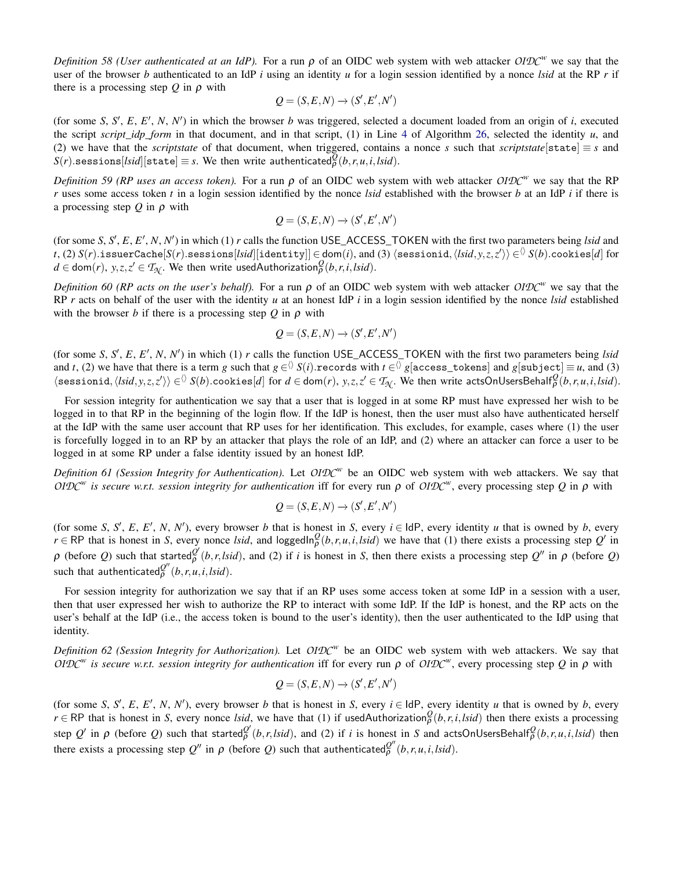*Definition 58 (User authenticated at an IdP).* For a run ρ of an OIDC web system with web attacker *OIDC<sup>w</sup>* we say that the user of the browser *b* authenticated to an IdP *i* using an identity *u* for a login session identified by a nonce *lsid* at the RP *r* if there is a processing step *Q* in ρ with

$$
Q = (S, E, N) \rightarrow (S', E', N')
$$

(for some *S*, *S'*, *E*, *E'*, *N*, *N'*) in which the browser *b* was triggered, selected a document loaded from an origin of *i*, executed the script *script idp* form in that document, and in that script, (1) in Line [4](#page-45-1) of Algorithm [26,](#page-45-1) selected the identity  $u$ , and (2) we have that the *scriptstate* of that document, when triggered, contains a nonce *s* such that *scriptstate*[state]  $\equiv s$  and  $S(r)$ .sessions $[Isid][\text{state}] \equiv s$ . We then write authenticated $\bar{Q}^{\bar{Q}}(b,r,u,i,lsid)$ .

<span id="page-48-1"></span>*Definition 59 (RP uses an access token).* For a run  $\rho$  of an OIDC web system with web attacker  $OIDC^w$  we say that the RP *r* uses some access token *t* in a login session identified by the nonce *lsid* established with the browser *b* at an IdP *i* if there is a processing step *Q* in ρ with

$$
Q = (S, E, N) \rightarrow (S', E', N')
$$

(for some *S*, *S'*, *E*, *E'*, *N*, *N'*) in which (1) *r* calls the function USE\_ACCESS\_TOKEN with the first two parameters being *lsid* and  $f$ , (2)  $S(r)$ .issuerCache $[S(r)$ .sessions $[Isid][\texttt{identity}]]\in$  dom $(i)$ , and (3)  $\langle$ sessionid, $\langle Isid, y, z, z'\rangle\rangle\in$   $\!\Diamond$   $S(b)$ .cookies $[d]$  for  $d \in \text{dom}(r)$ ,  $y, z, z' \in T_{\mathcal{N}}$ . We then write usedAuthorization $\frac{\partial}{\partial}(b, r, i, l \text{,} l)$ .

<span id="page-48-0"></span>*Definition 60 (RP acts on the user's behalf).* For a run ρ of an OIDC web system with web attacker *OIDC<sup>w</sup>* we say that the RP *r* acts on behalf of the user with the identity *u* at an honest IdP *i* in a login session identified by the nonce *lsid* established with the browser *b* if there is a processing step  $Q$  in  $\rho$  with

$$
Q = (S, E, N) \rightarrow (S', E', N')
$$

(for some *S*, *S'*, *E*, *E'*, *N*, *N'*) in which (1) *r* calls the function USE\_ACCESS\_TOKEN with the first two parameters being *lsid* and *t*, (2) we have that there is a term *g* such that  $g\in^{\Diamond}S(i).$ records with  $t\in^{\Diamond}g[$ access\_tokens] and  $g[$ subject]  $\equiv$  *u*, and (3)  $\langle \texttt{sessionid}, \langle \mathit{Isid}, y, z, z' \rangle \rangle \in \langle 0 \rangle$   $S(b).$ cookies $[d]$  for  $d \in \textsf{dom}(r),$   $y, z, z' \in \mathcal{T}_{\mathcal{N}}.$  We then write actsOnUsersBehalf ${}^{\mathcal{Q}}_{\mathcal{P}}(b,r,u,i, \mathit{Isid}).$ 

For session integrity for authentication we say that a user that is logged in at some RP must have expressed her wish to be logged in to that RP in the beginning of the login flow. If the IdP is honest, then the user must also have authenticated herself at the IdP with the same user account that RP uses for her identification. This excludes, for example, cases where (1) the user is forcefully logged in to an RP by an attacker that plays the role of an IdP, and (2) where an attacker can force a user to be logged in at some RP under a false identity issued by an honest IdP.

*Definition 61 (Session Integrity for Authentication).* Let *OIDC<sup>w</sup>* be an OIDC web system with web attackers. We say that *OIDC<sup>w</sup>* is secure w.r.t. session integrity for authentication iff for every run ρ of *OIDC<sup>w</sup>*, every processing step *Q* in ρ with

$$
Q = (S, E, N) \rightarrow (S', E', N')
$$

(for some *S*, *S'*, *E*, *E'*, *N*, *N'*), every browser *b* that is honest in *S*, every *i* ∈ IdP, every identity *u* that is owned by *b*, every  $r \in \mathsf{RP}$  that is honest in *S*, every nonce *lsid*, and loggedIn $^Q_p(b, r, u, i, Isid)$  we have that (1) there exists a processing step  $Q'$  in  $\rho$  (before *Q*) such that started $\frac{\partial^2}{\partial^2}(b, r, l\dot{s}d)$ , and (2) if *i* is honest in *S*, then there exists a processing step *Q*<sup>*n*</sup> in  $\rho$  (before *Q*)  $\text{such that } \text{authenticated}^{Q''}_{\rho}(b,r,u,i,lsid).$ 

For session integrity for authorization we say that if an RP uses some access token at some IdP in a session with a user, then that user expressed her wish to authorize the RP to interact with some IdP. If the IdP is honest, and the RP acts on the user's behalf at the IdP (i.e., the access token is bound to the user's identity), then the user authenticated to the IdP using that identity.

*Definition 62 (Session Integrity for Authorization).* Let *OIDC<sup>w</sup>* be an OIDC web system with web attackers. We say that  $OIDC<sup>w</sup>$  is secure w.r.t. session integrity for authentication iff for every run ρ of  $OIDC<sup>w</sup>$ , every processing step *Q* in ρ with

$$
Q = (S, E, N) \rightarrow (S', E', N')
$$

(for some *S*, *S'*, *E*, *E'*, *N*, *N'*), every browser *b* that is honest in *S*, every *i* ∈ IdP, every identity *u* that is owned by *b*, every  $r \in \mathsf{RP}$  that is honest in *S*, every nonce *lsid*, we have that (1) if usedAuthorization $\frac{\partial}{\partial}(b, r, i, Isid)$  then there exists a processing step  $Q'$  in  $\rho$  (before Q) such that started  $\frac{Q'}{P}(b,r,lsid)$ , and (2) if i is honest in S and actsOnUsersBehalf  $\frac{Q}{P}(b,r,u,i,lsid)$  then there exists a processing step  $Q''$  in  $\rho$  (before *Q*) such that authenticated $\frac{Q''}{\rho}(b, r, u, i, Isid)$ .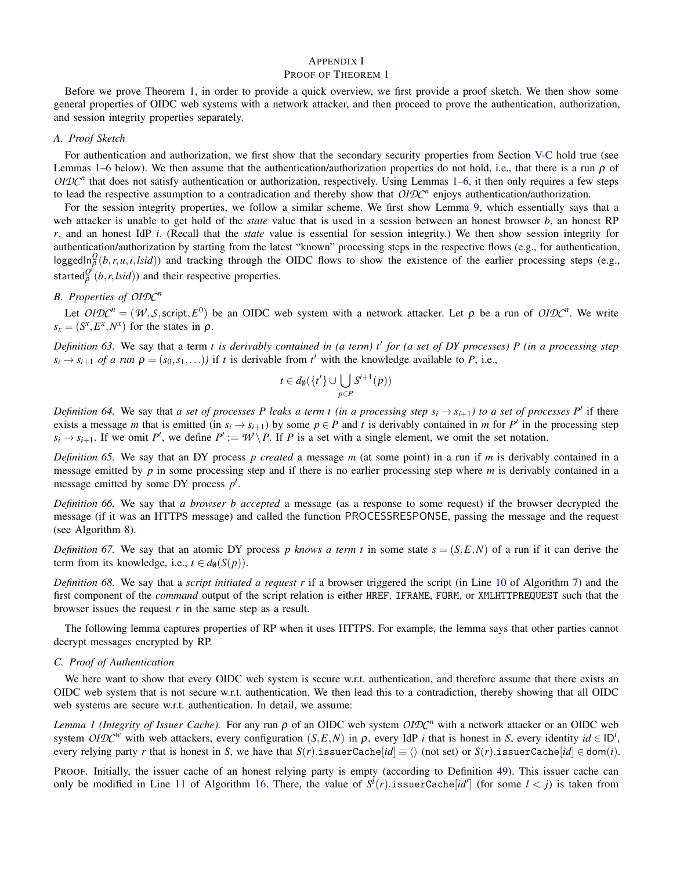## <span id="page-49-0"></span>APPENDIX I PROOF OF THEOREM [1](#page-11-3)

Before we prove Theorem [1,](#page-11-3) in order to provide a quick overview, we first provide a proof sketch. We then show some general properties of OIDC web systems with a network attacker, and then proceed to prove the authentication, authorization, and session integrity properties separately.

## *A. Proof Sketch*

For authentication and authorization, we first show that the secondary security properties from Section [V-C](#page-10-0) hold true (see Lemmas [1](#page-49-2)[–6](#page-50-0) below). We then assume that the authentication/authorization properties do not hold, i.e., that there is a run  $\rho$  of  $OIDC<sup>n</sup>$  that does not satisfy authentication or authorization, respectively. Using Lemmas [1–](#page-49-2)[6,](#page-50-0) it then only requires a few steps to lead the respective assumption to a contradication and thereby show that *OIDC<sup>n</sup>* enjoys authentication/authorization.

For the session integrity properties, we follow a similar scheme. We first show Lemma [9,](#page-54-1) which essentially says that a web attacker is unable to get hold of the *state* value that is used in a session between an honest browser *b*, an honest RP *r*, and an honest IdP *i*. (Recall that the *state* value is essential for session integrity.) We then show session integrity for authentication/authorization by starting from the latest "known" processing steps in the respective flows (e.g., for authentication, loggedIn $_{\rho}^{\Omega}(b,r,u,i,Isid)$ ) and tracking through the OIDC flows to show the existence of the earlier processing steps (e.g., started $\frac{Q'}{P}(b, r, \text{Isid})$  and their respective properties.

# *B. Properties of OIDC<sup>n</sup>*

Let  $OIDC^n = (W, S, script, E^0)$  be an OIDC web system with a network attacker. Let  $\rho$  be a run of  $OIDC^n$ . We write  $s_x = (S^x, E^x, N^x)$  for the states in  $\rho$ .

Definition 63. We say that a term *t is derivably contained in (a term) t' for (a set of DY processes) P (in a processing step*  $s_i \rightarrow s_{i+1}$  *of a run*  $\rho = (s_0, s_1, \ldots)$  *if t* is derivable from *t*<sup>'</sup> with the knowledge available to *P*, i.e.,

$$
t \in d_{\emptyset}(\{t'\} \cup \bigcup_{p \in P} S^{i+1}(p))
$$

*Definition 64.* We say that *a set of processes P leaks a term t (in a processing step*  $s_i \to s_{i+1}$ ) to *a set of processes*  $P'$  if there exists a message *m* that is emitted (in  $s_i \rightarrow s_{i+1}$ ) by some  $p \in P$  and *t* is derivably contained in *m* for *P'* in the processing step  $s_i \rightarrow s_{i+1}$ . If we omit *P*<sup>*i*</sup>, we define  $P' := \mathcal{W} \setminus P$ . If *P* is a set with a single element, we omit the set notation.

*Definition 65.* We say that an DY process *p created* a message *m* (at some point) in a run if *m* is derivably contained in a message emitted by *p* in some processing step and if there is no earlier processing step where *m* is derivably contained in a message emitted by some DY process  $p'$ .

*Definition 66.* We say that *a browser b accepted* a message (as a response to some request) if the browser decrypted the message (if it was an HTTPS message) and called the function PROCESSRESPONSE, passing the message and the request (see Algorithm [8\)](#page-31-0).

*Definition 67.* We say that an atomic DY process *p knows a term t* in some state  $s = (S, E, N)$  of a run if it can derive the term from its knowledge, i.e.,  $t \in d_{\emptyset}(S(p)).$ 

*Definition 68.* We say that a *script initiated a request r* if a browser triggered the script (in Line [10](#page-29-0) of Algorithm [7\)](#page-29-0) and the first component of the *command* output of the script relation is either HREF, IFRAME, FORM, or XMLHTTPREQUEST such that the browser issues the request *r* in the same step as a result.

The following lemma captures properties of RP when it uses HTTPS. For example, the lemma says that other parties cannot decrypt messages encrypted by RP.

## <span id="page-49-1"></span>*C. Proof of Authentication*

We here want to show that every OIDC web system is secure w.r.t. authentication, and therefore assume that there exists an OIDC web system that is not secure w.r.t. authentication. We then lead this to a contradiction, thereby showing that all OIDC web systems are secure w.r.t. authentication. In detail, we assume:

<span id="page-49-2"></span>*Lemma 1 (Integrity of Issuer Cache).* For any run  $\rho$  of an OIDC web system *OIDC<sup>n</sup>* with a network attacker or an OIDC web system *OIDC*<sup>*w*</sup> with web attackers, every configuration  $(S, E, N)$  in  $\rho$ , every IdP *i* that is honest in *S*, every identity  $id \in ID^i$ , every relying party *r* that is honest in *S*, we have that  $S(r)$ .issuerCache[*id*]  $\equiv$   $\langle \rangle$  (not set) or  $S(r)$ .issuerCache[*id*]  $\in$  dom(*i*).

PROOF. Initially, the issuer cache of an honest relying party is empty (according to Definition [49\)](#page-37-0). This issuer cache can only be modified in Line [11](#page-38-0) of Algorithm [16.](#page-38-0) There, the value of  $S^l(r)$  issuerCache[*id*<sup>'</sup>] (for some  $l < j$ ) is taken from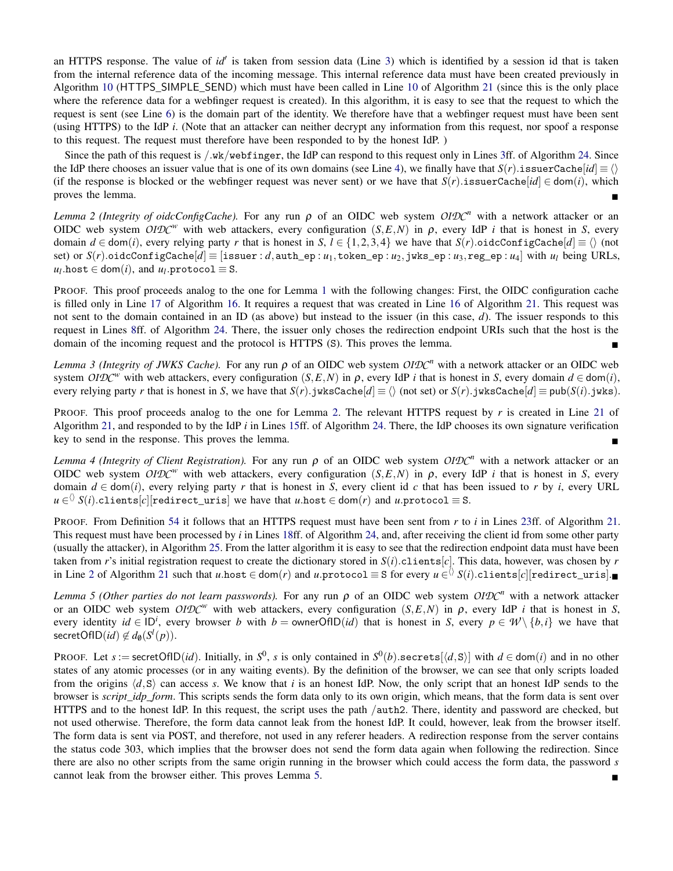an HTTPS response. The value of *id'* is taken from session data (Line [3\)](#page-38-0) which is identified by a session id that is taken from the internal reference data of the incoming message. This internal reference data must have been created previously in Algorithm [10](#page-34-0) (HTTPS\_SIMPLE\_SEND) which must have been called in Line [10](#page-41-0) of Algorithm [21](#page-41-0) (since this is the only place where the reference data for a webfinger request is created). In this algorithm, it is easy to see that the request to which the request is sent (see Line [6\)](#page-41-0) is the domain part of the identity. We therefore have that a webfinger request must have been sent (using HTTPS) to the IdP *i*. (Note that an attacker can neither decrypt any information from this request, nor spoof a response to this request. The request must therefore have been responded to by the honest IdP. )

Since the path of this request is /.wk/webfinger, the IdP can respond to this request only in Lines [3f](#page-43-0)f. of Algorithm [24.](#page-43-0) Since the IdP there chooses an issuer value that is one of its own domains (see Line [4\)](#page-43-0), we finally have that  $S(r)$ .issuerCache $id \equiv \langle \rangle$ (if the response is blocked or the webfinger request was never sent) or we have that  $S(r)$ .issuerCache[*id*]  $\in$  dom(*i*), which proves the lemma.

<span id="page-50-1"></span>*Lemma 2 (Integrity of oidcConfigCache).* For any run  $\rho$  of an OIDC web system  $OIDC^n$  with a network attacker or an OIDC web system *OIDC<sup>w</sup>* with web attackers, every configuration (*S, E, N*) in *ρ*, every IdP *i* that is honest in *S*, every domain *d* ∈ dom(*i*), every relying party *r* that is honest in *S*, *l* ∈ {1,2,3,4} we have that *S*(*r*).oidcConfigCache[*d*] ≡  $\langle$  \ (not set) or  $S(r)$ .oidcConfigCache[*d*] = [issuer: *d*, authep: *u*<sub>1</sub>, tokenep: *u*<sub>2</sub>, jwks ep: *u*<sub>3</sub>, regep: *u*<sub>4</sub>] with *u*<sub>*l*</sub> being URLs,  $u_l$ .host  $\in$  dom $(i)$ , and  $u_l$ .protocol  $\equiv$  S.

PROOF. This proof proceeds analog to the one for Lemma [1](#page-49-2) with the following changes: First, the OIDC configuration cache is filled only in Line [17](#page-38-0) of Algorithm [16.](#page-38-0) It requires a request that was created in Line [16](#page-41-0) of Algorithm [21.](#page-41-0) This request was not sent to the domain contained in an ID (as above) but instead to the issuer (in this case, *d*). The issuer responds to this request in Lines [8f](#page-43-0)f. of Algorithm [24.](#page-43-0) There, the issuer only choses the redirection endpoint URIs such that the host is the domain of the incoming request and the protocol is HTTPS (S). This proves the lemma.

*Lemma 3 (Integrity of JWKS Cache).* For any run  $\rho$  of an OIDC web system *OIDC<sup>n</sup>* with a network attacker or an OIDC web system *OIDC*<sup>*w*</sup> with web attackers, every configuration  $(S, E, N)$  in  $\rho$ , every IdP *i* that is honest in *S*, every domain  $d \in dom(i)$ , every relying party *r* that is honest in *S*, we have that  $S(r)$ . jwksCache[ $d$ ]  $\equiv \langle \rangle$  (not set) or  $S(r)$ . jwksCache[ $d$ ]  $\equiv$  pub( $S(i)$ . jwks).

PROOF. This proof proceeds analog to the one for Lemma [2.](#page-50-1) The relevant HTTPS request by *r* is created in Line [21](#page-41-0) of Algorithm [21,](#page-41-0) and responded to by the IdP *i* in Lines [15f](#page-43-0)f. of Algorithm [24.](#page-43-0) There, the IdP chooses its own signature verification key to send in the response. This proves the lemma.

<span id="page-50-3"></span>*Lemma 4 (Integrity of Client Registration).* For any run ρ of an OIDC web system *OIDC<sup>n</sup>* with a network attacker or an OIDC web system *OIDC<sup>w</sup>* with web attackers, every configuration (*S, E, N*) in *ρ*, every IdP *i* that is honest in *S*, every domain  $d \in \text{dom}(i)$ , every relying party r that is honest in *S*, every client id c that has been issued to r by *i*, every URL  $u \in \langle\!\!\!\langle~ S(i). \texttt{clients}[c] [\texttt{redirect\_uris}] \text{ we have that } u.\texttt{host} \in \texttt{dom}(r) \text{ and } u.\texttt{protocol} \equiv \texttt{S}.$ 

PROOF. From Definition [54](#page-47-1) it follows that an HTTPS request must have been sent from *r* to *i* in Lines [23f](#page-41-0)f. of Algorithm [21.](#page-41-0) This request must have been processed by *i* in Lines [18f](#page-43-0)f. of Algorithm [24,](#page-43-0) and, after receiving the client id from some other party (usually the attacker), in Algorithm [25.](#page-45-0) From the latter algorithm it is easy to see that the redirection endpoint data must have been taken from *r*'s initial registration request to create the dictionary stored in  $S(i)$ .clients[*c*]. This data, however, was chosen by *r* in Line [2](#page-41-0) of Algorithm [21](#page-41-0) such that  $u.$ host ∈ dom $(r)$  and  $u.$ protocol ≡ S for every  $u\in$   $\lozenge$   $S(i).$ clients $[c]$ [redirect\_uris].∎

<span id="page-50-2"></span>*Lemma 5 (Other parties do not learn passwords).* For any run ρ of an OIDC web system *OIDC<sup>n</sup>* with a network attacker or an OIDC web system  $OIDC^w$  with web attackers, every configuration  $(S, E, N)$  in  $\rho$ , every IdP *i* that is honest in *S*, every identity  $id \in ID^i$ , every browser *b* with  $b =$  ownerOfID(*id*) that is honest in *S*, every  $p \in W \setminus \{b, i\}$  we have that  $\mathsf{secretOfID}(\mathit{id}) \not\in d_{\emptyset}(S^l(p)).$ 

<span id="page-50-0"></span>PROOF. Let  $s :=$  secretOfID(*id*). Initially, in  $S^0$ ,  $s$  is only contained in  $S^0(b)$  secrets[ $\langle d, S \rangle$ ] with  $d \in$  dom(*i*) and in no other states of any atomic processes (or in any waiting events). By the definition of the browser, we can see that only scripts loaded from the origins  $\langle d, S \rangle$  can access *s*. We know that *i* is an honest IdP. Now, the only script that an honest IdP sends to the browser is *script idp form*. This scripts sends the form data only to its own origin, which means, that the form data is sent over HTTPS and to the honest IdP. In this request, the script uses the path /auth2. There, identity and password are checked, but not used otherwise. Therefore, the form data cannot leak from the honest IdP. It could, however, leak from the browser itself. The form data is sent via POST, and therefore, not used in any referer headers. A redirection response from the server contains the status code 303, which implies that the browser does not send the form data again when following the redirection. Since there are also no other scripts from the same origin running in the browser which could access the form data, the password *s* cannot leak from the browser either. This proves Lemma [5.](#page-50-2)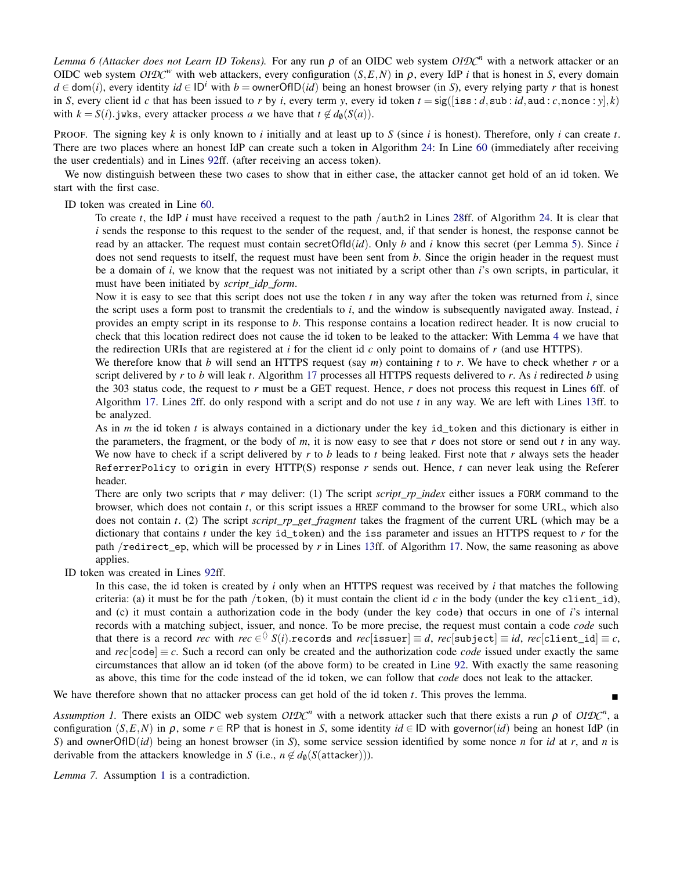*Lemma 6 (Attacker does not Learn ID Tokens).* For any run  $\rho$  of an OIDC web system  $OIDC^n$  with a network attacker or an OIDC web system *OIDC<sup>w</sup>* with web attackers, every configuration (*S*,*E*,*N*) in ρ, every IdP *i* that is honest in *S*, every domain *d* ∈ dom(*i*), every identity *id* ∈ ID<sup>*i*</sup> with *b* = ownerOfID(*id*) being an honest browser (in *S*), every relying party *r* that is honest in *S*, every client id *c* that has been issued to *r* by *i*, every term *y*, every id token  $t = \text{sig}([$ iss : *d*, sub : *id*, aud : *c*, nonce : *y*|, *k*) with  $k = S(i)$ . jwks, every attacker process *a* we have that  $t \notin d_{\theta}(S(a))$ .

PROOF. The signing key *k* is only known to *i* initially and at least up to *S* (since *i* is honest). Therefore, only *i* can create *t*. There are two places where an honest IdP can create such a token in Algorithm [24:](#page-43-0) In Line [60](#page-43-0) (immediately after receiving the user credentials) and in Lines [92f](#page-43-0)f. (after receiving an access token).

We now distinguish between these two cases to show that in either case, the attacker cannot get hold of an id token. We start with the first case.

ID token was created in Line [60.](#page-43-0)

To create *t*, the IdP *i* must have received a request to the path /auth2 in Lines [28f](#page-43-0)f. of Algorithm [24.](#page-43-0) It is clear that *i* sends the response to this request to the sender of the request, and, if that sender is honest, the response cannot be read by an attacker. The request must contain secretOfId(*id*). Only *b* and *i* know this secret (per Lemma [5\)](#page-50-2). Since *i* does not send requests to itself, the request must have been sent from *b*. Since the origin header in the request must be a domain of *i*, we know that the request was not initiated by a script other than *i*'s own scripts, in particular, it must have been initiated by *script*\_*idp*\_*form*.

Now it is easy to see that this script does not use the token *t* in any way after the token was returned from *i*, since the script uses a form post to transmit the credentials to *i*, and the window is subsequently navigated away. Instead, *i* provides an empty script in its response to *b*. This response contains a location redirect header. It is now crucial to check that this location redirect does not cause the id token to be leaked to the attacker: With Lemma [4](#page-50-3) we have that the redirection URIs that are registered at  $i$  for the client id  $c$  only point to domains of  $r$  (and use HTTPS).

We therefore know that *b* will send an HTTPS request (say *m*) containing *t* to *r*. We have to check whether *r* or a script delivered by *r* to *b* will leak *t*. Algorithm [17](#page-39-0) processes all HTTPS requests delivered to *r*. As *i* redirected *b* using the 303 status code, the request to *r* must be a GET request. Hence, *r* does not process this request in Lines [6f](#page-39-0)f. of Algorithm [17.](#page-39-0) Lines [2f](#page-39-0)f. do only respond with a script and do not use *t* in any way. We are left with Lines [13f](#page-39-0)f. to be analyzed.

As in *m* the id token *t* is always contained in a dictionary under the key id\_token and this dictionary is either in the parameters, the fragment, or the body of *m*, it is now easy to see that *r* does not store or send out *t* in any way. We now have to check if a script delivered by *r* to *b* leads to *t* being leaked. First note that *r* always sets the header ReferrerPolicy to origin in every HTTP(S) response *r* sends out. Hence, *t* can never leak using the Referer header.

There are only two scripts that *r* may deliver: (1) The script *script*\_*rp*\_*index* either issues a FORM command to the browser, which does not contain *t*, or this script issues a HREF command to the browser for some URL, which also does not contain *t*. (2) The script *script*\_*rp*\_*get*\_*fragment* takes the fragment of the current URL (which may be a dictionary that contains *t* under the key id token) and the iss parameter and issues an HTTPS request to *r* for the path /redirect ep, which will be processed by *r* in Lines [13f](#page-39-0)f. of Algorithm [17.](#page-39-0) Now, the same reasoning as above applies.

ID token was created in Lines [92f](#page-43-0)f.

In this case, the id token is created by *i* only when an HTTPS request was received by *i* that matches the following criteria: (a) it must be for the path /token, (b) it must contain the client id *c* in the body (under the key client\_id), and (c) it must contain a authorization code in the body (under the key code) that occurs in one of *i*'s internal records with a matching subject, issuer, and nonce. To be more precise, the request must contain a code *code* such that there is a record  $rec$  with  $rec \in$   $\Diamond$   $S(i)$ .records and  $rec[\texttt{issuer}] \equiv d, rec[\texttt{subject}] \equiv id, rec[\texttt{client_id}] \equiv c,$ and  $rec[code] \equiv c$ . Such a record can only be created and the authorization code *code* issued under exactly the same circumstances that allow an id token (of the above form) to be created in Line [92.](#page-43-0) With exactly the same reasoning as above, this time for the code instead of the id token, we can follow that *code* does not leak to the attacker.

We have therefore shown that no attacker process can get hold of the id token *t*. This proves the lemma.

<span id="page-51-0"></span>*Assumption 1.* There exists an OIDC web system  $OIDC^n$  with a network attacker such that there exists a run  $\rho$  of  $OIDC^n$ , a configuration  $(S, E, N)$  in  $\rho$ , some  $r \in \mathbb{RP}$  that is honest in *S*, some identity *id* ∈ ID with governor(*id*) being an honest IdP (in *S*) and ownerOfID(*id*) being an honest browser (in *S*), some service session identified by some nonce *n* for *id* at *r*, and *n* is derivable from the attackers knowledge in *S* (i.e.,  $n \notin d_{\theta}(S(\text{attacker})))$ .

<span id="page-51-1"></span>*Lemma 7.* Assumption [1](#page-51-0) is a contradiction.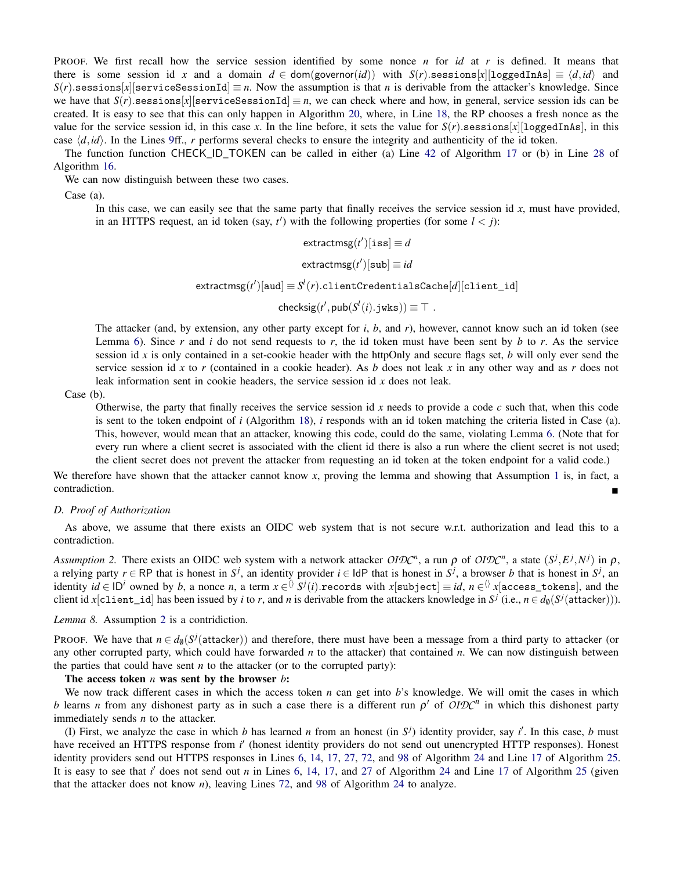PROOF. We first recall how the service session identified by some nonce *n* for *id* at *r* is defined. It means that there is some session id *x* and a domain  $d \in \text{dom}(\text{governor}(id))$  with  $S(r)$ .sessions[*x*][loggedInAs]  $\equiv \langle d, id \rangle$  and  $S(r)$ .sessions[*x*][serviceSessionId]  $\equiv n$ . Now the assumption is that *n* is derivable from the attacker's knowledge. Since we have that  $S(r)$ .sessions[*x*][serviceSessionId]  $\equiv n$ , we can check where and how, in general, service session ids can be created. It is easy to see that this can only happen in Algorithm [20,](#page-40-0) where, in Line [18,](#page-40-0) the RP chooses a fresh nonce as the value for the service session id, in this case x. In the line before, it sets the value for  $S(r)$  sessions[x][loggedInAs], in this case  $\langle d, id \rangle$ . In the Lines [9f](#page-40-0)f., *r* performs several checks to ensure the integrity and authenticity of the id token.

The function function CHECK ID TOKEN can be called in either (a) Line [42](#page-39-0) of Algorithm [17](#page-39-0) or (b) in Line [28](#page-38-0) of Algorithm [16.](#page-38-0)

We can now distinguish between these two cases.

Case (a).

In this case, we can easily see that the same party that finally receives the service session id *x*, must have provided, in an HTTPS request, an id token (say,  $t'$ ) with the following properties (for some  $l < j$ ):

 $\mathsf{extractmsg}(t')[\mathtt{iss}] \equiv d$ 

 $\textsf{extractmsg}(t')[\textsf{sub}] \equiv \textit{id}$ 

 $\textsf{extractmsg}(t')[\textsf{aud}] \equiv S^l(r).\textsf{clientCredentialsCache}[d][\textsf{client_id}]$ 

 $\mathsf{checksig}(t', \mathsf{pub}(S^l(i).j\mathtt{wks})) \equiv \top$  .

The attacker (and, by extension, any other party except for *i*, *b*, and *r*), however, cannot know such an id token (see Lemma [6\)](#page-50-0). Since *r* and *i* do not send requests to *r*, the id token must have been sent by *b* to *r*. As the service session id *x* is only contained in a set-cookie header with the httpOnly and secure flags set, *b* will only ever send the service session id *x* to *r* (contained in a cookie header). As *b* does not leak *x* in any other way and as *r* does not leak information sent in cookie headers, the service session id *x* does not leak.

Case (b).

Otherwise, the party that finally receives the service session id *x* needs to provide a code *c* such that, when this code is sent to the token endpoint of *i* (Algorithm [18\)](#page-40-1), *i* responds with an id token matching the criteria listed in Case (a). This, however, would mean that an attacker, knowing this code, could do the same, violating Lemma [6.](#page-50-0) (Note that for every run where a client secret is associated with the client id there is also a run where the client secret is not used; the client secret does not prevent the attacker from requesting an id token at the token endpoint for a valid code.)

We therefore have shown that the attacker cannot know x, proving the lemma and showing that Assumption [1](#page-51-0) is, in fact, a contradiction.

## *D. Proof of Authorization*

As above, we assume that there exists an OIDC web system that is not secure w.r.t. authorization and lead this to a contradiction.

<span id="page-52-0"></span>*Assumption 2.* There exists an OIDC web system with a network attacker  $OIDC^n$ , a run  $\rho$  of  $OIDC^n$ , a state  $(S^j, E^j, N^j)$  in  $\rho$ , a relying party  $r \in \mathsf{RP}$  that is honest in  $S^j$ , an identity provider  $i \in \mathsf{IdP}$  that is honest in  $S^j$ , a browser *b* that is honest in  $S^j$ , an  $\text{identity } id \in \text{ID}^i \text{ owned by } b, \text{ a nonce } n, \text{ a term } x \in \overset{\wedge}{\vee} S^j(i).$ records with  $x[\text{subject}] \equiv id, \, n \in \overset{\wedge}{\vee} x[\text{access\_ tokens}],$  and the client id *x*[client\_id] has been issued by *i* to *r*, and *n* is derivable from the attackers knowledge in  $S^j$  (i.e.,  $n \in d_\emptyset(S^j(\text{attacker})))$ .

<span id="page-52-1"></span>*Lemma 8.* Assumption [2](#page-52-0) is a contridiction.

PROOF. We have that  $n \in d_\emptyset(S^j(\text{attacker}))$  and therefore, there must have been a message from a third party to attacker (or any other corrupted party, which could have forwarded *n* to the attacker) that contained *n*. We can now distinguish between the parties that could have sent  $n$  to the attacker (or to the corrupted party):

#### The access token *n* was sent by the browser *b*:

We now track different cases in which the access token *n* can get into *b*'s knowledge. We will omit the cases in which *b* learns *n* from any dishonest party as in such a case there is a different run  $\rho'$  of  $OIDC^n$  in which this dishonest party immediately sends *n* to the attacker.

(I) First, we analyze the case in which *b* has learned *n* from an honest (in  $S^j$ ) identity provider, say *i*'. In this case, *b* must have received an HTTPS response from *i'* (honest identity providers do not send out unencrypted HTTP responses). Honest identity providers send out HTTPS responses in Lines [6,](#page-43-0) [14,](#page-43-0) [17,](#page-43-0) [27,](#page-43-0) [72,](#page-43-0) and [98](#page-43-0) of Algorithm [24](#page-43-0) and Line [17](#page-45-0) of Algorithm [25.](#page-45-0) It is easy to see that *i'* does not send out *n* in Lines [6,](#page-43-0) [14,](#page-43-0) [17,](#page-43-0) and [27](#page-43-0) of Algorithm [24](#page-43-0) and Line [17](#page-45-0) of Algorithm [25](#page-45-0) (given that the attacker does not know *n*), leaving Lines [72,](#page-43-0) and [98](#page-43-0) of Algorithm [24](#page-43-0) to analyze.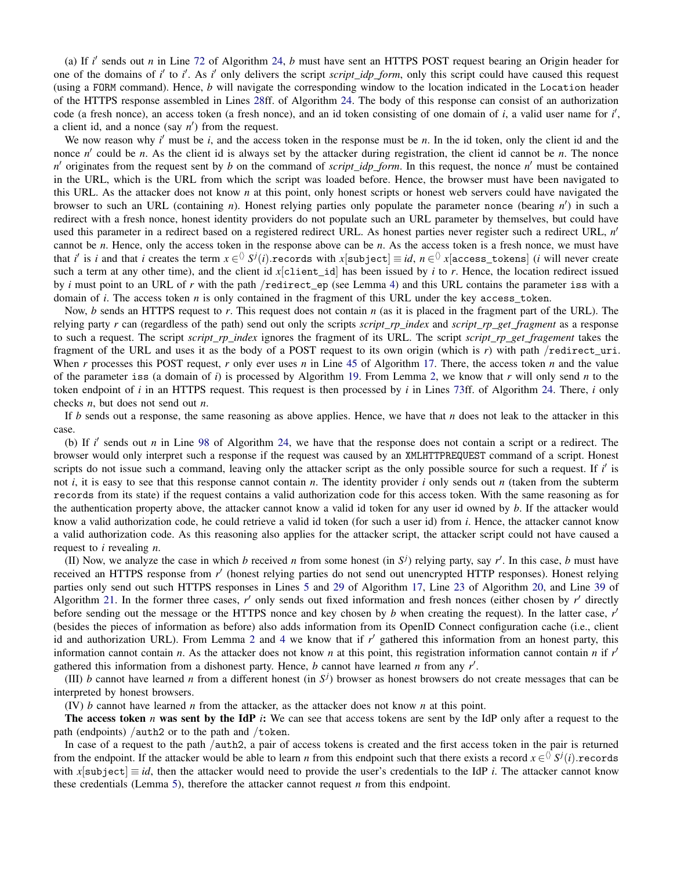(a) If  $i'$  sends out  $n$  in Line [72](#page-43-0) of Algorithm [24,](#page-43-0)  $b$  must have sent an HTTPS POST request bearing an Origin header for one of the domains of *i'* to *i'*. As *i'* only delivers the script *script\_idp\_form*, only this script could have caused this request (using a FORM command). Hence, *b* will navigate the corresponding window to the location indicated in the Location header of the HTTPS response assembled in Lines [28f](#page-43-0)f. of Algorithm [24.](#page-43-0) The body of this response can consist of an authorization code (a fresh nonce), an access token (a fresh nonce), and an id token consisting of one domain of *i*, a valid user name for *i'*, a client id, and a nonce (say  $n'$ ) from the request.

We now reason why  $i'$  must be  $i$ , and the access token in the response must be  $n$ . In the id token, only the client id and the nonce  $n'$  could be  $n$ . As the client id is always set by the attacker during registration, the client id cannot be  $n$ . The nonce *n*<sup>'</sup> originates from the request sent by *b* on the command of *script\_idp\_form*. In this request, the nonce *n*<sup>'</sup> must be contained in the URL, which is the URL from which the script was loaded before. Hence, the browser must have been navigated to this URL. As the attacker does not know *n* at this point, only honest scripts or honest web servers could have navigated the browser to such an URL (containing *n*). Honest relying parties only populate the parameter nonce (bearing *n'*) in such a redirect with a fresh nonce, honest identity providers do not populate such an URL parameter by themselves, but could have used this parameter in a redirect based on a registered redirect URL. As honest parties never register such a redirect URL, *n'* cannot be *n*. Hence, only the access token in the response above can be *n*. As the access token is a fresh nonce, we must have that *i*' is *i* and that *i* creates the term  $x \in$   $\Diamond$   $S^j(i)$ .records with  $x[$ subject]  $\equiv$  *id*,  $n \in$   $\Diamond$   $x[$ access\_tokens] (*i* will never create such a term at any other time), and the client id *x*[client\_id] has been issued by *i* to *r*. Hence, the location redirect issued by *i* must point to an URL of *r* with the path /redirect\_ep (see Lemma [4\)](#page-50-3) and this URL contains the parameter iss with a domain of *i*. The access token *n* is only contained in the fragment of this URL under the key access\_token.

Now, *b* sends an HTTPS request to *r*. This request does not contain *n* (as it is placed in the fragment part of the URL). The relying party *r* can (regardless of the path) send out only the scripts *script\_rp\_index* and *script\_rp\_get\_fragment* as a response to such a request. The script *script*\_*rp*\_*index* ignores the fragment of its URL. The script *script*\_*rp*\_*get*\_*fragement* takes the fragment of the URL and uses it as the body of a POST request to its own origin (which is *r*) with path /redirect\_uri. When *r* processes this POST request, *r* only ever uses *n* in Line [45](#page-39-0) of Algorithm [17.](#page-39-0) There, the access token *n* and the value of the parameter iss (a domain of *i*) is processed by Algorithm [19.](#page-40-2) From Lemma [2,](#page-50-1) we know that *r* will only send *n* to the token endpoint of *i* in an HTTPS request. This request is then processed by *i* in Lines [73f](#page-43-0)f. of Algorithm [24.](#page-43-0) There, *i* only checks *n*, but does not send out *n*.

If *b* sends out a response, the same reasoning as above applies. Hence, we have that *n* does not leak to the attacker in this case.

(b) If *i'* sends out *n* in Line [98](#page-43-0) of Algorithm [24,](#page-43-0) we have that the response does not contain a script or a redirect. The browser would only interpret such a response if the request was caused by an XMLHTTPREQUEST command of a script. Honest scripts do not issue such a command, leaving only the attacker script as the only possible source for such a request. If *i'* is not *i*, it is easy to see that this response cannot contain *n*. The identity provider *i* only sends out *n* (taken from the subterm records from its state) if the request contains a valid authorization code for this access token. With the same reasoning as for the authentication property above, the attacker cannot know a valid id token for any user id owned by *b*. If the attacker would know a valid authorization code, he could retrieve a valid id token (for such a user id) from *i*. Hence, the attacker cannot know a valid authorization code. As this reasoning also applies for the attacker script, the attacker script could not have caused a request to *i* revealing *n*.

(II) Now, we analyze the case in which *b* received *n* from some honest (in  $S^j$ ) relying party, say *r'*. In this case, *b* must have received an HTTPS response from r' (honest relying parties do not send out unencrypted HTTP responses). Honest relying parties only send out such HTTPS responses in Lines [5](#page-39-0) and [29](#page-39-0) of Algorithm [17,](#page-39-0) Line [23](#page-40-0) of Algorithm [20,](#page-40-0) and Line [39](#page-41-0) of Algorithm [21.](#page-41-0) In the former three cases,  $r'$  only sends out fixed information and fresh nonces (either chosen by  $r'$  directly before sending out the message or the HTTPS nonce and key chosen by *b* when creating the request). In the latter case, *r'* (besides the pieces of information as before) also adds information from its OpenID Connect configuration cache (i.e., client id and authorization URL). From Lemma [2](#page-50-1) and [4](#page-50-3) we know that if  $r'$  gathered this information from an honest party, this information cannot contain *n*. As the attacker does not know *n* at this point, this registration information cannot contain *n* if  $r'$ gathered this information from a dishonest party. Hence,  $b$  cannot have learned  $n$  from any  $r'$ .

(III) *b* cannot have learned *n* from a different honest (in  $S<sup>j</sup>$ ) browser as honest browsers do not create messages that can be interpreted by honest browsers.

(IV) *b* cannot have learned *n* from the attacker, as the attacker does not know *n* at this point.

The access token *n* was sent by the IdP *i*: We can see that access tokens are sent by the IdP only after a request to the path (endpoints) / $\alpha$ uth2 or to the path and /token.

In case of a request to the path /auth2, a pair of access tokens is created and the first access token in the pair is returned from the endpoint. If the attacker would be able to learn *n* from this endpoint such that there exists a record  $x \in (0, S^j(i))$ .records with  $x$ [subject]  $\equiv id$ , then the attacker would need to provide the user's credentials to the IdP *i*. The attacker cannot know these credentials (Lemma [5\)](#page-50-2), therefore the attacker cannot request *n* from this endpoint.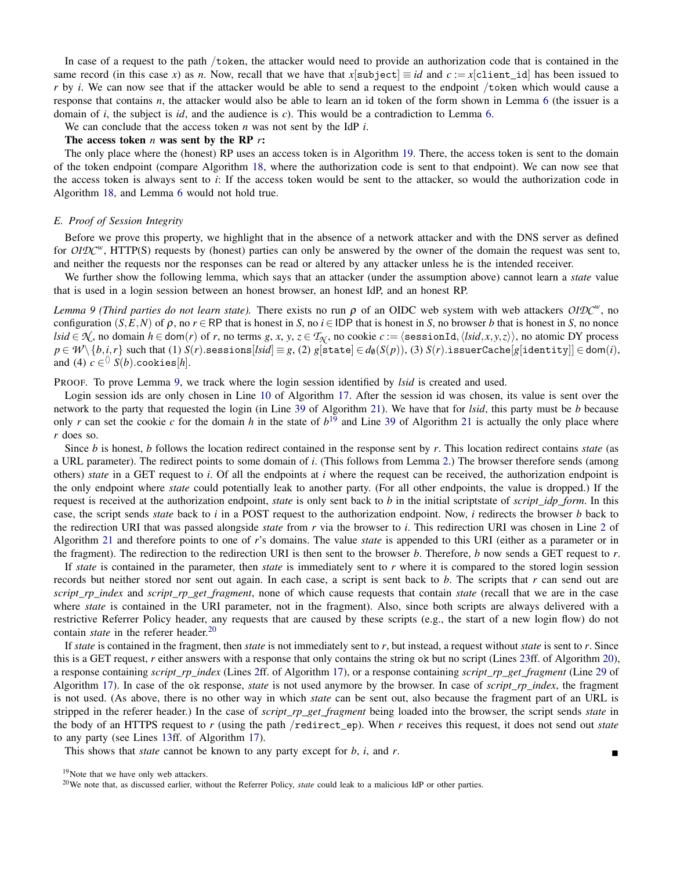In case of a request to the path /token, the attacker would need to provide an authorization code that is contained in the same record (in this case *x*) as *n*. Now, recall that we have that  $x$ [subject]  $\equiv id$  and  $c := x$ [client\_id] has been issued to *r* by *i*. We can now see that if the attacker would be able to send a request to the endpoint /token which would cause a response that contains *n*, the attacker would also be able to learn an id token of the form shown in Lemma [6](#page-50-0) (the issuer is a domain of *i*, the subject is *id*, and the audience is *c*). This would be a contradiction to Lemma [6.](#page-50-0)

We can conclude that the access token *n* was not sent by the IdP *i*.

## The access token *n* was sent by the RP *r*:

The only place where the (honest) RP uses an access token is in Algorithm [19.](#page-40-2) There, the access token is sent to the domain of the token endpoint (compare Algorithm [18,](#page-40-1) where the authorization code is sent to that endpoint). We can now see that the access token is always sent to *i*: If the access token would be sent to the attacker, so would the authorization code in Algorithm [18,](#page-40-1) and Lemma [6](#page-50-0) would not hold true.

#### <span id="page-54-0"></span>*E. Proof of Session Integrity*

Before we prove this property, we highlight that in the absence of a network attacker and with the DNS server as defined for *OIDC<sup>w</sup>*, HTTP(S) requests by (honest) parties can only be answered by the owner of the domain the request was sent to, and neither the requests nor the responses can be read or altered by any attacker unless he is the intended receiver.

We further show the following lemma, which says that an attacker (under the assumption above) cannot learn a *state* value that is used in a login session between an honest browser, an honest IdP, and an honest RP.

<span id="page-54-1"></span>*Lemma 9 (Third parties do not learn state). There exists no run*  $\rho$  *of an OIDC web system with web attackers OIDC<sup><i>w*</sup>, no configuration  $(S, E, N)$  of  $\rho$ , no  $r \in \mathbb{RP}$  that is honest in *S*, no *i* ∈ IDP that is honest in *S*, no browser *b* that is honest in *S*, no nonce  $lsid \in \mathcal{N}$ , no domain  $h \in \text{dom}(r)$  of r, no terms g, x, y,  $z \in \mathcal{T}_{\mathcal{N}}$ , no cookie  $c := \langle \text{sessionId}, \langle lsid, x, y, z \rangle \rangle$ , no atomic DY process  $p \in \mathcal{W}\setminus\{b,i,r\}$  such that (1)  $S(r)$  sessions [lsid]  $\equiv g$ , (2)  $g$  [state]  $\in d_{\emptyset}(S(p))$ , (3)  $S(r)$  issuer Cache [g [identity]]  $\in$  dom(i), and (4)  $c \in \langle S \rangle$   $S(b)$ .cookies[*h*].

PROOF. To prove Lemma [9,](#page-54-1) we track where the login session identified by *lsid* is created and used.

Login session ids are only chosen in Line [10](#page-39-0) of Algorithm [17.](#page-39-0) After the session id was chosen, its value is sent over the network to the party that requested the login (in Line [39](#page-41-0) of Algorithm [21\)](#page-41-0). We have that for *lsid*, this party must be *b* because only *r* can set the cookie *c* for the domain *h* in the state of  $b^{19}$  $b^{19}$  $b^{19}$  and Line [39](#page-41-0) of Algorithm [21](#page-41-0) is actually the only place where *r* does so.

Since *b* is honest, *b* follows the location redirect contained in the response sent by *r*. This location redirect contains *state* (as a URL parameter). The redirect points to some domain of *i*. (This follows from Lemma [2.](#page-50-1)) The browser therefore sends (among others) *state* in a GET request to *i*. Of all the endpoints at *i* where the request can be received, the authorization endpoint is the only endpoint where *state* could potentially leak to another party. (For all other endpoints, the value is dropped.) If the request is received at the authorization endpoint, *state* is only sent back to *b* in the initial scriptstate of *script*\_*idp*\_*form*. In this case, the script sends *state* back to *i* in a POST request to the authorization endpoint. Now, *i* redirects the browser *b* back to the redirection URI that was passed alongside *state* from *r* via the browser to *i*. This redirection URI was chosen in Line [2](#page-41-0) of Algorithm [21](#page-41-0) and therefore points to one of *r*'s domains. The value *state* is appended to this URI (either as a parameter or in the fragment). The redirection to the redirection URI is then sent to the browser *b*. Therefore, *b* now sends a GET request to *r*.

If *state* is contained in the parameter, then *state* is immediately sent to *r* where it is compared to the stored login session records but neither stored nor sent out again. In each case, a script is sent back to *b*. The scripts that *r* can send out are *script*\_*rp*\_*index* and *script*\_*rp*\_*get*\_*fragment*, none of which cause requests that contain *state* (recall that we are in the case where *state* is contained in the URI parameter, not in the fragment). Also, since both scripts are always delivered with a restrictive Referrer Policy header, any requests that are caused by these scripts (e.g., the start of a new login flow) do not contain *state* in the referer header.<sup>[20](#page-54-3)</sup>

If *state* is contained in the fragment, then *state* is not immediately sent to *r*, but instead, a request without *state* is sent to *r*. Since this is a GET request, *r* either answers with a response that only contains the string ok but no script (Lines [23f](#page-40-0)f. of Algorithm [20\)](#page-40-0), a response containing *script*\_*rp*\_*index* (Lines [2f](#page-39-0)f. of Algorithm [17\)](#page-39-0), or a response containing *script*\_*rp*\_*get*\_*fragment* (Line [29](#page-39-0) of Algorithm [17\)](#page-39-0). In case of the ok response, *state* is not used anymore by the browser. In case of *script*\_*rp*\_*index*, the fragment is not used. (As above, there is no other way in which *state* can be sent out, also because the fragment part of an URL is stripped in the referer header.) In the case of *script*\_*rp*\_*get*\_*fragment* being loaded into the browser, the script sends *state* in the body of an HTTPS request to *r* (using the path /redirect\_ep). When *r* receives this request, it does not send out *state* to any party (see Lines [13f](#page-39-0)f. of Algorithm [17\)](#page-39-0).

This shows that *state* cannot be known to any party except for *b*, *i*, and *r*.

<span id="page-54-2"></span><sup>19</sup>Note that we have only web attackers.

<span id="page-54-3"></span><sup>20</sup>We note that, as discussed earlier, without the Referrer Policy, *state* could leak to a malicious IdP or other parties.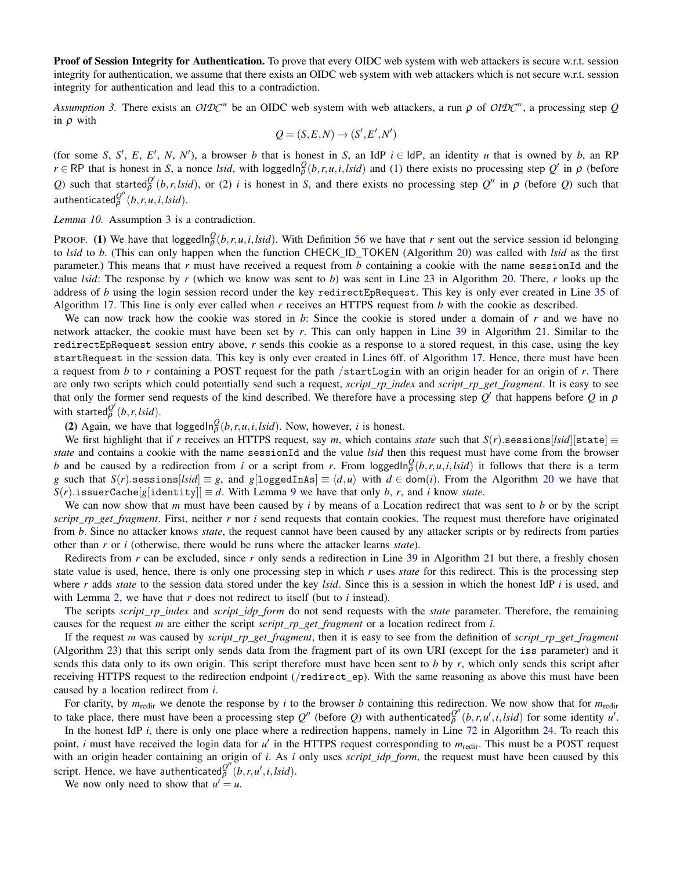**Proof of Session Integrity for Authentication.** To prove that every OIDC web system with web attackers is secure w.r.t. session integrity for authentication, we assume that there exists an OIDC web system with web attackers which is not secure w.r.t. session integrity for authentication and lead this to a contradiction.

<span id="page-55-0"></span>*Assumption 3.* There exists an *OIDC<sup>w</sup>* be an OIDC web system with web attackers, a run ρ of *OIDC<sup>w</sup>* , a processing step *Q* in  $\rho$  with

$$
Q = (S, E, N) \rightarrow (S', E', N')
$$

(for some *S*, *S'*, *E*, *E'*, *N*, *N'*), a browser *b* that is honest in *S*, an IdP  $i \in$  IdP, an identity *u* that is owned by *b*, an RP  $r \in \mathbb{RP}$  that is honest in *S*, a nonce *lsid*, with loggedIn $^Q_\rho(b, r, u, i, Isid)$  and (1) there exists no processing step  $Q'$  in  $\rho$  (before *Q*) such that started $\frac{\partial^{\prime}}{\partial}(b, r, \text{Isid})$ , or (2) *i* is honest in *S*, and there exists no processing step *Q*<sup>n</sup> in *ρ* (before *Q*) such that  $\mathsf{a}$ uthenticated $\varphi''(b,r,u,i,lsid)$ .

<span id="page-55-1"></span>*Lemma 10.* Assumption [3](#page-55-0) is a contradiction.

PROOF. (1) We have that loggedIn $_{\rho}^Q(b,r,u,i,Isid)$ . With Definition [56](#page-47-4) we have that *r* sent out the service session id belonging to *lsid* to *b*. (This can only happen when the function CHECK\_ID\_TOKEN (Algorithm [20\)](#page-40-0) was called with *lsid* as the first parameter.) This means that *r* must have received a request from *b* containing a cookie with the name sessionId and the value *lsid*: The response by *r* (which we know was sent to *b*) was sent in Line [23](#page-40-0) in Algorithm [20.](#page-40-0) There, *r* looks up the address of *b* using the login session record under the key redirectEpRequest. This key is only ever created in Line [35](#page-39-0) of Algorithm [17.](#page-39-0) This line is only ever called when *r* receives an HTTPS request from *b* with the cookie as described.

We can now track how the cookie was stored in *b*: Since the cookie is stored under a domain of *r* and we have no network attacker, the cookie must have been set by *r*. This can only happen in Line [39](#page-41-0) in Algorithm [21.](#page-41-0) Similar to the redirectEpRequest session entry above, *r* sends this cookie as a response to a stored request, in this case, using the key startRequest in the session data. This key is only ever created in Lines [6f](#page-39-0)f. of Algorithm [17.](#page-39-0) Hence, there must have been a request from *b* to *r* containing a POST request for the path /startLogin with an origin header for an origin of *r*. There are only two scripts which could potentially send such a request, *script*\_*rp*\_*index* and *script*\_*rp*\_*get*\_*fragment*. It is easy to see that only the former send requests of the kind described. We therefore have a processing step  $Q'$  that happens before  $Q$  in  $\rho$ with started $_{\rho}^{Q'}(b,r,lsid)$ .

(2) Again, we have that  $\log \text{gcd ln}_{\rho}^{\mathcal{Q}}(b, r, u, i, l \cdot \text{sid})$ . Now, however, *i* is honest.

We first highlight that if *r* receives an HTTPS request, say *m*, which contains *state* such that  $S(r)$ .sessions[*lsid*][state]  $\equiv$ *state* and contains a cookie with the name sessionId and the value *lsid* then this request must have come from the browser *b* and be caused by a redirection from *i* or a script from *r*. From loggedIn $_{\rho}^{Q}(b,r,u,i,lsid)$  it follows that there is a term *g* such that  $S(r)$ .sessions[*lsid*]  $\equiv g$ , and  $g[log \text{gcdInAs}] \equiv \langle d, u \rangle$  with  $d \in \text{dom}(i)$ . From the Algorithm [20](#page-40-0) we have that  $S(r)$ .issuerCache[*g*[identity]]  $\equiv d$ . With Lemma [9](#page-54-1) we have that only *b*, *r*, and *i* know *state*.

We can now show that *m* must have been caused by *i* by means of a Location redirect that was sent to *b* or by the script *script*\_*rp*\_*get*\_*fragment*. First, neither *r* nor *i* send requests that contain cookies. The request must therefore have originated from *b*. Since no attacker knows *state*, the request cannot have been caused by any attacker scripts or by redirects from parties other than *r* or *i* (otherwise, there would be runs where the attacker learns *state*).

Redirects from *r* can be excluded, since *r* only sends a redirection in Line [39](#page-41-0) in Algorithm [21](#page-41-0) but there, a freshly chosen state value is used, hence, there is only one processing step in which *r* uses *state* for this redirect. This is the processing step where *r* adds *state* to the session data stored under the key *lsid*. Since this is a session in which the honest IdP *i* is used, and with Lemma [2,](#page-50-1) we have that *r* does not redirect to itself (but to *i* instead).

The scripts *script\_rp\_index* and *script\_idp\_form* do not send requests with the *state* parameter. Therefore, the remaining causes for the request *m* are either the script *script*\_*rp*\_*get*\_*fragment* or a location redirect from *i*.

If the request *m* was caused by *script*\_*rp*\_*get*\_*fragment*, then it is easy to see from the definition of *script*\_*rp*\_*get*\_*fragment* (Algorithm [23\)](#page-42-1) that this script only sends data from the fragment part of its own URI (except for the iss parameter) and it sends this data only to its own origin. This script therefore must have been sent to *b* by *r*, which only sends this script after receiving HTTPS request to the redirection endpoint (/redirect\_ep). With the same reasoning as above this must have been caused by a location redirect from *i*.

For clarity, by  $m_{\text{redir}}$  we denote the response by *i* to the browser *b* containing this redirection. We now show that for  $m_{\text{redir}}$ to take place, there must have been a processing step  $Q''$  (before *Q*) with authenticated $Q''(b,r,u',i,lsid)$  for some identity *u'*.

In the honest IdP *i*, there is only one place where a redirection happens, namely in Line [72](#page-43-0) in Algorithm [24.](#page-43-0) To reach this point, *i* must have received the login data for *u'* in the HTTPS request corresponding to  $m_{\text{redir}}$ . This must be a POST request with an origin header containing an origin of *i*. As *i* only uses *script\_idp\_form*, the request must have been caused by this script. Hence, we have authenticated $\varrho^{\alpha}$ <sup>o</sup> $(b, r, u', i, Isid)$ .

We now only need to show that  $u' = u$ .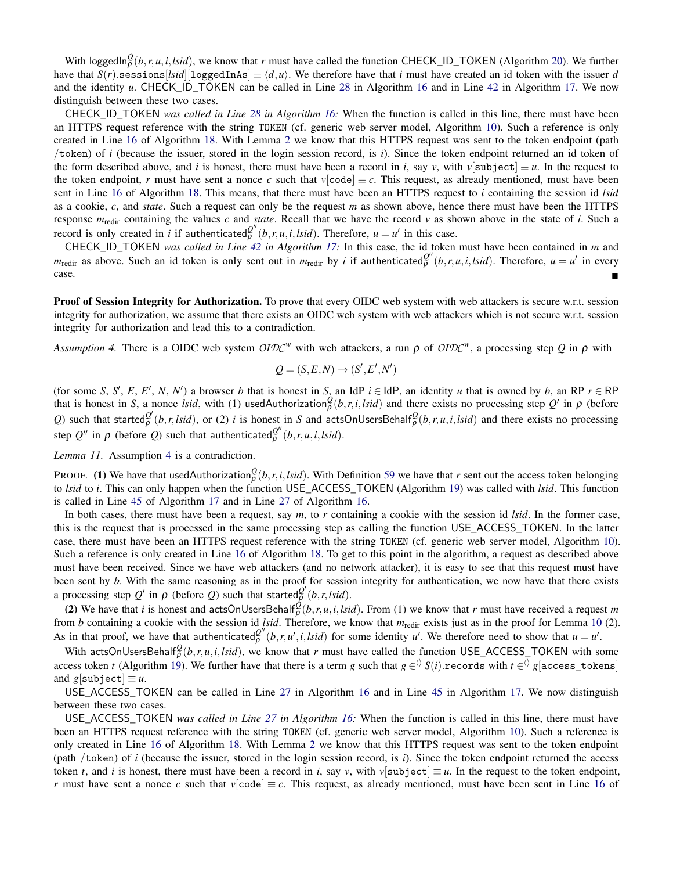With loggedIn $_{\rho}^Q(b,r,u,i,Isid)$ , we know that *r* must have called the function CHECK\_ID\_TOKEN (Algorithm [20\)](#page-40-0). We further have that  $S(r)$ .sessions[*lsid*][loggedInAs]  $\equiv \langle d, u \rangle$ . We therefore have that *i* must have created an id token with the issuer *d* and the identity *u*. CHECK ID TOKEN can be called in Line [28](#page-38-0) in Algorithm [16](#page-38-0) and in Line [42](#page-39-0) in Algorithm [17.](#page-39-0) We now distinguish between these two cases.

CHECK*\_*ID*\_*TOKEN *was called in Line [28](#page-38-0) in Algorithm [16:](#page-38-0)* When the function is called in this line, there must have been an HTTPS request reference with the string TOKEN (cf. generic web server model, Algorithm [10\)](#page-34-0). Such a reference is only created in Line [16](#page-40-1) of Algorithm [18.](#page-40-1) With Lemma [2](#page-50-1) we know that this HTTPS request was sent to the token endpoint (path /token) of *i* (because the issuer, stored in the login session record, is *i*). Since the token endpoint returned an id token of the form described above, and *i* is honest, there must have been a record in *i*, say *v*, with  $v[\text{subject}] \equiv u$ . In the request to the token endpoint, *r* must have sent a nonce *c* such that  $v[\text{code}] \equiv c$ . This request, as already mentioned, must have been sent in Line [16](#page-40-1) of Algorithm [18.](#page-40-1) This means, that there must have been an HTTPS request to *i* containing the session id *lsid* as a cookie, *c*, and *state*. Such a request can only be the request *m* as shown above, hence there must have been the HTTPS response  $m_{\text{redir}}$  containing the values c and *state*. Recall that we have the record  $v$  as shown above in the state of *i*. Such a record is only created in *i* if authenticated $\varphi''(b,r,u,i,lsid)$ . Therefore,  $u = u'$  in this case.

CHECK*\_*ID*\_*TOKEN *was called in Line [42](#page-39-0) in Algorithm [17:](#page-39-0)* In this case, the id token must have been contained in *m* and  $m_{\text{redir}}$  as above. Such an id token is only sent out in  $m_{\text{redir}}$  by *i* if authenticated $Q''(b, r, u, i, Isid)$ . Therefore,  $u = u'$  in every case.

**Proof of Session Integrity for Authorization.** To prove that every OIDC web system with web attackers is secure w.r.t. session integrity for authorization, we assume that there exists an OIDC web system with web attackers which is not secure w.r.t. session integrity for authorization and lead this to a contradiction.

<span id="page-56-0"></span>*Assumption 4.* There is a OIDC web system *OIDC<sup>w</sup>* with web attackers, a run ρ of *OIDC<sup>w</sup>* , a processing step *Q* in ρ with

$$
Q = (S, E, N) \rightarrow (S', E', N')
$$

(for some *S*, *S'*, *E*, *E'*, *N*, *N'*) a browser *b* that is honest in *S*, an IdP  $i \in$  IdP, an identity *u* that is owned by *b*, an RP  $r \in$  RP that is honest in *S*, a nonce *lsid*, with (1) usedAuthorization $\frac{\partial}{\partial}(b,r,i,lsid)$  and there exists no processing step  $Q'$  in  $\rho$  (before *Q*) such that started $\frac{Q'}{P}(b, r, l\dot{ s} d)$ , or (2) *i* is honest in *S* and actsOnUsersBehalf $\frac{Q}{P}(b, r, u, i, l\dot{s} d)$  and there exists no processing step  $Q''$  in  $\rho$  (before  $Q$ ) such that authenticated $\frac{Q''}{\rho}(b,r,u,i,lsid)$ .

<span id="page-56-1"></span>*Lemma 11.* Assumption [4](#page-56-0) is a contradiction.

PROOF. (1) We have that usedAuthorization $^Q_\rho(b,r,i,lsid)$ . With Definition [59](#page-48-1) we have that *r* sent out the access token belonging to *lsid* to *i*. This can only happen when the function USE\_ACCESS\_TOKEN (Algorithm [19\)](#page-40-2) was called with *lsid*. This function is called in Line [45](#page-39-0) of Algorithm [17](#page-39-0) and in Line [27](#page-38-0) of Algorithm [16.](#page-38-0)

In both cases, there must have been a request, say *m*, to *r* containing a cookie with the session id *lsid*. In the former case, this is the request that is processed in the same processing step as calling the function USE\_ACCESS\_TOKEN. In the latter case, there must have been an HTTPS request reference with the string TOKEN (cf. generic web server model, Algorithm [10\)](#page-34-0). Such a reference is only created in Line [16](#page-40-1) of Algorithm [18.](#page-40-1) To get to this point in the algorithm, a request as described above must have been received. Since we have web attackers (and no network attacker), it is easy to see that this request must have been sent by *b*. With the same reasoning as in the proof for session integrity for authentication, we now have that there exists a processing step  $Q'$  in  $\rho$  (before  $Q$ ) such that started $\frac{Q'}{\rho}(b, r, l \sin \theta)$ .

(2) We have that *i* is honest and actsOnUsersBehalf $\frac{\hat{Q}}{\rho}(b,r,u,i,lsid)$ . From (1) we know that *r* must have received a request *m* from *b* containing a cookie with the session id *lsid*. Therefore, we know that *m*redir exists just as in the proof for Lemma [10](#page-55-1) (2). As in that proof, we have that authenticated $\frac{Q''}{\rho}(b, r, u', i, Isid)$  for some identity *u'*. We therefore need to show that  $u = u'$ .

With actsOnUsersBehalf $^Q_\rho(b,r,u,i,lsid)$ , we know that *r* must have called the function USE\_ACCESS\_TOKEN with some access token *t* (Algorithm [19\)](#page-40-2). We further have that there is a term *g* such that  $g \in 'S(i)$ .records with  $t \in 'S$  g[access\_tokens] and  $g[\text{subject}] \equiv u$ .

USE ACCESS TOKEN can be called in Line [27](#page-38-0) in Algorithm [16](#page-38-0) and in Line [45](#page-39-0) in Algorithm [17.](#page-39-0) We now distinguish between these two cases.

USE*\_*ACCESS*\_*TOKEN *was called in Line [27](#page-38-0) in Algorithm [16:](#page-38-0)* When the function is called in this line, there must have been an HTTPS request reference with the string TOKEN (cf. generic web server model, Algorithm [10\)](#page-34-0). Such a reference is only created in Line [16](#page-40-1) of Algorithm [18.](#page-40-1) With Lemma [2](#page-50-1) we know that this HTTPS request was sent to the token endpoint (path /token) of *i* (because the issuer, stored in the login session record, is *i*). Since the token endpoint returned the access token *t*, and *i* is honest, there must have been a record in *i*, say *v*, with *v*[subject]  $\equiv u$ . In the request to the token endpoint, *r* must have sent a nonce *c* such that  $v[\text{code}] \equiv c$ . This request, as already mentioned, must have been sent in Line [16](#page-40-1) of